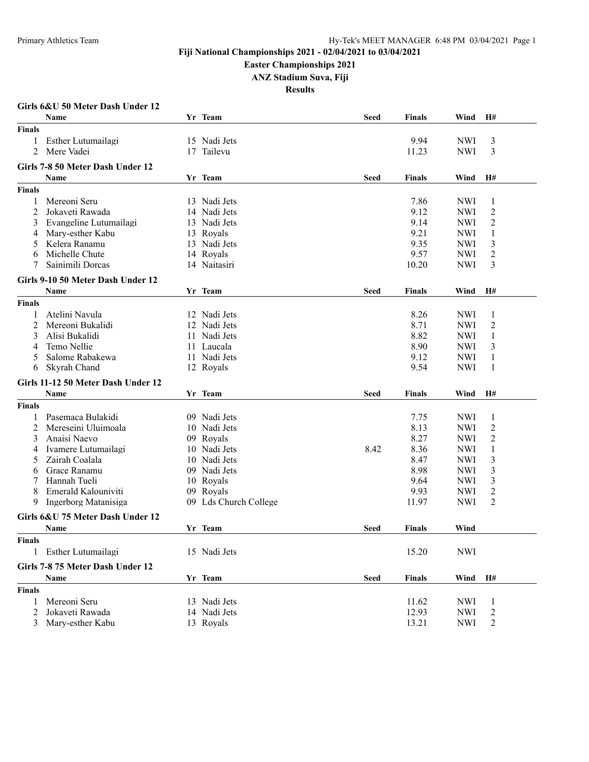#### **Easter Championships 2021**

**ANZ Stadium Suva, Fiji**

|                | Girls 6&U 50 Meter Dash Under 12   |    |                       |             |               |            |                |
|----------------|------------------------------------|----|-----------------------|-------------|---------------|------------|----------------|
|                | <b>Name</b>                        |    | Yr Team               | <b>Seed</b> | Finals        | Wind       | H#             |
| <b>Finals</b>  |                                    |    |                       |             |               |            |                |
|                | Esther Lutumailagi                 |    | 15 Nadi Jets          |             | 9.94          | <b>NWI</b> | 3              |
| $\overline{2}$ | Mere Vadei                         | 17 | Tailevu               |             | 11.23         | <b>NWI</b> | 3              |
|                | Girls 7-8 50 Meter Dash Under 12   |    |                       |             |               |            |                |
|                |                                    |    |                       |             |               |            | H#             |
|                | Name                               |    | Yr Team               | <b>Seed</b> | <b>Finals</b> | Wind       |                |
| <b>Finals</b>  |                                    |    |                       |             |               |            |                |
| 1              | Mereoni Seru                       |    | 13 Nadi Jets          |             | 7.86          | <b>NWI</b> | 1              |
| 2              | Jokaveti Rawada                    |    | 14 Nadi Jets          |             | 9.12          | <b>NWI</b> | $\overline{c}$ |
| 3              | Evangeline Lutumailagi             |    | 13 Nadi Jets          |             | 9.14          | <b>NWI</b> | 2              |
| 4              | Mary-esther Kabu                   |    | 13 Royals             |             | 9.21          | <b>NWI</b> | 1              |
| 5              | Kelera Ranamu                      |    | 13 Nadi Jets          |             | 9.35          | <b>NWI</b> | 3              |
| 6              | Michelle Chute                     |    | 14 Royals             |             | 9.57          | <b>NWI</b> | $\overline{c}$ |
|                | Sainimili Dorcas                   |    | 14 Naitasiri          |             | 10.20         | <b>NWI</b> | 3              |
|                | Girls 9-10 50 Meter Dash Under 12  |    |                       |             |               |            |                |
|                | <b>Name</b>                        |    | Yr Team               | <b>Seed</b> | <b>Finals</b> | Wind       | H#             |
| <b>Finals</b>  |                                    |    |                       |             |               |            |                |
|                | Atelini Navula                     |    | 12 Nadi Jets          |             | 8.26          | <b>NWI</b> | 1              |
| 2              | Mereoni Bukalidi                   |    | 12 Nadi Jets          |             | 8.71          | <b>NWI</b> | 2              |
| 3              | Alisi Bukalidi                     |    | 11 Nadi Jets          |             | 8.82          | <b>NWI</b> | $\mathbf{1}$   |
| 4              | Temo Nellie                        |    | 11 Laucala            |             | 8.90          | <b>NWI</b> | 3              |
| 5              | Salome Rabakewa                    |    | 11 Nadi Jets          |             | 9.12          | <b>NWI</b> | 1              |
| 6              | Skyrah Chand                       |    | 12 Royals             |             | 9.54          | <b>NWI</b> | 1              |
|                |                                    |    |                       |             |               |            |                |
|                | Girls 11-12 50 Meter Dash Under 12 |    |                       |             |               |            |                |
|                | <b>Name</b>                        |    | Yr Team               | <b>Seed</b> | <b>Finals</b> | Wind       | H#             |
| <b>Finals</b>  |                                    |    |                       |             |               |            |                |
|                | Pasemaca Bulakidi                  |    | 09 Nadi Jets          |             | 7.75          | <b>NWI</b> | 1              |
| 2              | Mereseini Uluimoala                |    | 10 Nadi Jets          |             | 8.13          | <b>NWI</b> | $\overline{c}$ |
| 3              | Anaisi Naevo                       |    | 09 Royals             |             | 8.27          | <b>NWI</b> | 2              |
| 4              | Ivamere Lutumailagi                |    | 10 Nadi Jets          | 8.42        | 8.36          | <b>NWI</b> | 1              |
| 5              | Zairah Coalala                     |    | 10 Nadi Jets          |             | 8.47          | <b>NWI</b> | 3              |
| 6              | Grace Ranamu                       |    | 09 Nadi Jets          |             | 8.98          | <b>NWI</b> | 3              |
|                | Hannah Tueli                       |    | 10 Royals             |             | 9.64          | <b>NWI</b> | 3              |
| 8              | Emerald Kalouniviti                |    | 09 Royals             |             | 9.93          | <b>NWI</b> | $\mathbf{2}$   |
| 9              | Ingerborg Matanisiga               |    | 09 Lds Church College |             | 11.97         | <b>NWI</b> | $\overline{c}$ |
|                | Girls 6&U 75 Meter Dash Under 12   |    |                       |             |               |            |                |
|                | Name                               |    | Yr Team               | <b>Seed</b> | <b>Finals</b> | Wind       |                |
| <b>Finals</b>  |                                    |    |                       |             |               |            |                |
| 1              | Esther Lutumailagi                 |    | 15 Nadi Jets          |             | 15.20         | <b>NWI</b> |                |
|                |                                    |    |                       |             |               |            |                |
|                | Girls 7-8 75 Meter Dash Under 12   |    |                       |             |               |            |                |
|                | Name                               |    | Yr Team               | <b>Seed</b> | <b>Finals</b> | Wind       | H#             |
| <b>Finals</b>  |                                    |    |                       |             |               |            |                |
| 1              | Mereoni Seru                       |    | 13 Nadi Jets          |             | 11.62         | <b>NWI</b> | 1              |
| 2              | Jokaveti Rawada                    |    | 14 Nadi Jets          |             | 12.93         | <b>NWI</b> | $\overline{c}$ |
| $\mathfrak{Z}$ | Mary-esther Kabu                   |    | 13 Royals             |             | 13.21         | <b>NWI</b> | $\overline{c}$ |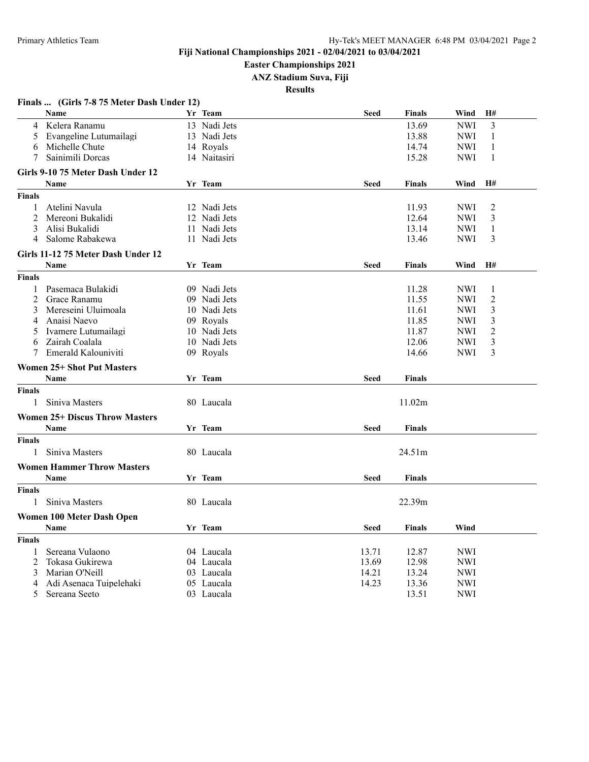**Easter Championships 2021**

**ANZ Stadium Suva, Fiji**

|                | Finals  (Girls 7-8 75 Meter Dash Under 12) |              |             |               |            |                |
|----------------|--------------------------------------------|--------------|-------------|---------------|------------|----------------|
|                | Name                                       | Yr Team      | <b>Seed</b> | <b>Finals</b> | Wind       | H#             |
| $\overline{4}$ | Kelera Ranamu                              | 13 Nadi Jets |             | 13.69         | <b>NWI</b> | 3              |
| 5              | Evangeline Lutumailagi                     | 13 Nadi Jets |             | 13.88         | NWI        | 1              |
| 6              | Michelle Chute                             | 14 Royals    |             | 14.74         | NWI        | 1              |
| 7              | Sainimili Dorcas                           | 14 Naitasiri |             | 15.28         | NWI        | 1              |
|                | Girls 9-10 75 Meter Dash Under 12          |              |             |               |            |                |
|                | <b>Name</b>                                | Yr Team      | <b>Seed</b> | <b>Finals</b> | Wind       | H#             |
| <b>Finals</b>  |                                            |              |             |               |            |                |
| 1              | Atelini Navula                             | 12 Nadi Jets |             | 11.93         | <b>NWI</b> | $\overline{2}$ |
| $\overline{2}$ | Mereoni Bukalidi                           | 12 Nadi Jets |             | 12.64         | NWI        | 3              |
| 3              | Alisi Bukalidi                             | 11 Nadi Jets |             | 13.14         | <b>NWI</b> | 1              |
| 4              | Salome Rabakewa                            | 11 Nadi Jets |             | 13.46         | <b>NWI</b> | 3              |
|                | Girls 11-12 75 Meter Dash Under 12         |              |             |               |            |                |
|                | Name                                       | Yr Team      | <b>Seed</b> | <b>Finals</b> | Wind       | H#             |
| <b>Finals</b>  |                                            |              |             |               |            |                |
| 1              | Pasemaca Bulakidi                          | 09 Nadi Jets |             | 11.28         | <b>NWI</b> | 1              |
| 2              | Grace Ranamu                               | 09 Nadi Jets |             | 11.55         | <b>NWI</b> | $\overline{2}$ |
| 3              | Mereseini Uluimoala                        | 10 Nadi Jets |             | 11.61         | NWI        | 3              |
| 4              | Anaisi Naevo                               | 09 Royals    |             | 11.85         | NWI        | 3              |
| 5.             | Ivamere Lutumailagi                        | 10 Nadi Jets |             | 11.87         | NWI        | $\overline{2}$ |
| 6              | Zairah Coalala                             | 10 Nadi Jets |             | 12.06         | NWI        | 3              |
| 7              | Emerald Kalouniviti                        | 09 Royals    |             | 14.66         | <b>NWI</b> | 3              |
|                |                                            |              |             |               |            |                |
|                | <b>Women 25+ Shot Put Masters</b>          |              |             |               |            |                |
|                | Name                                       | Yr Team      | <b>Seed</b> | <b>Finals</b> |            |                |
| <b>Finals</b>  |                                            |              |             |               |            |                |
| 1              | Siniva Masters                             | 80 Laucala   |             | 11.02m        |            |                |
|                | <b>Women 25+ Discus Throw Masters</b>      |              |             |               |            |                |
|                | <b>Name</b>                                | Yr Team      | <b>Seed</b> | <b>Finals</b> |            |                |
| <b>Finals</b>  |                                            |              |             |               |            |                |
| $\mathbf{1}$   | Siniva Masters                             | 80 Laucala   |             | 24.51m        |            |                |
|                | <b>Women Hammer Throw Masters</b>          |              |             |               |            |                |
|                | <b>Name</b>                                | Yr Team      | <b>Seed</b> | <b>Finals</b> |            |                |
| <b>Finals</b>  |                                            |              |             |               |            |                |
| 1              | Siniva Masters                             | 80 Laucala   |             | 22.39m        |            |                |
|                | Women 100 Meter Dash Open                  |              |             |               |            |                |
|                | Name                                       | Yr Team      | <b>Seed</b> | <b>Finals</b> | Wind       |                |
| <b>Finals</b>  |                                            |              |             |               |            |                |
| 1              | Sereana Vulaono                            | 04 Laucala   | 13.71       | 12.87         | NWI        |                |
| 2              | Tokasa Gukirewa                            | 04 Laucala   | 13.69       | 12.98         | NWI        |                |
| 3              | Marian O'Neill                             | 03 Laucala   | 14.21       | 13.24         | <b>NWI</b> |                |
| 4              | Adi Asenaca Tuipelehaki                    | 05 Laucala   | 14.23       | 13.36         | <b>NWI</b> |                |
| 5              | Sereana Seeto                              | 03 Laucala   |             | 13.51         | <b>NWI</b> |                |
|                |                                            |              |             |               |            |                |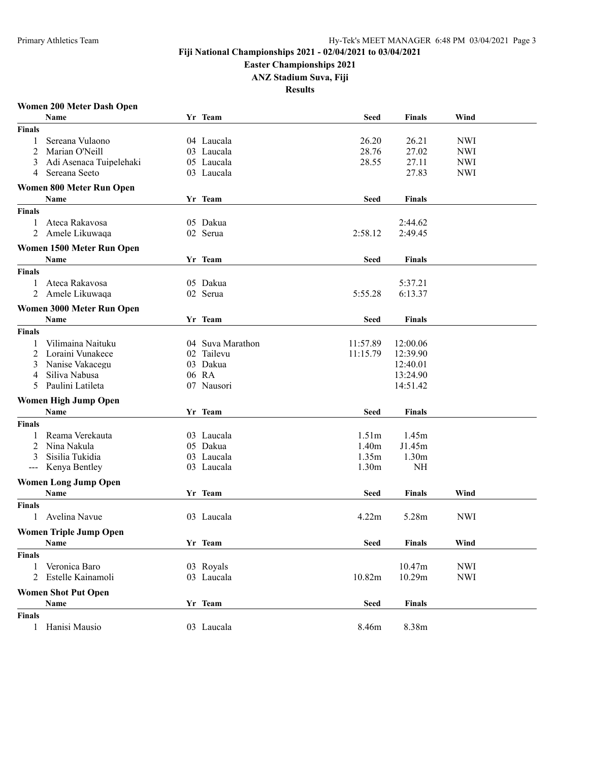#### **Easter Championships 2021**

**ANZ Stadium Suva, Fiji**

**Results**

#### **Women 200 Meter Dash Open**

|                   | Name                          | Yr Team          | <b>Seed</b>       | <b>Finals</b>     | Wind       |  |
|-------------------|-------------------------------|------------------|-------------------|-------------------|------------|--|
| <b>Finals</b>     |                               |                  |                   |                   |            |  |
| 1                 | Sereana Vulaono               | 04 Laucala       | 26.20             | 26.21             | <b>NWI</b> |  |
| 2                 | Marian O'Neill                | 03 Laucala       | 28.76             | 27.02             | <b>NWI</b> |  |
| 3                 | Adi Asenaca Tuipelehaki       | 05 Laucala       | 28.55             | 27.11             | <b>NWI</b> |  |
| 4                 | Sereana Seeto                 | 03 Laucala       |                   | 27.83             | <b>NWI</b> |  |
|                   | Women 800 Meter Run Open      |                  |                   |                   |            |  |
|                   |                               |                  |                   |                   |            |  |
|                   | Name                          | Yr Team          | <b>Seed</b>       | <b>Finals</b>     |            |  |
| <b>Finals</b>     |                               |                  |                   |                   |            |  |
| 1                 | Ateca Rakavosa                | 05 Dakua         |                   | 2:44.62           |            |  |
| $\overline{2}$    | Amele Likuwaqa                | 02 Serua         | 2:58.12           | 2:49.45           |            |  |
|                   | Women 1500 Meter Run Open     |                  |                   |                   |            |  |
|                   | Name                          | Yr Team          | <b>Seed</b>       | <b>Finals</b>     |            |  |
| <b>Finals</b>     |                               |                  |                   |                   |            |  |
| 1                 | Ateca Rakavosa                | 05 Dakua         |                   | 5:37.21           |            |  |
| 2                 | Amele Likuwaqa                | 02 Serua         | 5:55.28           | 6:13.37           |            |  |
|                   | Women 3000 Meter Run Open     |                  |                   |                   |            |  |
|                   |                               | Yr Team          |                   |                   |            |  |
|                   | Name                          |                  | <b>Seed</b>       | <b>Finals</b>     |            |  |
| <b>Finals</b>     |                               |                  |                   |                   |            |  |
| 1                 | Vilimaina Naituku             | 04 Suva Marathon | 11:57.89          | 12:00.06          |            |  |
| 2                 | Loraini Vunakece              | 02 Tailevu       | 11:15.79          | 12:39.90          |            |  |
| 3                 | Nanise Vakacegu               | 03 Dakua         |                   | 12:40.01          |            |  |
| 4                 | Siliva Nabusa                 | 06 RA            |                   | 13:24.90          |            |  |
| 5                 | Paulini Latileta              | 07 Nausori       |                   | 14:51.42          |            |  |
|                   | <b>Women High Jump Open</b>   |                  |                   |                   |            |  |
|                   | Name                          | Yr Team          | <b>Seed</b>       | <b>Finals</b>     |            |  |
| <b>Finals</b>     |                               |                  |                   |                   |            |  |
| 1                 | Reama Verekauta               | 03 Laucala       | 1.51 <sub>m</sub> | 1.45m             |            |  |
| 2                 | Nina Nakula                   | 05 Dakua         | 1.40m             | J1.45m            |            |  |
| 3                 | Sisilia Tukidia               | 03 Laucala       | 1.35m             | 1.30 <sub>m</sub> |            |  |
| $\qquad \qquad -$ | Kenya Bentley                 | 03 Laucala       | 1.30 <sub>m</sub> | NH                |            |  |
|                   |                               |                  |                   |                   |            |  |
|                   | <b>Women Long Jump Open</b>   |                  |                   |                   |            |  |
|                   | Name                          | Yr Team          | <b>Seed</b>       | <b>Finals</b>     | Wind       |  |
| <b>Finals</b>     |                               |                  |                   |                   |            |  |
| 1                 | Avelina Navue                 | 03 Laucala       | 4.22m             | 5.28m             | <b>NWI</b> |  |
|                   | <b>Women Triple Jump Open</b> |                  |                   |                   |            |  |
|                   | Name                          | Yr Team          | Seed              | Finals            | Wind       |  |
| <b>Finals</b>     |                               |                  |                   |                   |            |  |
| 1                 | Veronica Baro                 | 03 Royals        |                   | 10.47m            | <b>NWI</b> |  |
| 2                 | Estelle Kainamoli             | 03 Laucala       | 10.82m            | 10.29m            | <b>NWI</b> |  |
|                   |                               |                  |                   |                   |            |  |
|                   | <b>Women Shot Put Open</b>    | Yr Team          |                   |                   |            |  |
|                   | Name                          |                  | Seed              | <b>Finals</b>     |            |  |
| <b>Finals</b>     |                               |                  |                   |                   |            |  |
| 1                 | Hanisi Mausio                 | 03 Laucala       | 8.46m             | 8.38m             |            |  |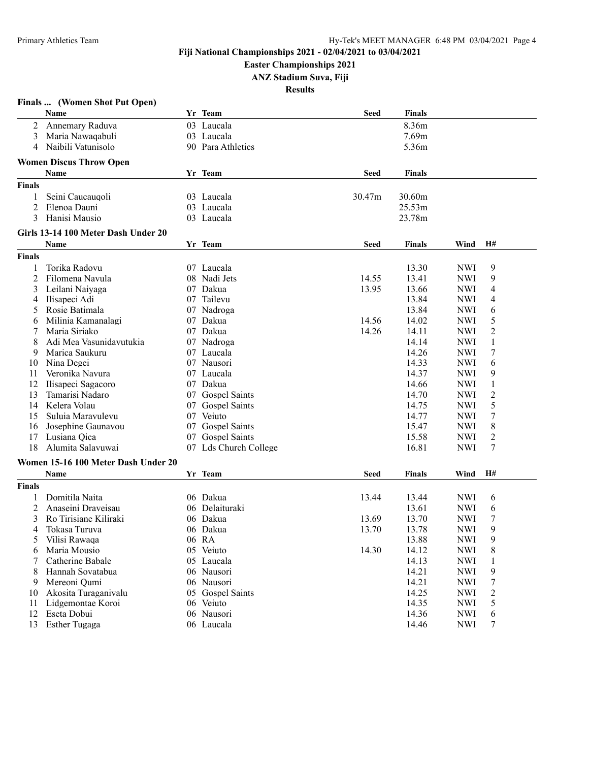**Easter Championships 2021**

**ANZ Stadium Suva, Fiji**

|               | Finals  (Women Shot Put Open)       |                       |             |                |                          |                       |
|---------------|-------------------------------------|-----------------------|-------------|----------------|--------------------------|-----------------------|
|               | Name                                | Yr Team               | <b>Seed</b> | <b>Finals</b>  |                          |                       |
|               | 2 Annemary Raduva                   | 03 Laucala            |             | 8.36m          |                          |                       |
| 3             | Maria Nawaqabuli                    | 03 Laucala            |             | 7.69m          |                          |                       |
| 4             | Naibili Vatunisolo                  | 90 Para Athletics     |             | 5.36m          |                          |                       |
|               |                                     |                       |             |                |                          |                       |
|               | <b>Women Discus Throw Open</b>      |                       |             |                |                          |                       |
|               | Name                                | Yr Team               | <b>Seed</b> | <b>Finals</b>  |                          |                       |
| <b>Finals</b> |                                     |                       |             |                |                          |                       |
| 1             | Seini Caucauqoli                    | 03 Laucala            | 30.47m      | 30.60m         |                          |                       |
| 2             | Elenoa Dauni                        | 03 Laucala            |             | 25.53m         |                          |                       |
| 3             | Hanisi Mausio                       | 03 Laucala            |             | 23.78m         |                          |                       |
|               | Girls 13-14 100 Meter Dash Under 20 |                       |             |                |                          |                       |
|               | Name                                | Yr Team               | <b>Seed</b> | <b>Finals</b>  | Wind                     | H#                    |
|               |                                     |                       |             |                |                          |                       |
| <b>Finals</b> |                                     |                       |             |                |                          |                       |
| 1             | Torika Radovu                       | 07 Laucala            |             | 13.30          | <b>NWI</b>               | 9                     |
| 2             | Filomena Navula                     | 08 Nadi Jets          | 14.55       | 13.41          | <b>NWI</b>               | 9                     |
| 3             | Leilani Naiyaga                     | 07 Dakua              | 13.95       | 13.66          | <b>NWI</b>               | 4                     |
| 4             | Ilisapeci Adi                       | 07 Tailevu            |             | 13.84          | <b>NWI</b>               | 4                     |
| 5             | Rosie Batimala                      | 07 Nadroga            |             | 13.84          | <b>NWI</b>               | 6                     |
| 6             | Milinia Kamanalagi                  | 07 Dakua              | 14.56       | 14.02          | <b>NWI</b>               | 5                     |
| 7             | Maria Siriako                       | 07 Dakua              | 14.26       | 14.11          | <b>NWI</b>               | 2                     |
| 8             | Adi Mea Vasunidavutukia             | 07 Nadroga            |             | 14.14          | <b>NWI</b>               | $\mathbf{1}$          |
| 9             | Marica Saukuru                      | 07 Laucala            |             | 14.26          | <b>NWI</b>               | 7                     |
| 10            | Nina Degei                          | 07 Nausori            |             | 14.33          | <b>NWI</b>               | 6                     |
| 11            | Veronika Navura                     | 07 Laucala            |             | 14.37          | <b>NWI</b>               | 9                     |
| 12            | Ilisapeci Sagacoro                  | 07 Dakua              |             | 14.66          | <b>NWI</b>               | $\mathbf{1}$          |
| 13            | Tamarisi Nadaro                     | 07 Gospel Saints      |             | 14.70          | <b>NWI</b>               | $\overline{c}$        |
| 14            | Kelera Volau                        | 07 Gospel Saints      |             | 14.75          | <b>NWI</b>               | 5                     |
| 15            | Suluia Maravulevu                   | 07 Veiuto             |             | 14.77          | <b>NWI</b>               | 7                     |
| 16            | Josephine Gaunavou                  | 07 Gospel Saints      |             | 15.47          | <b>NWI</b>               | $8\,$                 |
| 17            | Lusiana Qica                        | 07 Gospel Saints      |             | 15.58          | <b>NWI</b>               | $\overline{c}$        |
| 18            | Alumita Salavuwai                   | 07 Lds Church College |             | 16.81          | <b>NWI</b>               | 7                     |
|               | Women 15-16 100 Meter Dash Under 20 |                       |             |                |                          |                       |
|               | Name                                | Yr Team               | <b>Seed</b> | <b>Finals</b>  | Wind                     | H#                    |
| <b>Finals</b> |                                     |                       |             |                |                          |                       |
|               | Domitila Naita                      | 06 Dakua              |             |                |                          |                       |
| 2             | Anaseini Draveisau                  | 06 Delaituraki        | 13.44       | 13.44          | <b>NWI</b>               | 6                     |
| 3             | Ro Tirisiane Kiliraki               | 06 Dakua              | 13.69       | 13.61<br>13.70 | <b>NWI</b><br><b>NWI</b> | 6<br>$\boldsymbol{7}$ |
|               |                                     |                       |             |                |                          |                       |
| 4             | Tokasa Turuva                       | 06 Dakua              | 13.70       | 13.78          | <b>NWI</b>               | 9                     |
| 5             | Vilisi Rawaqa                       | 06 RA                 |             | 13.88          | <b>NWI</b>               | 9                     |
| 6             | Maria Mousio                        | 05 Veiuto             | 14.30       | 14.12          | <b>NWI</b>               | 8                     |
| 7             | Catherine Babale                    | 05 Laucala            |             | 14.13          | <b>NWI</b>               | 1                     |
| 8             | Hannah Sovatabua                    | 06 Nausori            |             | 14.21          | <b>NWI</b>               | 9                     |
| 9             | Mereoni Qumi                        | 06 Nausori            |             | 14.21          | <b>NWI</b>               | 7                     |
| 10            | Akosita Turaganivalu                | 05 Gospel Saints      |             | 14.25          | <b>NWI</b>               | $\overline{c}$        |
| 11            | Lidgemontae Koroi                   | 06 Veiuto             |             | 14.35          | <b>NWI</b>               | 5                     |
| 12            | Eseta Dobui                         | 06 Nausori            |             | 14.36          | <b>NWI</b>               | 6                     |
| 13            | Esther Tugaga                       | 06 Laucala            |             | 14.46          | <b>NWI</b>               | 7                     |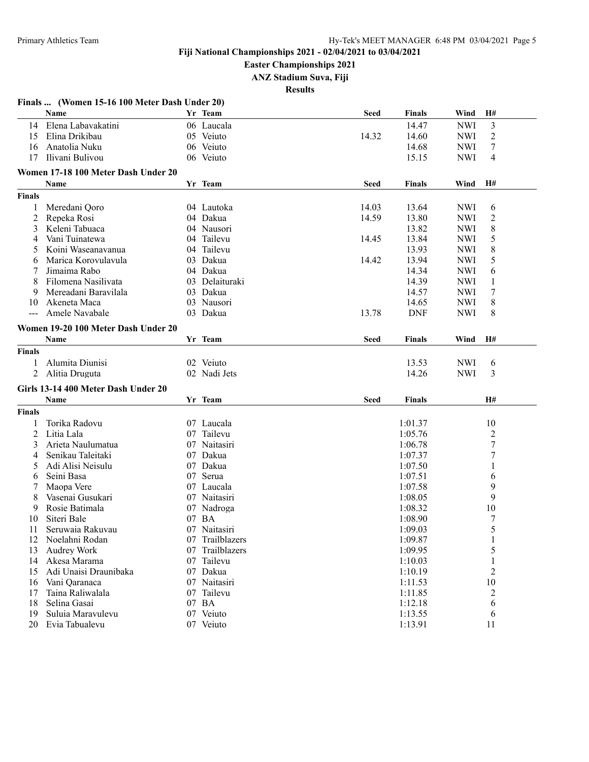**Easter Championships 2021**

**ANZ Stadium Suva, Fiji**

|                   | Finals  (Women 15-16 100 Meter Dash Under 20) |    |                 |             |            |            |                  |
|-------------------|-----------------------------------------------|----|-----------------|-------------|------------|------------|------------------|
|                   | Name                                          |    | Yr Team         | <b>Seed</b> | Finals     | Wind       | H#               |
|                   | 14 Elena Labavakatini                         |    | 06 Laucala      |             | 14.47      | <b>NWI</b> | 3                |
| 15                | Elina Drikibau                                |    | 05 Veiuto       | 14.32       | 14.60      | <b>NWI</b> | $\overline{c}$   |
| 16                | Anatolia Nuku                                 |    | 06 Veiuto       |             | 14.68      | <b>NWI</b> | 7                |
| 17                | Ilivani Bulivou                               |    | 06 Veiuto       |             | 15.15      | <b>NWI</b> | $\overline{4}$   |
|                   | Women 17-18 100 Meter Dash Under 20           |    |                 |             |            |            |                  |
|                   | Name                                          |    | Yr Team         | <b>Seed</b> | Finals     | Wind       | H#               |
| <b>Finals</b>     |                                               |    |                 |             |            |            |                  |
| 1                 | Meredani Qoro                                 |    | 04 Lautoka      | 14.03       | 13.64      | <b>NWI</b> | 6                |
| 2                 | Repeka Rosi                                   |    | 04 Dakua        | 14.59       | 13.80      | <b>NWI</b> | $\overline{2}$   |
| 3                 | Keleni Tabuaca                                |    | 04 Nausori      |             | 13.82      | <b>NWI</b> | 8                |
| 4                 | Vani Tuinatewa                                |    | 04 Tailevu      | 14.45       | 13.84      | <b>NWI</b> | 5                |
| 5                 | Koini Waseanavanua                            |    | 04 Tailevu      |             | 13.93      | <b>NWI</b> | 8                |
| 6                 | Marica Korovulavula                           |    | 03 Dakua        | 14.42       | 13.94      | <b>NWI</b> | 5                |
|                   | Jimaima Rabo                                  |    | 04 Dakua        |             | 14.34      | <b>NWI</b> | 6                |
| 8                 | Filomena Nasilivata                           |    | 03 Delaituraki  |             | 14.39      | <b>NWI</b> | 1                |
| 9                 | Mereadani Baravilala                          |    | 03 Dakua        |             | 14.57      | <b>NWI</b> | 7                |
| 10                | Akeneta Maca                                  |    | 03 Nausori      |             | 14.65      | <b>NWI</b> | 8                |
| $\qquad \qquad -$ | Amele Navabale                                |    | 03 Dakua        | 13.78       | <b>DNF</b> | <b>NWI</b> | 8                |
|                   |                                               |    |                 |             |            |            |                  |
|                   | Women 19-20 100 Meter Dash Under 20           |    |                 |             |            |            |                  |
|                   | Name                                          |    | Yr Team         | <b>Seed</b> | Finals     | Wind       | H#               |
| <b>Finals</b>     |                                               |    |                 |             |            |            |                  |
| 1                 | Alumita Diunisi                               |    | 02 Veiuto       |             | 13.53      | <b>NWI</b> | 6                |
|                   | 2 Alitia Druguta                              |    | 02 Nadi Jets    |             | 14.26      | <b>NWI</b> | 3                |
|                   | Girls 13-14 400 Meter Dash Under 20           |    |                 |             |            |            |                  |
|                   | Name                                          |    | Yr Team         | <b>Seed</b> | Finals     |            | H#               |
| <b>Finals</b>     |                                               |    |                 |             |            |            |                  |
| 1                 | Torika Radovu                                 |    | 07 Laucala      |             | 1:01.37    |            | 10               |
| 2                 | Litia Lala                                    |    | 07 Tailevu      |             | 1:05.76    |            | $\overline{2}$   |
| 3                 | Arieta Naulumatua                             |    | 07 Naitasiri    |             | 1:06.78    |            | $\boldsymbol{7}$ |
| 4                 | Senikau Taleitaki                             |    | 07 Dakua        |             | 1:07.37    |            | $\boldsymbol{7}$ |
| 5                 | Adi Alisi Neisulu                             |    | 07 Dakua        |             | 1:07.50    |            | 1                |
| 6                 | Seini Basa                                    |    | 07 Serua        |             | 1:07.51    |            | 6                |
|                   | Maopa Vere                                    |    | 07 Laucala      |             | 1:07.58    |            | 9                |
| 8                 | Vasenai Gusukari                              |    | 07 Naitasiri    |             | 1:08.05    |            | 9                |
| 9                 | Rosie Batimala                                | 07 | Nadroga         |             | 1:08.32    |            | 10               |
| 10                | Siteri Bale                                   |    | 07 BA           |             | 1:08.90    |            | 7                |
| 11                | Seruwaia Rakuvau                              |    | 07 Naitasiri    |             | 1:09.03    |            | 5                |
| 12                | Noelahni Rodan                                |    | 07 Trailblazers |             | 1:09.87    |            |                  |
| 13                | Audrey Work                                   |    | 07 Trailblazers |             | 1:09.95    |            | 5                |
| 14                | Akesa Marama                                  |    | 07 Tailevu      |             | 1:10.03    |            | $\mathbf{1}$     |
| 15                | Adi Unaisi Draunibaka                         |    | 07 Dakua        |             | 1:10.19    |            | $\boldsymbol{2}$ |
| 16                | Vani Qaranaca                                 |    | 07 Naitasiri    |             | 1:11.53    |            | $10\,$           |
| 17                | Taina Raliwalala                              |    | 07 Tailevu      |             | 1:11.85    |            | $\overline{2}$   |
| 18                | Selina Gasai                                  |    | 07 BA           |             | 1:12.18    |            | 6                |
| 19                | Suluia Maravulevu                             |    | 07 Veiuto       |             | 1:13.55    |            | 6                |
| 20                | Evia Tabualevu                                |    | 07 Veiuto       |             | 1:13.91    |            | 11               |
|                   |                                               |    |                 |             |            |            |                  |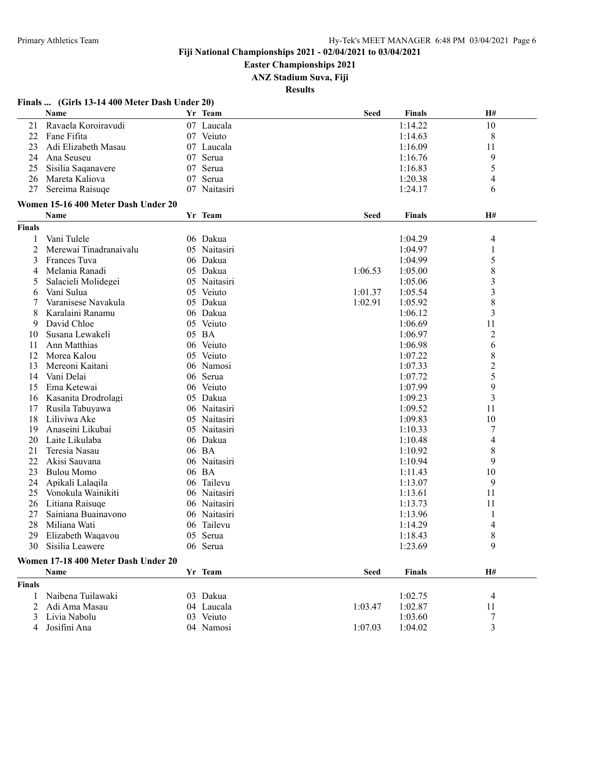#### **Easter Championships 2021**

**ANZ Stadium Suva, Fiji**

**Results**

#### **Finals ... (Girls 13-14 400 Meter Dash Under 20)**

|                | Name                                |     | Yr Team      | <b>Seed</b> | <b>Finals</b> | H#                      |
|----------------|-------------------------------------|-----|--------------|-------------|---------------|-------------------------|
| 21             | Ravaela Koroiravudi                 |     | 07 Laucala   |             | 1:14.22       | 10                      |
| 22             | Fane Fifita                         |     | 07 Veiuto    |             | 1:14.63       | 8                       |
| 23             | Adi Elizabeth Masau                 |     | 07 Laucala   |             | 1:16.09       | 11                      |
| 24             | Ana Seuseu                          |     | 07 Serua     |             | 1:16.76       | 9                       |
| 25             | Sisilia Saqanavere                  |     | 07 Serua     |             | 1:16.83       | 5                       |
| 26             | Mareta Kaliova                      | 07  | Serua        |             | 1:20.38       | 4                       |
| 27             | Sereima Raisuqe                     |     | 07 Naitasiri |             | 1:24.17       | 6                       |
|                |                                     |     |              |             |               |                         |
|                | Women 15-16 400 Meter Dash Under 20 |     |              |             |               |                         |
|                | Name                                |     | Yr Team      | <b>Seed</b> | Finals        | H#                      |
| <b>Finals</b>  |                                     |     |              |             |               |                         |
| 1              | Vani Tulele                         |     | 06 Dakua     |             | 1:04.29       | 4                       |
| $\overline{c}$ | Merewai Tinadranaivalu              |     | 05 Naitasiri |             | 1:04.97       | $\mathbf{1}$            |
| 3              | Frances Tuva                        |     | 06 Dakua     |             | 1:04.99       | 5                       |
| 4              | Melania Ranadi                      |     | 05 Dakua     | 1:06.53     | 1:05.00       | $\,$ 8 $\,$             |
| 5              | Salacieli Molidegei                 |     | 05 Naitasiri |             | 1:05.06       | $\overline{\mathbf{3}}$ |
| 6              | Vani Sulua                          |     | 05 Veiuto    | 1:01.37     | 1:05.54       | 3                       |
| 7              | Varanisese Navakula                 |     | 05 Dakua     | 1:02.91     | 1:05.92       | 8                       |
| 8              | Karalaini Ranamu                    |     | 06 Dakua     |             | 1:06.12       | $\overline{3}$          |
| 9              | David Chloe                         |     | 05 Veiuto    |             | 1:06.69       | 11                      |
| 10             | Susana Lewakeli                     |     | 05 BA        |             | 1:06.97       | $\overline{2}$          |
| 11             | Ann Matthias                        |     | 06 Veiuto    |             | 1:06.98       | 6                       |
| 12             | Morea Kalou                         |     | 05 Veiuto    |             | 1:07.22       | 8                       |
| 13             | Mereoni Kaitani                     |     | 06 Namosi    |             | 1:07.33       | $\overline{c}$          |
| 14             | Vani Delai                          |     | 06 Serua     |             | 1:07.72       | 5                       |
| 15             | Ema Ketewai                         |     | 06 Veiuto    |             | 1:07.99       | 9                       |
| 16             | Kasanita Drodrolagi                 |     | 05 Dakua     |             | 1:09.23       | $\overline{3}$          |
| 17             | Rusila Tabuyawa                     |     | 06 Naitasiri |             | 1:09.52       | 11                      |
| 18             | Liliviwa Ake                        | 05  | Naitasiri    |             | 1:09.83       | 10                      |
| 19             | Anaseini Likubai                    |     | 05 Naitasiri |             | 1:10.33       | 7                       |
| 20             | Laite Likulaba                      |     | 06 Dakua     |             | 1:10.48       | 4                       |
| 21             | Teresia Nasau                       |     | 06 BA        |             | 1:10.92       | 8                       |
| 22             | Akisi Sauvana                       |     | 06 Naitasiri |             | 1:10.94       | 9                       |
| 23             | <b>Bulou Momo</b>                   |     | 06 BA        |             | 1:11.43       | 10                      |
| 24             | Apikali Lalaqila                    | 06. | Tailevu      |             | 1:13.07       | 9                       |
| 25             | Vonokula Wainikiti                  |     | 06 Naitasiri |             | 1:13.61       | 11                      |
| 26             | Litiana Raisuqe                     |     | 06 Naitasiri |             | 1:13.73       | 11                      |
| 27             | Sainiana Buainavono                 |     | 06 Naitasiri |             | 1:13.96       | 1                       |
| 28             | Miliana Wati                        | 06  | Tailevu      |             | 1:14.29       | 4                       |
| 29             | Elizabeth Waqavou                   | 05  | Serua        |             | 1:18.43       | 8                       |
|                | 30 Sisilia Leawere                  |     | 06 Serua     |             | 1:23.69       | 9                       |
|                |                                     |     |              |             |               |                         |
|                | Women 17-18 400 Meter Dash Under 20 |     |              |             |               |                         |
|                | Name                                |     | Yr Team      | <b>Seed</b> | <b>Finals</b> | H#                      |
| Finals         |                                     |     |              |             |               |                         |
| 1              | Naibena Tuilawaki                   |     | 03 Dakua     |             | 1:02.75       | 4                       |
| 2              | Adi Ama Masau                       |     | 04 Laucala   | 1:03.47     | 1:02.87       | 11                      |
| 3              | Livia Nabolu                        |     | 03 Veiuto    |             | 1:03.60       | 7                       |
| 4              | Josifini Ana                        |     | 04 Namosi    | 1:07.03     | 1:04.02       | $\overline{3}$          |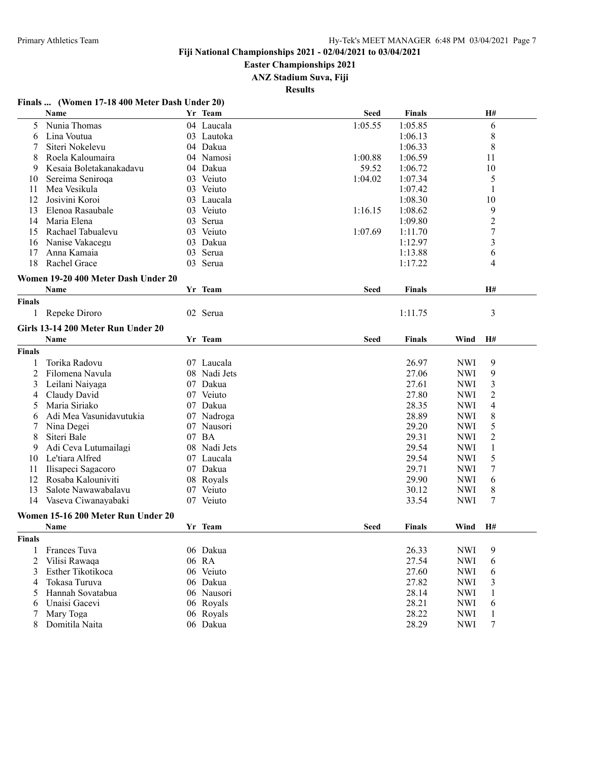#### **Easter Championships 2021**

**ANZ Stadium Suva, Fiji**

**Results**

#### **Finals ... (Women 17-18 400 Meter Dash Under 20)**

|               | Name                                |     | Yr Team      | <b>Seed</b> | <b>Finals</b> |            | H#                      |
|---------------|-------------------------------------|-----|--------------|-------------|---------------|------------|-------------------------|
| 5             | Nunia Thomas                        |     | 04 Laucala   | 1:05.55     | 1:05.85       |            | 6                       |
| 6             | Lina Voutua                         |     | 03 Lautoka   |             | 1:06.13       |            | 8                       |
| 7             | Siteri Nokelevu                     |     | 04 Dakua     |             | 1:06.33       |            | 8                       |
| 8             | Roela Kaloumaira                    |     | 04 Namosi    | 1:00.88     | 1:06.59       |            | 11                      |
| 9             | Kesaia Boletakanakadavu             |     | 04 Dakua     | 59.52       | 1:06.72       |            | 10                      |
| 10            | Sereima Seniroqa                    |     | 03 Veiuto    | 1:04.02     | 1:07.34       |            | 5                       |
| 11            | Mea Vesikula                        |     | 03 Veiuto    |             | 1:07.42       |            | 1                       |
| 12            | Josivini Koroi                      |     | 03 Laucala   |             | 1:08.30       |            | 10                      |
| 13            | Elenoa Rasaubale                    |     | 03 Veiuto    | 1:16.15     | 1:08.62       |            | 9                       |
| 14            | Maria Elena                         |     | 03 Serua     |             | 1:09.80       |            | $\overline{c}$          |
| 15            | Rachael Tabualevu                   |     | 03 Veiuto    | 1:07.69     | 1:11.70       |            | $\overline{7}$          |
| 16            | Nanise Vakacegu                     | 03  | Dakua        |             | 1:12.97       |            | $\overline{\mathbf{3}}$ |
| 17            | Anna Kamaia                         | 03. | Serua        |             | 1:13.88       |            | 6                       |
| 18            | Rachel Grace                        |     | 03 Serua     |             | 1:17.22       |            | 4                       |
|               |                                     |     |              |             |               |            |                         |
|               | Women 19-20 400 Meter Dash Under 20 |     |              |             |               |            |                         |
|               | Name                                |     | Yr Team      | <b>Seed</b> | <b>Finals</b> |            | <b>H#</b>               |
| <b>Finals</b> |                                     |     |              |             |               |            |                         |
|               | 1 Repeke Diroro                     |     | 02 Serua     |             | 1:11.75       |            | 3                       |
|               | Girls 13-14 200 Meter Run Under 20  |     |              |             |               |            |                         |
|               | Name                                |     | Yr Team      | <b>Seed</b> | Finals        | Wind       | H#                      |
| <b>Finals</b> |                                     |     |              |             |               |            |                         |
| 1             | Torika Radovu                       |     | 07 Laucala   |             | 26.97         | <b>NWI</b> | 9                       |
| 2             | Filomena Navula                     | 08  | Nadi Jets    |             | 27.06         | <b>NWI</b> | 9                       |
| 3             | Leilani Naiyaga                     | 07  | Dakua        |             | 27.61         | <b>NWI</b> | 3                       |
| 4             | Claudy David                        |     | 07 Veiuto    |             | 27.80         | <b>NWI</b> | $\overline{c}$          |
| 5             | Maria Siriako                       |     | 07 Dakua     |             | 28.35         | <b>NWI</b> | 4                       |
|               | Adi Mea Vasunidavutukia             |     | 07 Nadroga   |             | 28.89         | <b>NWI</b> | 8                       |
| 6             |                                     |     |              |             | 29.20         |            | 5                       |
| 7             | Nina Degei                          |     | 07 Nausori   |             |               | <b>NWI</b> |                         |
| 8             | Siteri Bale                         | 07  | <b>BA</b>    |             | 29.31         | <b>NWI</b> | $\overline{2}$          |
| 9             | Adi Ceva Lutumailagi                |     | 08 Nadi Jets |             | 29.54         | <b>NWI</b> | $\mathbf{1}$            |
| 10            | Le'tiara Alfred                     |     | 07 Laucala   |             | 29.54         | <b>NWI</b> | 5                       |
| 11            | Ilisapeci Sagacoro                  |     | 07 Dakua     |             | 29.71         | <b>NWI</b> | 7                       |
| 12            | Rosaba Kalouniviti                  |     | 08 Royals    |             | 29.90         | <b>NWI</b> | 6                       |
| 13            | Salote Nawawabalavu                 |     | 07 Veiuto    |             | 30.12         | <b>NWI</b> | 8                       |
| 14            | Vaseva Ciwanayabaki                 |     | 07 Veiuto    |             | 33.54         | <b>NWI</b> | 7                       |
|               | Women 15-16 200 Meter Run Under 20  |     |              |             |               |            |                         |
|               | <b>Name</b>                         |     | Yr Team      | <b>Seed</b> | Finals        | Wind       | H#                      |
| Finals        |                                     |     |              |             |               |            |                         |
|               | Frances Tuva                        |     | 06 Dakua     |             | 26.33         | <b>NWI</b> | 9                       |
| 2             | Vilisi Rawaqa                       |     | 06 RA        |             | 27.54         | <b>NWI</b> | 6                       |
| 3             | Esther Tikotikoca                   |     | 06 Veiuto    |             | 27.60         | <b>NWI</b> | 6                       |
| 4             | Tokasa Turuva                       |     | 06 Dakua     |             | 27.82         | <b>NWI</b> | 3                       |
| 5             | Hannah Sovatabua                    |     | 06 Nausori   |             | 28.14         | <b>NWI</b> | $\mathbf{1}$            |
| 6             | Unaisi Gacevi                       |     | 06 Royals    |             | 28.21         | <b>NWI</b> | 6                       |
| 7             | Mary Toga                           |     | 06 Royals    |             | 28.22         | <b>NWI</b> | $\mathbf{1}$            |
| 8             | Domitila Naita                      |     | 06 Dakua     |             | 28.29         | <b>NWI</b> | 7                       |
|               |                                     |     |              |             |               |            |                         |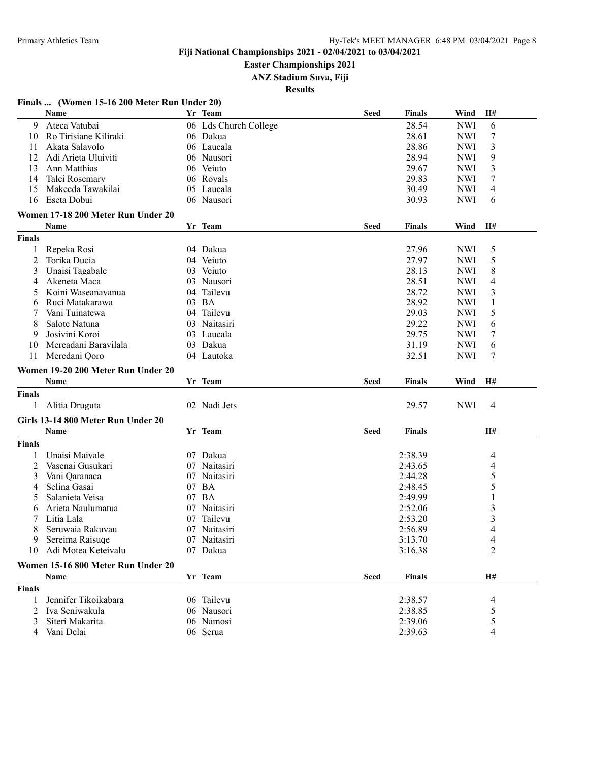**Easter Championships 2021**

**ANZ Stadium Suva, Fiji**

|               | Name                               | Yr Team               | <b>Seed</b> | <b>Finals</b>      | Wind       | H#             |
|---------------|------------------------------------|-----------------------|-------------|--------------------|------------|----------------|
| 9             | Ateca Vatubai                      | 06 Lds Church College |             | 28.54              | <b>NWI</b> | 6              |
| 10            | Ro Tirisiane Kiliraki              | 06 Dakua              |             | 28.61              | <b>NWI</b> | 7              |
| 11            | Akata Salavolo                     | 06 Laucala            |             | 28.86              | <b>NWI</b> | 3              |
| 12            | Adi Arieta Uluiviti                | 06 Nausori            |             | 28.94              | <b>NWI</b> | 9              |
| 13            | Ann Matthias                       | 06 Veiuto             |             | 29.67              | <b>NWI</b> | 3              |
| 14            | Talei Rosemary                     | 06 Royals             |             | 29.83              | <b>NWI</b> | 7              |
| 15            | Makeeda Tawakilai                  | 05 Laucala            |             | 30.49              | <b>NWI</b> | $\overline{4}$ |
| 16            | Eseta Dobui                        | 06 Nausori            |             | 30.93              | <b>NWI</b> | 6              |
|               | Women 17-18 200 Meter Run Under 20 |                       |             |                    |            |                |
|               | Name                               | Yr Team               | <b>Seed</b> | <b>Finals</b>      | Wind       | H#             |
| <b>Finals</b> |                                    |                       |             |                    |            |                |
|               |                                    |                       |             |                    |            |                |
| 1             | Repeka Rosi                        | 04 Dakua              |             | 27.96              | <b>NWI</b> | 5              |
| 2             | Torika Ducia                       | 04 Veiuto             |             | 27.97              | <b>NWI</b> | 5              |
| 3             | Unaisi Tagabale                    | 03 Veiuto             |             | 28.13              | <b>NWI</b> | 8              |
| 4             | Akeneta Maca                       | 03 Nausori            |             | 28.51              | <b>NWI</b> | $\overline{4}$ |
| 5             | Koini Waseanavanua                 | 04 Tailevu            |             | 28.72              | <b>NWI</b> | 3              |
| 6             | Ruci Matakarawa                    | 03 BA                 |             | 28.92              | <b>NWI</b> | 1              |
|               | Vani Tuinatewa                     | 04 Tailevu            |             | 29.03              | <b>NWI</b> | 5              |
| 8             | Salote Natuna                      | 03 Naitasiri          |             | 29.22              | <b>NWI</b> | 6              |
| 9             | Josivini Koroi                     | 03 Laucala            |             | 29.75              | <b>NWI</b> | 7              |
| 10            | Mereadani Baravilala               | 03 Dakua              |             | 31.19              | <b>NWI</b> | 6              |
| 11            | Meredani Qoro                      | 04 Lautoka            |             | 32.51              | <b>NWI</b> | 7              |
|               | Women 19-20 200 Meter Run Under 20 |                       |             |                    |            |                |
|               |                                    |                       |             |                    |            |                |
|               | Name                               | Yr Team               | Seed        | Finals             | Wind       | H#             |
| <b>Finals</b> |                                    |                       |             |                    |            |                |
| 1             |                                    |                       |             |                    |            | 4              |
|               | Alitia Druguta                     | 02 Nadi Jets          |             | 29.57              | <b>NWI</b> |                |
|               | Girls 13-14 800 Meter Run Under 20 |                       |             |                    |            |                |
|               | Name                               | Yr Team               | Seed        | <b>Finals</b>      |            | H#             |
| <b>Finals</b> |                                    |                       |             |                    |            |                |
| 1             | Unaisi Maivale                     | 07 Dakua              |             | 2:38.39            |            | 4              |
| 2             | Vasenai Gusukari                   | 07 Naitasiri          |             | 2:43.65            |            | 4              |
| 3             | Vani Qaranaca                      | 07 Naitasiri          |             | 2:44.28            |            | 5              |
| 4             | Selina Gasai                       | 07 BA                 |             | 2:48.45            |            | 5              |
| 5             | Salanieta Veisa                    | 07 BA                 |             | 2:49.99            |            | 1              |
| 6             | Arieta Naulumatua                  | 07 Naitasiri          |             | 2:52.06            |            | 3              |
|               | Litia Lala                         | 07 Tailevu            |             | 2:53.20            |            | 3              |
|               | Seruwaia Rakuvau                   | 07 Naitasiri          |             | 2:56.89            |            | 4              |
| 9             | Sereima Raisuqe                    | 07 Naitasiri          |             | 3:13.70            |            |                |
|               | 10 Adi Motea Keteivalu             | 07 Dakua              |             | 3:16.38            |            | 2              |
|               |                                    |                       |             |                    |            |                |
|               | Women 15-16 800 Meter Run Under 20 |                       |             |                    |            | H#             |
|               | Name                               | Yr Team               | <b>Seed</b> | <b>Finals</b>      |            |                |
| <b>Finals</b> |                                    |                       |             |                    |            |                |
| 1             | Jennifer Tikoikabara               | 06 Tailevu            |             | 2:38.57            |            | 4              |
| 2             | Iva Seniwakula                     | 06 Nausori            |             | 2:38.85            |            | 5              |
| 3<br>4        | Siteri Makarita<br>Vani Delai      | 06 Namosi<br>06 Serua |             | 2:39.06<br>2:39.63 |            | 5<br>4         |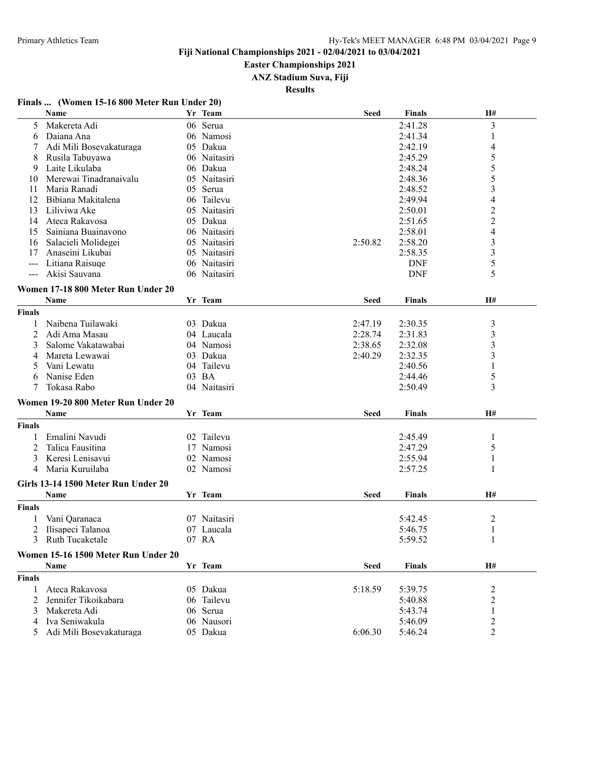#### **Easter Championships 2021**

**ANZ Stadium Suva, Fiji**

**Results**

#### **Finals ... (Women 15-16 800 Meter Run Under 20)**

|               | Name                                | Yr Team      | <b>Seed</b> | <b>Finals</b> | H#                      |
|---------------|-------------------------------------|--------------|-------------|---------------|-------------------------|
| 5             | Makereta Adi                        | 06 Serua     |             | 2:41.28       | 3                       |
| 6             | Daiana Ana                          | 06 Namosi    |             | 2:41.34       | 1                       |
|               | Adi Mili Bosevakaturaga             | 05 Dakua     |             | 2:42.19       | 4                       |
| 8             | Rusila Tabuyawa                     | 06 Naitasiri |             | 2:45.29       | 5                       |
| 9             | Laite Likulaba                      | 06 Dakua     |             | 2:48.24       | 5                       |
| 10            | Merewai Tinadranaivalu              | 05 Naitasiri |             | 2:48.36       | 5                       |
| 11            | Maria Ranadi                        | 05 Serua     |             | 2:48.52       | 3                       |
| 12            | Bibiana Makitalena                  | 06 Tailevu   |             | 2:49.94       | 4                       |
| 13            | Liliviwa Ake                        | 05 Naitasiri |             | 2:50.01       | $\overline{2}$          |
| 14            | Ateca Rakavosa                      | 05 Dakua     |             | 2:51.65       | $\overline{c}$          |
| 15            | Sainiana Buainavono                 | 06 Naitasiri |             | 2:58.01       | $\overline{4}$          |
| 16            | Salacieli Molidegei                 | 05 Naitasiri | 2:50.82     | 2:58.20       | 3                       |
| 17            | Anaseini Likubai                    | 05 Naitasiri |             | 2:58.35       | $\mathfrak{Z}$          |
| $--$          | Litiana Raisuqe                     | 06 Naitasiri |             | <b>DNF</b>    | 5                       |
| $---$         | Akisi Sauvana                       | 06 Naitasiri |             | <b>DNF</b>    | 5                       |
|               | Women 17-18 800 Meter Run Under 20  |              |             |               |                         |
|               |                                     |              |             |               | <b>H#</b>               |
|               | <b>Name</b>                         | Yr Team      | <b>Seed</b> | <b>Finals</b> |                         |
| <b>Finals</b> |                                     |              |             |               |                         |
| 1             | Naibena Tuilawaki                   | 03 Dakua     | 2:47.19     | 2:30.35       | 3                       |
| 2             | Adi Ama Masau                       | 04 Laucala   | 2:28.74     | 2:31.83       | 3                       |
| 3             | Salome Vakatawabai                  | 04 Namosi    | 2:38.65     | 2:32.08       | 3                       |
| 4             | Mareta Lewawai                      | 03 Dakua     | 2:40.29     | 2:32.35       | 3                       |
| 5             | Vani Lewatu                         | 04 Tailevu   |             | 2:40.56       | 1                       |
|               | Nanise Eden                         | 03 BA        |             | 2:44.46       | 5                       |
| 7             | Tokasa Rabo                         | 04 Naitasiri |             | 2:50.49       | 3                       |
|               | Women 19-20 800 Meter Run Under 20  |              |             |               |                         |
|               | Name                                | Yr Team      | Seed        | <b>Finals</b> | H#                      |
| <b>Finals</b> |                                     |              |             |               |                         |
| 1             | Emalini Navudi                      | 02 Tailevu   |             | 2:45.49       | 1                       |
| 2             | Talica Fausitina                    | 17 Namosi    |             | 2:47.29       | 5                       |
| 3             | Keresi Lenisavui                    | 02 Namosi    |             | 2:55.94       | 1                       |
| 4             | Maria Kuruilaba                     | 02 Namosi    |             | 2:57.25       | 1                       |
|               |                                     |              |             |               |                         |
|               | Girls 13-14 1500 Meter Run Under 20 |              |             |               |                         |
|               | Name                                | Yr Team      | Seed        | <b>Finals</b> | H#                      |
| <b>Finals</b> |                                     |              |             |               |                         |
|               | Vani Qaranaca                       | 07 Naitasiri |             | 5:42.45       | $\overline{\mathbf{c}}$ |
| 2             | Ilisapeci Talanoa                   | 07 Laucala   |             | 5:46.75       |                         |
|               | 3 Ruth Tucaketale                   | 07 RA        |             | 5:59.52       |                         |
|               | Women 15-16 1500 Meter Run Under 20 |              |             |               |                         |
|               | <b>Name</b>                         | Yr Team      | <b>Seed</b> | <b>Finals</b> | H#                      |
|               |                                     |              |             |               |                         |
| Finals        |                                     |              |             |               |                         |
| 1             | Ateca Rakavosa                      | 05 Dakua     | 5:18.59     | 5:39.75       | $\overline{2}$          |
| 2             | Jennifer Tikoikabara                | 06 Tailevu   |             | 5:40.88       | $\overline{c}$          |
| 3             | Makereta Adi                        | 06 Serua     |             | 5:43.74       | $\,1\,$                 |
| 4             | Iva Seniwakula                      | 06 Nausori   |             | 5:46.09       | $\overline{c}$          |
| 5             | Adi Mili Bosevakaturaga             | 05 Dakua     | 6:06.30     | 5:46.24       | $\overline{2}$          |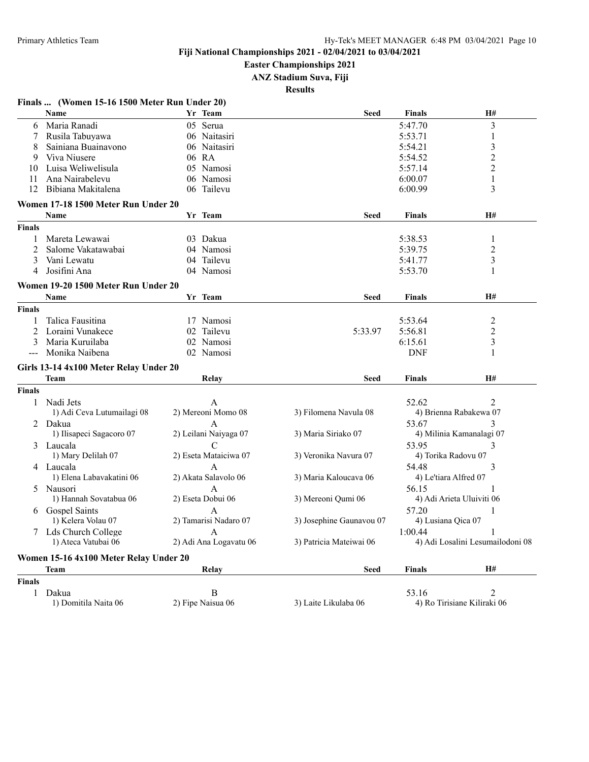**Easter Championships 2021**

**ANZ Stadium Suva, Fiji**

|               |                                                |                        | <b>Results</b>           |                       |                                  |
|---------------|------------------------------------------------|------------------------|--------------------------|-----------------------|----------------------------------|
|               | Finals  (Women 15-16 1500 Meter Run Under 20)  |                        |                          |                       |                                  |
|               | Name                                           | Yr Team                | <b>Seed</b>              | Finals                | H#                               |
| 6             | Maria Ranadi                                   | 05 Serua               |                          | 5:47.70               | 3                                |
|               | Rusila Tabuyawa                                | 06 Naitasiri           |                          | 5:53.71               | 1                                |
| 8             | Sainiana Buainavono                            | 06 Naitasiri           |                          | 5:54.21               | 3                                |
| 9             | Viva Niusere                                   | 06 RA                  |                          | 5:54.52               | $\overline{c}$                   |
| 10            | Luisa Weliwelisula                             | 05 Namosi              |                          | 5:57.14               | 2                                |
| 11            | Ana Nairabelevu                                | 06 Namosi              |                          | 6:00.07               | 1                                |
| 12            | Bibiana Makitalena                             | 06 Tailevu             |                          | 6:00.99               | 3                                |
|               | Women 17-18 1500 Meter Run Under 20            |                        |                          |                       |                                  |
|               | Name                                           | Yr Team                | <b>Seed</b>              | <b>Finals</b>         | H#                               |
| <b>Finals</b> |                                                |                        |                          |                       |                                  |
| 1             | Mareta Lewawai                                 | 03 Dakua               |                          | 5:38.53               | 1                                |
| 2             | Salome Vakatawabai                             | 04 Namosi              |                          | 5:39.75               | 2                                |
| 3             | Vani Lewatu                                    | 04 Tailevu             |                          | 5:41.77               | 3                                |
| 4             | Josifini Ana                                   | 04 Namosi              |                          | 5:53.70               | 1                                |
|               | Women 19-20 1500 Meter Run Under 20            |                        |                          |                       |                                  |
|               | Name                                           | Yr Team                | Seed                     | Finals                | H#                               |
| Finals        |                                                |                        |                          |                       |                                  |
| 1             | Talica Fausitina                               | 17 Namosi              |                          | 5:53.64               | 2                                |
| 2             | Loraini Vunakece                               | 02 Tailevu             | 5:33.97                  | 5:56.81               | 2                                |
| 3             | Maria Kuruilaba                                | 02 Namosi              |                          | 6:15.61               | 3                                |
|               | Monika Naibena                                 | 02 Namosi              |                          | <b>DNF</b>            | 1                                |
|               |                                                |                        |                          |                       |                                  |
|               | Girls 13-14 4x100 Meter Relay Under 20<br>Team | Relay                  | Seed                     | Finals                | H#                               |
| Finals        |                                                |                        |                          |                       |                                  |
| 1             | Nadi Jets                                      | A                      |                          | 52.62                 | $\mathfrak{D}$                   |
|               | 1) Adi Ceva Lutumailagi 08                     | 2) Mereoni Momo 08     | 3) Filomena Navula 08    |                       | 4) Brienna Rabakewa 07           |
|               |                                                |                        |                          |                       |                                  |
| 2             | Dakua                                          | A                      |                          | 53.67                 | 3                                |
|               | 1) Ilisapeci Sagacoro 07                       | 2) Leilani Naiyaga 07  | 3) Maria Siriako 07      |                       | 4) Milinia Kamanalagi 07         |
|               | 3 Laucala                                      | C                      |                          | 53.95                 | 3                                |
|               | 1) Mary Delilah 07                             | 2) Eseta Mataiciwa 07  | 3) Veronika Navura 07    |                       | 4) Torika Radovu 07              |
|               | 4 Laucala                                      | А                      |                          | 54.48                 | 3                                |
|               | 1) Elena Labavakatini 06                       | 2) Akata Salavolo 06   | 3) Maria Kaloucava 06    | 4) Le'tiara Alfred 07 |                                  |
| 5.            | Nausori                                        | A                      |                          | 56.15                 |                                  |
|               | 1) Hannah Sovatabua 06                         | 2) Eseta Dobui 06      | 3) Mereoni Qumi 06       |                       | 4) Adi Arieta Uluiviti 06        |
|               | 6 Gospel Saints                                | A                      |                          | 57.20                 | 1                                |
|               | 1) Kelera Volau 07                             | 2) Tamarisi Nadaro 07  | 3) Josephine Gaunavou 07 | 4) Lusiana Qica 07    |                                  |
|               | 7 Lds Church College                           | A                      |                          | 1:00.44               |                                  |
|               | 1) Ateca Vatubai 06                            | 2) Adi Ana Logavatu 06 | 3) Patricia Mateiwai 06  |                       | 4) Adi Losalini Lesumailodoni 08 |
|               | Women 15-16 4x100 Meter Relay Under 20         |                        |                          |                       |                                  |
|               | Team                                           | Relay                  | <b>Seed</b>              | <b>Finals</b>         | H#                               |
| Finals        |                                                |                        |                          |                       |                                  |
| $\mathbf{1}$  | Dakua                                          | $\, {\bf B}$           |                          | 53.16                 | 2                                |
|               | 1) Domitila Naita 06                           | 2) Fipe Naisua 06      | 3) Laite Likulaba 06     |                       | 4) Ro Tirisiane Kiliraki 06      |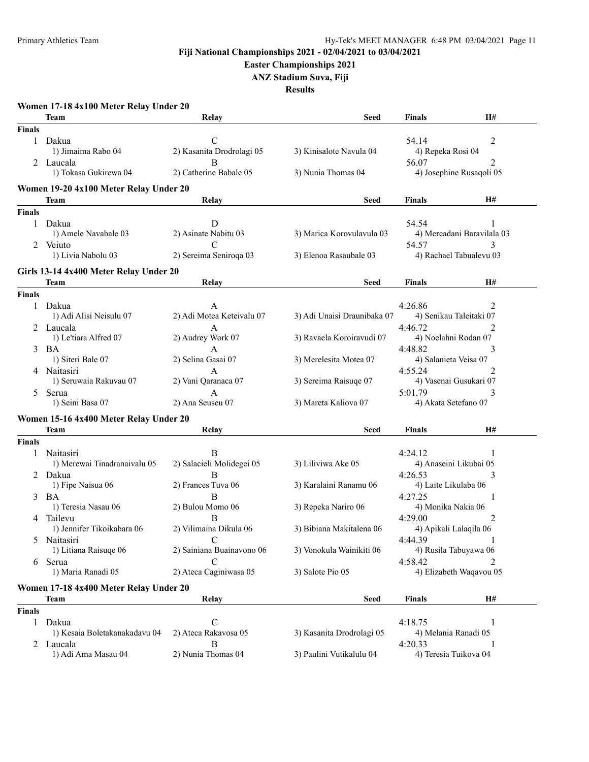**Easter Championships 2021**

**ANZ Stadium Suva, Fiji**

|               | Women 17-18 4x100 Meter Relay Under 20 |                           |                             |                        |                            |
|---------------|----------------------------------------|---------------------------|-----------------------------|------------------------|----------------------------|
|               | Team                                   | Relay                     | Seed                        | Finals                 | H#                         |
| <b>Finals</b> |                                        |                           |                             |                        |                            |
| 1             | Dakua                                  | $\mathcal{C}$             |                             | 54.14                  | 2                          |
|               | 1) Jimaima Rabo 04                     | 2) Kasanita Drodrolagi 05 | 3) Kinisalote Navula 04     | 4) Repeka Rosi 04      |                            |
|               | 2 Laucala                              | B                         |                             | 56.07                  | 2                          |
|               | 1) Tokasa Gukirewa 04                  | 2) Catherine Babale 05    | 3) Nunia Thomas 04          |                        | 4) Josephine Rusaqoli 05   |
|               |                                        |                           |                             |                        |                            |
|               | Women 19-20 4x100 Meter Relay Under 20 |                           |                             |                        |                            |
|               | Team                                   | Relay                     | Seed                        | Finals                 | H#                         |
| <b>Finals</b> |                                        |                           |                             |                        |                            |
| $\mathbf{1}$  | Dakua                                  | D                         |                             | 54.54                  | 1                          |
|               | 1) Amele Navabale 03                   | 2) Asinate Nabitu 03      | 3) Marica Korovulavula 03   |                        | 4) Mereadani Baravilala 03 |
| 2             | Veiuto                                 | C                         |                             | 54.57                  | 3                          |
|               | 1) Livia Nabolu 03                     | 2) Sereima Seniroqa 03    | 3) Elenoa Rasaubale 03      |                        | 4) Rachael Tabualevu 03    |
|               | Girls 13-14 4x400 Meter Relay Under 20 |                           |                             |                        |                            |
|               | Team                                   | Relay                     | <b>Seed</b>                 | Finals                 | H#                         |
| <b>Finals</b> |                                        |                           |                             |                        |                            |
| 1             | Dakua                                  | A                         |                             | 4:26.86                | 2                          |
|               | 1) Adi Alisi Neisulu 07                | 2) Adi Motea Keteivalu 07 | 3) Adi Unaisi Draunibaka 07 |                        | 4) Senikau Taleitaki 07    |
|               | 2 Laucala                              |                           |                             | 4:46.72                | 2                          |
|               | 1) Le'tiara Alfred 07                  | A<br>2) Audrey Work 07    | 3) Ravaela Koroiravudi 07   |                        |                            |
|               |                                        |                           |                             | 4) Noelahni Rodan 07   |                            |
| 3             | BA                                     | А                         |                             | 4:48.82                | 3                          |
|               | 1) Siteri Bale 07                      | 2) Selina Gasai 07        | 3) Merelesita Motea 07      | 4) Salanieta Veisa 07  |                            |
|               | Naitasiri                              | A                         |                             | 4:55.24                | 2                          |
|               | 1) Seruwaia Rakuvau 07                 | 2) Vani Qaranaca 07       | 3) Sereima Raisuqe 07       |                        | 4) Vasenai Gusukari 07     |
| 5             | Serua                                  | A                         |                             | 5:01.79                | 3                          |
|               | 1) Seini Basa 07                       | 2) Ana Seuseu 07          | 3) Mareta Kaliova 07        | 4) Akata Setefano 07   |                            |
|               | Women 15-16 4x400 Meter Relay Under 20 |                           |                             |                        |                            |
|               | Team                                   | Relay                     | <b>Seed</b>                 | Finals                 | H#                         |
| <b>Finals</b> |                                        |                           |                             |                        |                            |
|               | Naitasiri                              | B                         |                             | 4:24.12                | 1                          |
|               | 1) Merewai Tinadranaivalu 05           | 2) Salacieli Molidegei 05 | 3) Liliviwa Ake 05          | 4) Anaseini Likubai 05 |                            |
|               | 2 Dakua                                | B                         |                             | 4:26.53                | 3                          |
|               | 1) Fipe Naisua 06                      | 2) Frances Tuva 06        | 3) Karalaini Ranamu 06      | 4) Laite Likulaba 06   |                            |
|               | BA                                     | B                         |                             | 4:27.25                |                            |
|               | 1) Teresia Nasau 06                    | 2) Bulou Momo 06          | 3) Repeka Nariro 06         | 4) Monika Nakia 06     |                            |
|               |                                        |                           |                             |                        |                            |
| 4             | Tailevu                                | B                         |                             | 4:29.00                | 2                          |
|               | 1) Jennifer Tikoikabara 06             | 2) Vilimaina Dikula 06    | 3) Bibiana Makitalena 06    | 4) Apikali Lalaqila 06 |                            |
| 5             | Naitasiri                              | C                         |                             | 4:44.39                |                            |
|               | 1) Litiana Raisuqe 06                  | 2) Sainiana Buainavono 06 | 3) Vonokula Wainikiti 06    | 4) Rusila Tabuyawa 06  |                            |
| 6             | Serua                                  | C                         |                             | 4:58.42                |                            |
|               | 1) Maria Ranadi 05                     | 2) Ateca Caginiwasa 05    | 3) Salote Pio 05            |                        | 4) Elizabeth Waqavou 05    |
|               | Women 17-18 4x400 Meter Relay Under 20 |                           |                             |                        |                            |
|               | <b>Team</b>                            | Relay                     | <b>Seed</b>                 | Finals                 | H#                         |
| <b>Finals</b> |                                        |                           |                             |                        |                            |
| 1             | Dakua                                  | $\mathsf{C}$              |                             | 4:18.75                | 1                          |
|               | 1) Kesaia Boletakanakadavu 04          | 2) Ateca Rakavosa 05      | 3) Kasanita Drodrolagi 05   | 4) Melania Ranadi 05   |                            |
|               | 2 Laucala                              | B                         |                             | 4:20.33                | -1                         |
|               | 1) Adi Ama Masau 04                    | 2) Nunia Thomas 04        | 3) Paulini Vutikalulu 04    | 4) Teresia Tuikova 04  |                            |
|               |                                        |                           |                             |                        |                            |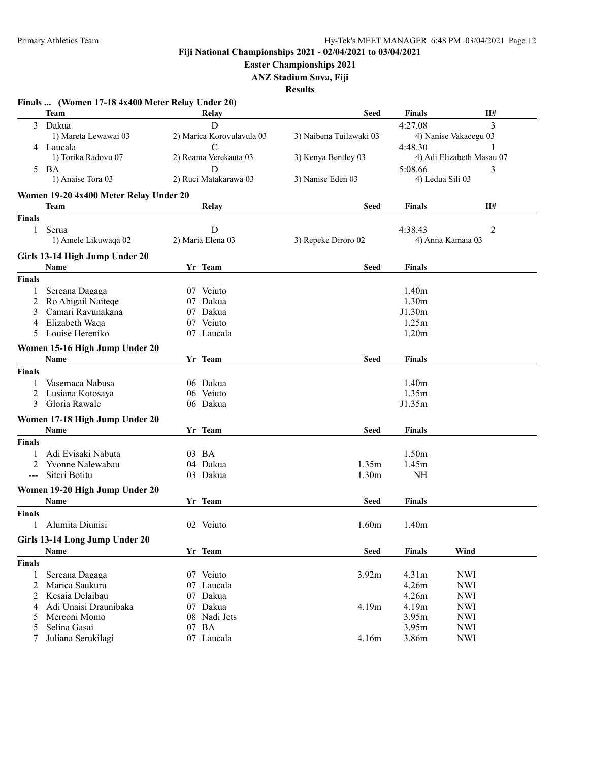**Easter Championships 2021**

**ANZ Stadium Suva, Fiji**

|                      | Finals  (Women 17-18 4x400 Meter Relay Under 20) |                           |                         |                   |                           |
|----------------------|--------------------------------------------------|---------------------------|-------------------------|-------------------|---------------------------|
|                      | Team                                             | Relay                     | Seed                    | Finals            | H#                        |
| 3                    | Dakua                                            | $\mathbf D$               |                         | 4:27.08           | $\overline{3}$            |
|                      | 1) Mareta Lewawai 03                             | 2) Marica Korovulavula 03 | 3) Naibena Tuilawaki 03 |                   | 4) Nanise Vakacegu 03     |
|                      | 4 Laucala                                        | C                         |                         | 4:48.30           |                           |
|                      | 1) Torika Radovu 07                              | 2) Reama Verekauta 03     | 3) Kenya Bentley 03     |                   | 4) Adi Elizabeth Masau 07 |
|                      | 5 BA                                             | D                         |                         | 5:08.66           | 3                         |
|                      | 1) Anaise Tora 03                                | 2) Ruci Matakarawa 03     | 3) Nanise Eden 03       | 4) Ledua Sili 03  |                           |
|                      | Women 19-20 4x400 Meter Relay Under 20           |                           |                         |                   |                           |
|                      | Team                                             | Relay                     | Seed                    | <b>Finals</b>     | H#                        |
| <b>Finals</b>        |                                                  |                           |                         |                   |                           |
| 1                    | Serua                                            | D                         |                         | 4:38.43           |                           |
|                      | 1) Amele Likuwaqa 02                             | 2) Maria Elena 03         | 3) Repeke Diroro 02     |                   | 2<br>4) Anna Kamaia 03    |
|                      |                                                  |                           |                         |                   |                           |
|                      | Girls 13-14 High Jump Under 20                   |                           |                         |                   |                           |
|                      | Name                                             | Yr Team                   | Seed                    | Finals            |                           |
| <b>Finals</b>        |                                                  |                           |                         |                   |                           |
|                      | Sereana Dagaga                                   | 07 Veiuto                 |                         | 1.40 <sub>m</sub> |                           |
| 2                    | Ro Abigail Naitege                               | 07 Dakua                  |                         | 1.30 <sub>m</sub> |                           |
| 3                    | Camari Ravunakana                                | 07 Dakua                  |                         | J1.30m            |                           |
| 4                    | Elizabeth Waqa                                   | 07 Veiuto                 |                         | 1.25m             |                           |
| 5                    | Louise Hereniko                                  | 07 Laucala                |                         | 1.20 <sub>m</sub> |                           |
|                      | Women 15-16 High Jump Under 20                   |                           |                         |                   |                           |
|                      | Name                                             | Yr Team                   | Seed                    | Finals            |                           |
| <b>Finals</b>        |                                                  |                           |                         |                   |                           |
|                      | Vasemaca Nabusa                                  | 06 Dakua                  |                         | 1.40 <sub>m</sub> |                           |
| 2                    | Lusiana Kotosaya                                 | 06 Veiuto                 |                         | 1.35m             |                           |
| 3                    | Gloria Rawale                                    | 06 Dakua                  |                         | J1.35m            |                           |
|                      | Women 17-18 High Jump Under 20                   |                           |                         |                   |                           |
|                      | Name                                             | Yr Team                   | Seed                    | Finals            |                           |
|                      |                                                  |                           |                         |                   |                           |
| <b>Finals</b>        |                                                  |                           |                         |                   |                           |
| 1                    | Adi Evisaki Nabuta                               | 03 BA                     |                         | 1.50 <sub>m</sub> |                           |
| 2                    | Yvonne Nalewabau                                 | 04 Dakua                  | 1.35m                   | 1.45m             |                           |
| $\sim$ $\sim$ $\sim$ | Siteri Botitu                                    | 03 Dakua                  | 1.30 <sub>m</sub>       | NH                |                           |
|                      | Women 19-20 High Jump Under 20                   |                           |                         |                   |                           |
|                      | Name                                             | Yr Team                   | Seed                    | Finals            |                           |
| <b>Finals</b>        |                                                  |                           |                         |                   |                           |
|                      | Alumita Diunisi                                  | 02 Veiuto                 | 1.60m                   | 1.40m             |                           |
|                      | Girls 13-14 Long Jump Under 20                   |                           |                         |                   |                           |
|                      | <b>Name</b>                                      | Yr Team                   | <b>Seed</b>             | <b>Finals</b>     | Wind                      |
| <b>Finals</b>        |                                                  |                           |                         |                   |                           |
| 1                    | Sereana Dagaga                                   | 07 Veiuto                 | 3.92m                   | 4.31m             | <b>NWI</b>                |
| 2                    | Marica Saukuru                                   | 07 Laucala                |                         | 4.26m             | <b>NWI</b>                |
| 2                    | Kesaia Delaibau                                  | 07 Dakua                  |                         | 4.26m             | <b>NWI</b>                |
| 4                    | Adi Unaisi Draunibaka                            | 07 Dakua                  | 4.19m                   | 4.19m             | <b>NWI</b>                |
| 5                    | Mereoni Momo                                     | 08 Nadi Jets              |                         | 3.95m             | <b>NWI</b>                |
| 5                    | Selina Gasai                                     | 07 BA                     |                         | 3.95m             | <b>NWI</b>                |
|                      | Juliana Serukilagi                               | 07 Laucala                | 4.16m                   | 3.86m             | <b>NWI</b>                |
|                      |                                                  |                           |                         |                   |                           |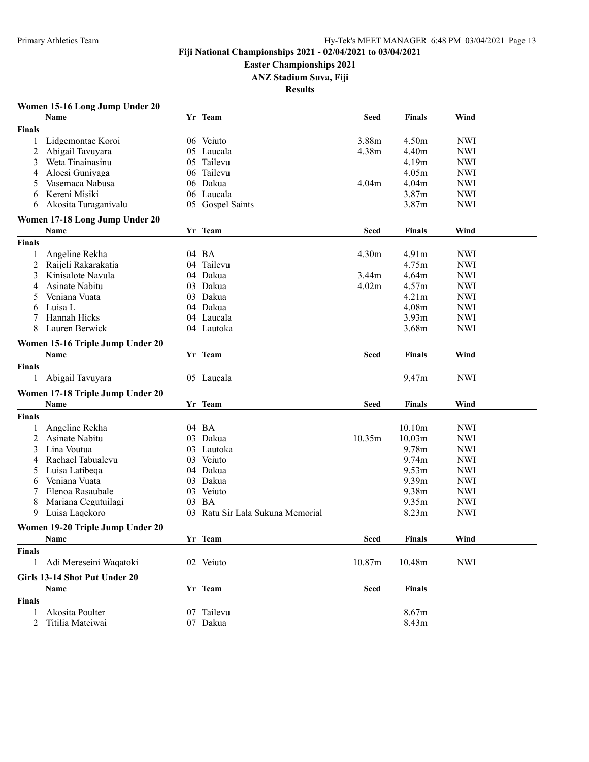#### **Easter Championships 2021**

**ANZ Stadium Suva, Fiji**

**Results**

# **Women 15-16 Long Jump Under 20**

|               | <b>Name</b>                              |    | Yr Team                       | <b>Seed</b> | <b>Finals</b>     | Wind       |  |
|---------------|------------------------------------------|----|-------------------------------|-------------|-------------------|------------|--|
| Finals        |                                          |    |                               |             |                   |            |  |
| 1             | Lidgemontae Koroi                        |    | 06 Veiuto                     | 3.88m       | 4.50 <sub>m</sub> | <b>NWI</b> |  |
| 2             | Abigail Tavuyara                         |    | 05 Laucala                    | 4.38m       | 4.40m             | <b>NWI</b> |  |
| 3             | Weta Tinainasinu                         |    | 05 Tailevu                    |             | 4.19m             | <b>NWI</b> |  |
| 4             | Aloesi Guniyaga                          |    | 06 Tailevu                    |             | 4.05m             | <b>NWI</b> |  |
| 5             | Vasemaca Nabusa                          |    | 06 Dakua                      | 4.04m       | 4.04 <sub>m</sub> | <b>NWI</b> |  |
| 6             | Kereni Misiki                            |    | 06 Laucala                    |             | 3.87m             | <b>NWI</b> |  |
| 6             | Akosita Turaganivalu                     |    | 05 Gospel Saints              |             | 3.87m             | <b>NWI</b> |  |
|               | Women 17-18 Long Jump Under 20           |    |                               |             |                   |            |  |
|               | <b>Name</b>                              |    | Yr Team                       | <b>Seed</b> | <b>Finals</b>     | Wind       |  |
| Finals        |                                          |    |                               |             |                   |            |  |
| 1             | Angeline Rekha                           |    | 04 BA                         | 4.30m       | 4.91 <sub>m</sub> | <b>NWI</b> |  |
| 2             | Raijeli Rakarakatia                      |    | 04 Tailevu                    |             | 4.75m             | <b>NWI</b> |  |
| 3             | Kinisalote Navula                        |    | 04 Dakua                      | 3.44m       | 4.64m             | <b>NWI</b> |  |
| 4             | Asinate Nabitu                           |    | 03 Dakua                      | 4.02m       | 4.57m             | <b>NWI</b> |  |
| 5             | Veniana Vuata                            |    | 03 Dakua                      |             | 4.21 <sub>m</sub> | <b>NWI</b> |  |
| 6             | Luisa L                                  |    | 04 Dakua                      |             | 4.08m             | <b>NWI</b> |  |
| 7             | Hannah Hicks                             |    | 04 Laucala                    |             | 3.93 <sub>m</sub> | <b>NWI</b> |  |
| 8             | Lauren Berwick                           |    | 04 Lautoka                    |             | 3.68m             | <b>NWI</b> |  |
|               | Women 15-16 Triple Jump Under 20         |    |                               |             |                   |            |  |
|               | Name                                     |    | Yr Team                       | Seed        | <b>Finals</b>     | Wind       |  |
| <b>Finals</b> |                                          |    |                               |             |                   |            |  |
| 1             | Abigail Tavuyara                         |    | 05 Laucala                    |             | 9.47m             | <b>NWI</b> |  |
|               |                                          |    |                               |             |                   |            |  |
|               | Women 17-18 Triple Jump Under 20         |    |                               |             |                   |            |  |
|               | Name                                     |    | Yr Team                       | <b>Seed</b> | <b>Finals</b>     | Wind       |  |
| Finals        |                                          |    |                               |             |                   |            |  |
| 1             | Angeline Rekha                           |    | 04 BA                         |             | 10.10m            | <b>NWI</b> |  |
| 2             | Asinate Nabitu                           |    | 03 Dakua                      | 10.35m      | 10.03m            | <b>NWI</b> |  |
| 3             | Lina Voutua                              |    | 03 Lautoka                    |             | 9.78m             | <b>NWI</b> |  |
| 4             | Rachael Tabualevu                        |    | 03 Veiuto                     |             | 9.74m             | <b>NWI</b> |  |
| 5             | Luisa Latibeqa                           |    | 04 Dakua                      |             | 9.53m             | <b>NWI</b> |  |
| 6             | Veniana Vuata                            |    | 03 Dakua                      |             | 9.39m             | <b>NWI</b> |  |
|               | Elenoa Rasaubale                         |    | 03 Veiuto                     |             | 9.38m             | <b>NWI</b> |  |
| 8             | Mariana Cegutuilagi                      | 03 | BA                            |             | 9.35m             | <b>NWI</b> |  |
| 9             | Luisa Laqekoro                           | 03 | Ratu Sir Lala Sukuna Memorial |             | 8.23m             | <b>NWI</b> |  |
|               |                                          |    |                               |             |                   |            |  |
|               | Women 19-20 Triple Jump Under 20<br>Name |    | Yr Team                       | Seed        | <b>Finals</b>     | Wind       |  |
|               |                                          |    |                               |             |                   |            |  |
| Finals        |                                          |    |                               |             |                   |            |  |
| 1             | Adi Mereseini Waqatoki                   |    | 02 Veiuto                     | 10.87m      | 10.48m            | <b>NWI</b> |  |
|               | Girls 13-14 Shot Put Under 20            |    |                               |             |                   |            |  |
|               | Name                                     |    | Yr Team                       | <b>Seed</b> | <b>Finals</b>     |            |  |
| <b>Finals</b> |                                          |    |                               |             |                   |            |  |
| 1             | Akosita Poulter                          |    | 07 Tailevu                    |             | 8.67m             |            |  |
| 2             | Titilia Mateiwai                         |    | 07 Dakua                      |             | 8.43m             |            |  |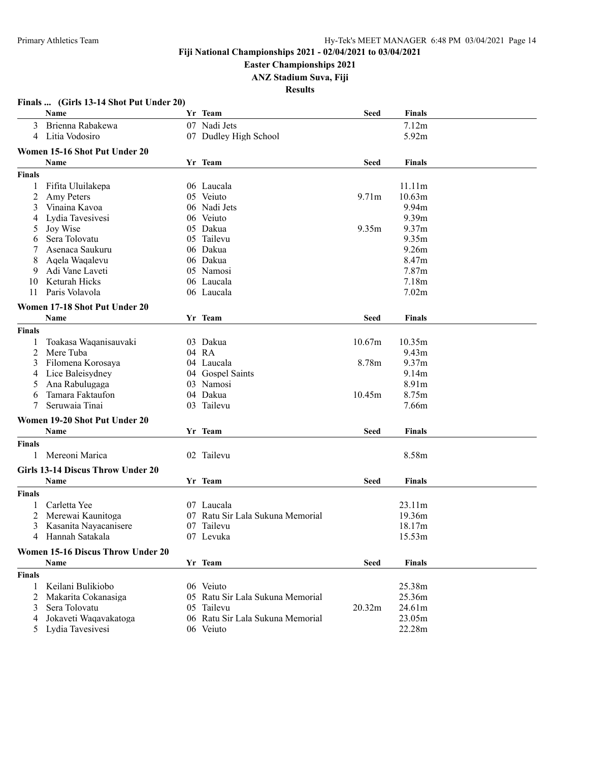**Easter Championships 2021**

**ANZ Stadium Suva, Fiji**

|               | Finals  (Girls 13-14 Shot Put Under 20)<br><b>Name</b> | Yr Team                          | <b>Seed</b>       | <b>Finals</b>     |  |
|---------------|--------------------------------------------------------|----------------------------------|-------------------|-------------------|--|
| 3             | Brienna Rabakewa                                       | 07 Nadi Jets                     |                   | 7.12m             |  |
| 4             | Litia Vodosiro                                         | 07 Dudley High School            |                   | 5.92m             |  |
|               | Women 15-16 Shot Put Under 20                          |                                  |                   |                   |  |
|               | <b>Name</b>                                            | Yr Team                          | <b>Seed</b>       | <b>Finals</b>     |  |
| <b>Finals</b> |                                                        |                                  |                   |                   |  |
| 1             | Fifita Uluilakepa                                      | 06 Laucala                       |                   | 11.11m            |  |
| 2             | Amy Peters                                             | 05 Veiuto                        | 9.71 <sub>m</sub> | 10.63m            |  |
| 3             | Vinaina Kavoa                                          | 06 Nadi Jets                     |                   | 9.94m             |  |
| 4             | Lydia Tavesivesi                                       | 06 Veiuto                        |                   | 9.39m             |  |
| 5             | Joy Wise                                               | 05 Dakua                         | 9.35m             | 9.37 <sub>m</sub> |  |
| 6             | Sera Tolovatu                                          | 05 Tailevu                       |                   | 9.35m             |  |
|               | Asenaca Saukuru                                        | 06 Dakua                         |                   | 9.26m             |  |
| 8             | Aqela Waqalevu                                         | 06 Dakua                         |                   | 8.47m             |  |
| 9             | Adi Vane Laveti                                        | 05 Namosi                        |                   | 7.87m             |  |
| 10            | Keturah Hicks                                          | 06 Laucala                       |                   | 7.18m             |  |
| 11            | Paris Volavola                                         | 06 Laucala                       |                   | 7.02m             |  |
|               |                                                        |                                  |                   |                   |  |
|               | Women 17-18 Shot Put Under 20                          |                                  |                   |                   |  |
|               | Name                                                   | Yr Team                          | <b>Seed</b>       | <b>Finals</b>     |  |
| <b>Finals</b> |                                                        |                                  |                   |                   |  |
|               | Toakasa Waqanisauvaki                                  | 03 Dakua                         | 10.67m            | 10.35m            |  |
| 2             | Mere Tuba                                              | 04 RA                            |                   | 9.43 <sub>m</sub> |  |
| 3             | Filomena Korosaya                                      | 04 Laucala                       | 8.78m             | 9.37 <sub>m</sub> |  |
| 4             | Lice Baleisydney                                       | 04 Gospel Saints                 |                   | 9.14m             |  |
| 5             | Ana Rabulugaga                                         | 03 Namosi                        |                   | 8.91m             |  |
| 6             | Tamara Faktaufon                                       | 04 Dakua                         | 10.45m            | 8.75m             |  |
| 7             | Seruwaia Tinai                                         | 03 Tailevu                       |                   | 7.66m             |  |
|               | Women 19-20 Shot Put Under 20                          |                                  |                   |                   |  |
|               | Name                                                   | Yr Team                          | <b>Seed</b>       | <b>Finals</b>     |  |
| <b>Finals</b> |                                                        |                                  |                   |                   |  |
| 1             | Mereoni Marica                                         | 02 Tailevu                       |                   | 8.58m             |  |
|               |                                                        |                                  |                   |                   |  |
|               | Girls 13-14 Discus Throw Under 20                      |                                  |                   |                   |  |
|               | Name                                                   | Yr Team                          | <b>Seed</b>       | <b>Finals</b>     |  |
| <b>Finals</b> |                                                        |                                  |                   |                   |  |
| 1             | Carletta Yee                                           | 07 Laucala                       |                   | 23.11m            |  |
| 2             | Merewai Kaunitoga                                      | 07 Ratu Sir Lala Sukuna Memorial |                   | 19.36m            |  |
| 3             | Kasanita Nayacanisere                                  | 07 Tailevu                       |                   | 18.17m            |  |
|               | 4 Hannah Satakala                                      | 07 Levuka                        |                   | 15.53m            |  |
|               | Women 15-16 Discus Throw Under 20                      |                                  |                   |                   |  |
|               | Name                                                   | Yr Team                          | <b>Seed</b>       | <b>Finals</b>     |  |
|               |                                                        |                                  |                   |                   |  |
| <b>Finals</b> |                                                        |                                  |                   |                   |  |
| 1             | Keilani Bulikiobo                                      | 06 Veiuto                        |                   | 25.38m            |  |
| 2             | Makarita Cokanasiga                                    | 05 Ratu Sir Lala Sukuna Memorial |                   | 25.36m            |  |
| 3             | Sera Tolovatu                                          | 05 Tailevu                       | 20.32m            | 24.61m            |  |
| 4             | Jokaveti Waqavakatoga                                  | 06 Ratu Sir Lala Sukuna Memorial |                   | 23.05m            |  |
| 5             | Lydia Tavesivesi                                       | 06 Veiuto                        |                   | 22.28m            |  |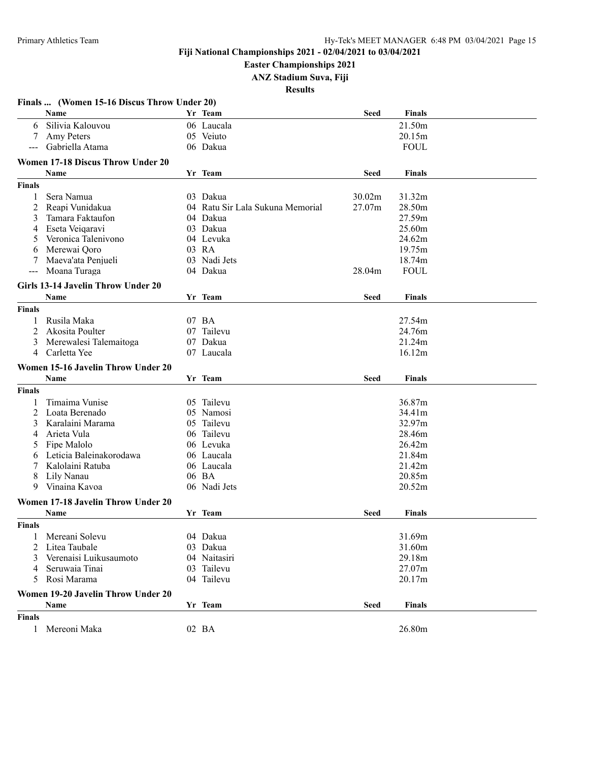**Easter Championships 2021**

**ANZ Stadium Suva, Fiji**

|                      | Finals  (Women 15-16 Discus Throw Under 20)<br>Name | Yr Team                          | <b>Seed</b> | <b>Finals</b> |  |
|----------------------|-----------------------------------------------------|----------------------------------|-------------|---------------|--|
| 6                    | Silivia Kalouvou                                    | 06 Laucala                       |             | 21.50m        |  |
| 7                    | Amy Peters                                          | 05 Veiuto                        |             | 20.15m        |  |
| $\sim$ $\sim$ $\sim$ | Gabriella Atama                                     | 06 Dakua                         |             | <b>FOUL</b>   |  |
|                      | Women 17-18 Discus Throw Under 20                   |                                  |             |               |  |
|                      | Name                                                | Yr Team                          | <b>Seed</b> | <b>Finals</b> |  |
| <b>Finals</b>        |                                                     |                                  |             |               |  |
| 1                    | Sera Namua                                          | 03 Dakua                         | 30.02m      | 31.32m        |  |
| 2                    | Reapi Vunidakua                                     | 04 Ratu Sir Lala Sukuna Memorial | 27.07m      | 28.50m        |  |
| 3                    | Tamara Faktaufon                                    | 04 Dakua                         |             | 27.59m        |  |
|                      | Eseta Veiqaravi                                     | 03 Dakua                         |             | 25.60m        |  |
| 4                    | Veronica Talenivono                                 | 04 Levuka                        |             |               |  |
| 5                    |                                                     |                                  |             | 24.62m        |  |
| 6                    | Merewai Qoro                                        | 03 RA                            |             | 19.75m        |  |
| 7                    | Maeva'ata Penjueli                                  | 03 Nadi Jets                     |             | 18.74m        |  |
| $\sim$ $\sim$        | Moana Turaga                                        | 04 Dakua                         | 28.04m      | <b>FOUL</b>   |  |
|                      | Girls 13-14 Javelin Throw Under 20                  |                                  |             |               |  |
|                      | Name                                                | Yr Team                          | <b>Seed</b> | <b>Finals</b> |  |
| <b>Finals</b>        |                                                     |                                  |             |               |  |
| 1                    | Rusila Maka                                         | 07 BA                            |             | 27.54m        |  |
| 2                    | Akosita Poulter                                     | 07 Tailevu                       |             | 24.76m        |  |
| 3                    | Merewalesi Talemaitoga                              | 07 Dakua                         |             | 21.24m        |  |
| 4                    | Carletta Yee                                        | 07 Laucala                       |             | 16.12m        |  |
|                      | Women 15-16 Javelin Throw Under 20                  |                                  |             |               |  |
|                      | Name                                                | Yr Team                          | <b>Seed</b> | <b>Finals</b> |  |
| <b>Finals</b>        |                                                     |                                  |             |               |  |
| 1                    | Timaima Vunise                                      | 05 Tailevu                       |             | 36.87m        |  |
| 2                    | Loata Berenado                                      | 05 Namosi                        |             | 34.41m        |  |
| 3                    | Karalaini Marama                                    | 05 Tailevu                       |             | 32.97m        |  |
| 4                    | Arieta Vula                                         | 06 Tailevu                       |             | 28.46m        |  |
| 5                    | Fipe Malolo                                         | 06 Levuka                        |             | 26.42m        |  |
| 6                    | Leticia Baleinakorodawa                             | 06 Laucala                       |             | 21.84m        |  |
| 7                    | Kalolaini Ratuba                                    | 06 Laucala                       |             | 21.42m        |  |
| 8                    | Lily Nanau                                          | 06 BA                            |             | 20.85m        |  |
|                      | 9 Vinaina Kavoa                                     | 06 Nadi Jets                     |             | 20.52m        |  |
|                      |                                                     |                                  |             |               |  |
|                      | Women 17-18 Javelin Throw Under 20                  |                                  |             |               |  |
|                      | Name                                                | Yr Team                          | Seed        | <b>Finals</b> |  |
| <b>Finals</b>        |                                                     |                                  |             |               |  |
|                      | Mereani Solevu                                      | 04 Dakua                         |             | 31.69m        |  |
| 2                    | Litea Taubale                                       | 03 Dakua                         |             | 31.60m        |  |
| 3                    | Verenaisi Luikusaumoto                              | 04 Naitasiri                     |             | 29.18m        |  |
| 4                    | Seruwaia Tinai                                      | 03 Tailevu                       |             | 27.07m        |  |
| 5                    | Rosi Marama                                         | 04 Tailevu                       |             | 20.17m        |  |
|                      | Women 19-20 Javelin Throw Under 20                  |                                  |             |               |  |
|                      | Name                                                | Yr Team                          | <b>Seed</b> | <b>Finals</b> |  |
| <b>Finals</b>        |                                                     |                                  |             |               |  |
| 1                    | Mereoni Maka                                        | 02 BA                            |             | 26.80m        |  |
|                      |                                                     |                                  |             |               |  |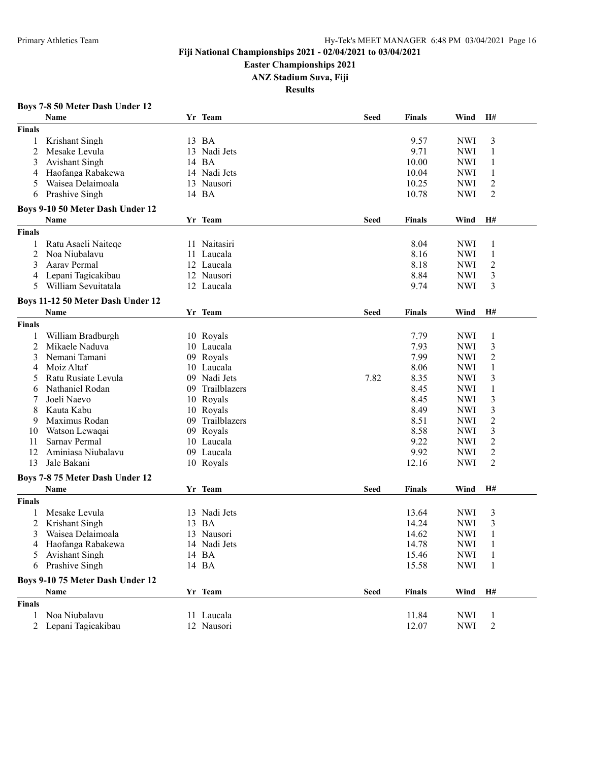**Easter Championships 2021**

**ANZ Stadium Suva, Fiji**

**Results**

## **Boys 7-8 50 Meter Dash Under 12**

|                | Name                              |    | Yr Team         | <b>Seed</b> | <b>Finals</b> | Wind       | H#             |  |
|----------------|-----------------------------------|----|-----------------|-------------|---------------|------------|----------------|--|
| <b>Finals</b>  |                                   |    |                 |             |               |            |                |  |
| 1              | Krishant Singh                    |    | 13 BA           |             | 9.57          | <b>NWI</b> | 3              |  |
| $\overline{2}$ | Mesake Levula                     | 13 | Nadi Jets       |             | 9.71          | <b>NWI</b> | 1              |  |
| 3              | Avishant Singh                    |    | 14 BA           |             | 10.00         | <b>NWI</b> | 1              |  |
| 4              | Haofanga Rabakewa                 |    | 14 Nadi Jets    |             | 10.04         | <b>NWI</b> | 1              |  |
| 5              | Waisea Delaimoala                 |    | 13 Nausori      |             | 10.25         | <b>NWI</b> | $\overline{c}$ |  |
| 6              | Prashive Singh                    |    | 14 BA           |             | 10.78         | <b>NWI</b> | $\overline{2}$ |  |
|                |                                   |    |                 |             |               |            |                |  |
|                | Boys 9-10 50 Meter Dash Under 12  |    |                 |             |               |            |                |  |
|                | Name                              |    | Yr Team         | Seed        | <b>Finals</b> | Wind       | H#             |  |
| <b>Finals</b>  |                                   |    |                 |             |               |            |                |  |
| 1              | Ratu Asaeli Naiteqe               |    | 11 Naitasiri    |             | 8.04          | <b>NWI</b> | 1              |  |
| $\overline{2}$ | Noa Niubalavu                     |    | 11 Laucala      |             | 8.16          | <b>NWI</b> | 1              |  |
| 3              | Aarav Permal                      |    | 12 Laucala      |             | 8.18          | <b>NWI</b> | $\overline{c}$ |  |
| 4              | Lepani Tagicakibau                |    | 12 Nausori      |             | 8.84          | <b>NWI</b> | 3              |  |
| 5              | William Sevuitatala               |    | 12 Laucala      |             | 9.74          | <b>NWI</b> | 3              |  |
|                |                                   |    |                 |             |               |            |                |  |
|                | Boys 11-12 50 Meter Dash Under 12 |    |                 |             |               |            |                |  |
|                | Name                              |    | Yr Team         | Seed        | Finals        | Wind       | H#             |  |
| <b>Finals</b>  |                                   |    |                 |             |               |            |                |  |
| 1              | William Bradburgh                 |    | 10 Royals       |             | 7.79          | <b>NWI</b> | $\mathbf{1}$   |  |
| $\overline{2}$ | Mikaele Naduva                    |    | 10 Laucala      |             | 7.93          | <b>NWI</b> | 3              |  |
| 3              | Nemani Tamani                     |    | 09 Royals       |             | 7.99          | <b>NWI</b> | 2              |  |
| 4              | Moiz Altaf                        |    | 10 Laucala      |             | 8.06          | <b>NWI</b> | 1              |  |
| 5              | Ratu Rusiate Levula               |    | 09 Nadi Jets    | 7.82        | 8.35          | <b>NWI</b> | 3              |  |
| 6              | Nathaniel Rodan                   |    | 09 Trailblazers |             | 8.45          | <b>NWI</b> | $\mathbf{1}$   |  |
| 7              | Joeli Naevo                       |    | 10 Royals       |             | 8.45          | <b>NWI</b> | 3              |  |
| 8              | Kauta Kabu                        |    | 10 Royals       |             | 8.49          | <b>NWI</b> | 3              |  |
| 9              | Maximus Rodan                     |    | 09 Trailblazers |             | 8.51          | <b>NWI</b> | $\overline{c}$ |  |
| 10             | Watson Lewaqai                    |    | 09 Royals       |             | 8.58          | <b>NWI</b> | 3              |  |
| 11             | Sarnav Permal                     |    | 10 Laucala      |             | 9.22          | <b>NWI</b> | $\overline{c}$ |  |
| 12             | Aminiasa Niubalavu                |    | 09 Laucala      |             | 9.92          | <b>NWI</b> | $\overline{c}$ |  |
| 13             | Jale Bakani                       |    | 10 Royals       |             | 12.16         | <b>NWI</b> | $\overline{2}$ |  |
|                |                                   |    |                 |             |               |            |                |  |
|                | Boys 7-8 75 Meter Dash Under 12   |    |                 |             |               |            |                |  |
|                | Name                              |    | Yr Team         | Seed        | <b>Finals</b> | Wind       | H#             |  |
| <b>Finals</b>  |                                   |    |                 |             |               |            |                |  |
|                | Mesake Levula                     |    | 13 Nadi Jets    |             | 13.64         | <b>NWI</b> | 3              |  |
|                | Krishant Singh                    |    | 13 BA           |             | 14.24         | <b>NWI</b> | 3              |  |
| 3              | Waisea Delaimoala                 |    | 13 Nausori      |             | 14.62         | <b>NWI</b> | 1              |  |
|                | 4 Haofanga Rabakewa               |    | 14 Nadi Jets    |             | 14.78         | NWI        | $\mathbf{1}$   |  |
|                | 5 Avishant Singh                  |    | 14 BA           |             | 15.46         | <b>NWI</b> | $\mathbf{1}$   |  |
|                | 6 Prashive Singh                  |    | 14 BA           |             | 15.58         | <b>NWI</b> | 1              |  |
|                | Boys 9-10 75 Meter Dash Under 12  |    |                 |             |               |            |                |  |
|                | Name                              |    | Yr Team         | <b>Seed</b> | <b>Finals</b> | Wind       | H#             |  |
|                |                                   |    |                 |             |               |            |                |  |
| <b>Finals</b>  |                                   |    |                 |             |               |            |                |  |
| $\mathbf{1}$   | Noa Niubalavu                     |    | 11 Laucala      |             | 11.84         | NWI        | 1              |  |
|                | 2 Lepani Tagicakibau              |    | 12 Nausori      |             | 12.07         | <b>NWI</b> | 2              |  |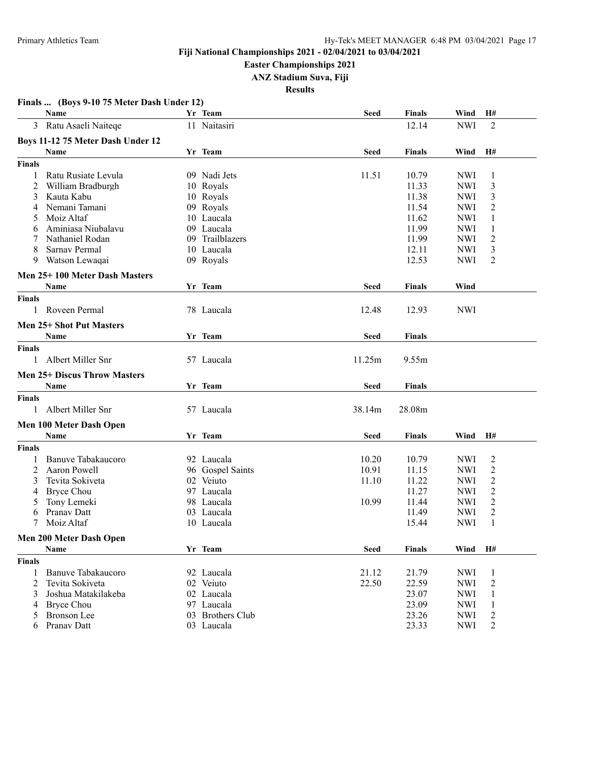**Easter Championships 2021**

**ANZ Stadium Suva, Fiji**

**Results**

|                | Name                                | Yr Team          | <b>Seed</b> | <b>Finals</b> | Wind       | H#             |
|----------------|-------------------------------------|------------------|-------------|---------------|------------|----------------|
|                | 3 Ratu Asaeli Naiteqe               | 11 Naitasiri     |             | 12.14         | <b>NWI</b> | 2              |
|                | Boys 11-12 75 Meter Dash Under 12   |                  |             |               |            |                |
|                | Name                                | Yr Team          | <b>Seed</b> | <b>Finals</b> | Wind       | H#             |
| <b>Finals</b>  |                                     |                  |             |               |            |                |
| 1              | Ratu Rusiate Levula                 | 09 Nadi Jets     | 11.51       | 10.79         | <b>NWI</b> | 1              |
| 2              | William Bradburgh                   | 10 Royals        |             | 11.33         | <b>NWI</b> | 3              |
| 3              | Kauta Kabu                          | 10 Royals        |             | 11.38         | <b>NWI</b> | 3              |
|                | Nemani Tamani                       | 09 Royals        |             | 11.54         | <b>NWI</b> | 2              |
| 5              | Moiz Altaf                          | 10 Laucala       |             | 11.62         | <b>NWI</b> | 1              |
| 6              | Aminiasa Niubalavu                  | 09 Laucala       |             | 11.99         | <b>NWI</b> | 1              |
| 7              | Nathaniel Rodan                     | 09 Trailblazers  |             | 11.99         | <b>NWI</b> | 2              |
|                | Sarnav Permal                       | 10 Laucala       |             | 12.11         | <b>NWI</b> | 3              |
| 9              | Watson Lewaqai                      | 09 Royals        |             | 12.53         | <b>NWI</b> | 2              |
|                | Men 25+100 Meter Dash Masters       |                  |             |               |            |                |
|                | <b>Name</b>                         | Yr Team          | <b>Seed</b> | <b>Finals</b> | Wind       |                |
| <b>Finals</b>  |                                     |                  |             |               |            |                |
| $\mathbf{1}$   | Roveen Permal                       | 78 Laucala       | 12.48       | 12.93         | <b>NWI</b> |                |
|                | <b>Men 25+ Shot Put Masters</b>     |                  |             |               |            |                |
|                | Name                                | Yr Team          | <b>Seed</b> | <b>Finals</b> |            |                |
| <b>Finals</b>  |                                     |                  |             |               |            |                |
| 1              | Albert Miller Snr                   | 57 Laucala       | 11.25m      | 9.55m         |            |                |
|                | <b>Men 25+ Discus Throw Masters</b> |                  |             |               |            |                |
|                | Name                                | Yr Team          | <b>Seed</b> | <b>Finals</b> |            |                |
| <b>Finals</b>  |                                     |                  |             |               |            |                |
|                | Albert Miller Snr                   | 57 Laucala       | 38.14m      | 28.08m        |            |                |
|                | Men 100 Meter Dash Open             |                  |             |               |            |                |
|                | Name                                | Yr Team          | <b>Seed</b> | Finals        | Wind       | H#             |
| <b>Finals</b>  |                                     |                  |             |               |            |                |
| 1              | Banuve Tabakaucoro                  | 92 Laucala       | 10.20       | 10.79         | <b>NWI</b> | 2              |
| 2              | Aaron Powell                        | 96 Gospel Saints | 10.91       | 11.15         | <b>NWI</b> | $\overline{c}$ |
| 3              | Tevita Sokiveta                     | 02 Veiuto        | 11.10       | 11.22         | <b>NWI</b> | $\overline{c}$ |
| 4              | <b>Bryce Chou</b>                   | 97 Laucala       |             | 11.27         | <b>NWI</b> | $\overline{c}$ |
| 5              | Tony Lemeki                         | 98 Laucala       | 10.99       | 11.44         | <b>NWI</b> | 2              |
| 6              | Pranav Datt                         | 03 Laucala       |             | 11.49         | <b>NWI</b> | 2              |
| 7              | Moiz Altaf                          | 10 Laucala       |             | 15.44         | NWI        | 1              |
|                | Men 200 Meter Dash Open             |                  |             |               |            |                |
|                | Name                                | Yr Team          | <b>Seed</b> | <b>Finals</b> | Wind       | H#             |
| <b>Finals</b>  |                                     |                  |             |               |            |                |
| 1              | Banuve Tabakaucoro                  | 92 Laucala       | 21.12       | 21.79         | <b>NWI</b> | 1              |
| $\overline{2}$ | Tevita Sokiveta                     | 02 Veiuto        | 22.50       | 22.59         | <b>NWI</b> | $\overline{c}$ |
| 3              | Joshua Matakilakeba                 | 02 Laucala       |             | 23.07         | <b>NWI</b> | 1              |
| 4              | <b>Bryce Chou</b>                   | 97 Laucala       |             | 23.09         | <b>NWI</b> | $\mathbf{1}$   |
| 5              | <b>Bronson</b> Lee                  | 03 Brothers Club |             | 23.26         | <b>NWI</b> | $\overline{c}$ |
| 6              | Pranav Datt                         | 03 Laucala       |             | 23.33         | <b>NWI</b> | 2              |

#### **Finals ... (Boys 9-10 75 Meter Dash Under 12)**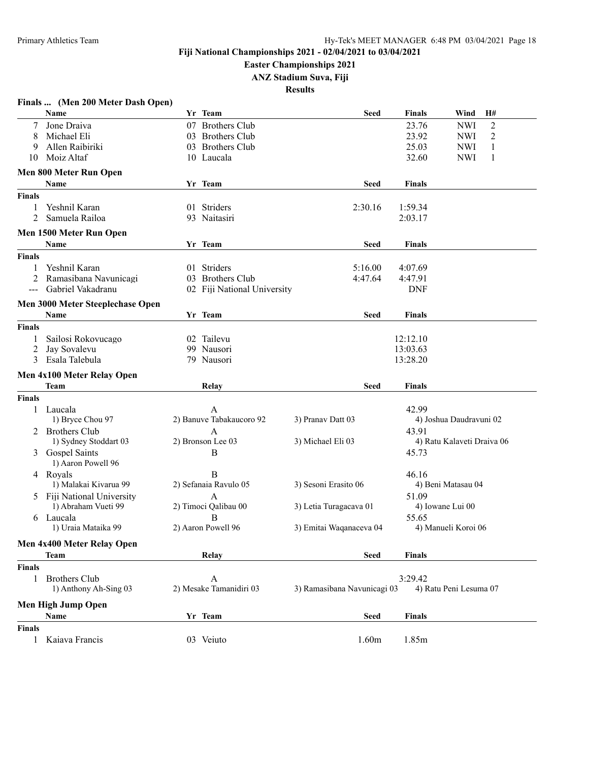**Easter Championships 2021**

**ANZ Stadium Suva, Fiji**

|                                                                                                                                                                                                                                                                                                                                                                                              | Finals  (Men 200 Meter Dash Open)     |    |                             |                             |               |                              |
|----------------------------------------------------------------------------------------------------------------------------------------------------------------------------------------------------------------------------------------------------------------------------------------------------------------------------------------------------------------------------------------------|---------------------------------------|----|-----------------------------|-----------------------------|---------------|------------------------------|
|                                                                                                                                                                                                                                                                                                                                                                                              | <b>Name</b>                           |    | Yr Team                     | <b>Seed</b>                 | <b>Finals</b> | Wind<br>Н#                   |
|                                                                                                                                                                                                                                                                                                                                                                                              | Jone Draiva                           |    | 07 Brothers Club            |                             | 23.76         | $\overline{2}$<br><b>NWI</b> |
| 8                                                                                                                                                                                                                                                                                                                                                                                            | Michael Eli                           | 03 | <b>Brothers Club</b>        |                             | 23.92         | <b>NWI</b><br>2              |
| 9                                                                                                                                                                                                                                                                                                                                                                                            | Allen Raibiriki                       |    | 03 Brothers Club            |                             | 25.03         | 1<br><b>NWI</b>              |
| 10                                                                                                                                                                                                                                                                                                                                                                                           | Moiz Altaf                            |    | 10 Laucala                  |                             | 32.60         | <b>NWI</b><br>1              |
|                                                                                                                                                                                                                                                                                                                                                                                              | Men 800 Meter Run Open                |    |                             |                             |               |                              |
|                                                                                                                                                                                                                                                                                                                                                                                              | Name                                  |    | Yr Team                     | <b>Seed</b>                 | <b>Finals</b> |                              |
| <b>Finals</b>                                                                                                                                                                                                                                                                                                                                                                                |                                       |    |                             |                             |               |                              |
| 1                                                                                                                                                                                                                                                                                                                                                                                            | Yeshnil Karan                         |    | 01 Striders                 | 2:30.16                     | 1:59.34       |                              |
| 2                                                                                                                                                                                                                                                                                                                                                                                            | Samuela Railoa                        |    | 93 Naitasiri                |                             | 2:03.17       |                              |
|                                                                                                                                                                                                                                                                                                                                                                                              | Men 1500 Meter Run Open               |    |                             |                             |               |                              |
|                                                                                                                                                                                                                                                                                                                                                                                              | Name                                  |    | Yr Team                     | <b>Seed</b>                 | Finals        |                              |
| <b>Finals</b>                                                                                                                                                                                                                                                                                                                                                                                |                                       |    |                             |                             |               |                              |
| 1                                                                                                                                                                                                                                                                                                                                                                                            | Yeshnil Karan                         |    | 01 Striders                 | 5:16.00                     | 4:07.69       |                              |
| 2                                                                                                                                                                                                                                                                                                                                                                                            | Ramasibana Navunicagi                 |    | 03 Brothers Club            | 4:47.64                     | 4:47.91       |                              |
| $\frac{1}{2} \frac{1}{2} \frac{1}{2} \frac{1}{2} \frac{1}{2} \frac{1}{2} \frac{1}{2} \frac{1}{2} \frac{1}{2} \frac{1}{2} \frac{1}{2} \frac{1}{2} \frac{1}{2} \frac{1}{2} \frac{1}{2} \frac{1}{2} \frac{1}{2} \frac{1}{2} \frac{1}{2} \frac{1}{2} \frac{1}{2} \frac{1}{2} \frac{1}{2} \frac{1}{2} \frac{1}{2} \frac{1}{2} \frac{1}{2} \frac{1}{2} \frac{1}{2} \frac{1}{2} \frac{1}{2} \frac{$ | Gabriel Vakadranu                     |    | 02 Fiji National University |                             | <b>DNF</b>    |                              |
|                                                                                                                                                                                                                                                                                                                                                                                              | Men 3000 Meter Steeplechase Open      |    |                             |                             |               |                              |
|                                                                                                                                                                                                                                                                                                                                                                                              | <b>Name</b>                           |    | Yr Team                     | <b>Seed</b>                 | <b>Finals</b> |                              |
| <b>Finals</b>                                                                                                                                                                                                                                                                                                                                                                                |                                       |    |                             |                             |               |                              |
| 1                                                                                                                                                                                                                                                                                                                                                                                            | Sailosi Rokovucago                    |    | 02 Tailevu                  |                             | 12:12.10      |                              |
| 2                                                                                                                                                                                                                                                                                                                                                                                            | Jay Sovalevu                          |    | 99 Nausori                  |                             | 13:03.63      |                              |
| 3                                                                                                                                                                                                                                                                                                                                                                                            | Esala Talebula                        |    | 79 Nausori                  |                             | 13:28.20      |                              |
|                                                                                                                                                                                                                                                                                                                                                                                              | Men 4x100 Meter Relay Open            |    |                             |                             |               |                              |
|                                                                                                                                                                                                                                                                                                                                                                                              | Team                                  |    | Relay                       | <b>Seed</b>                 | <b>Finals</b> |                              |
| <b>Finals</b>                                                                                                                                                                                                                                                                                                                                                                                |                                       |    |                             |                             |               |                              |
| 1                                                                                                                                                                                                                                                                                                                                                                                            | Laucala                               |    | A                           |                             | 42.99         |                              |
|                                                                                                                                                                                                                                                                                                                                                                                              | 1) Bryce Chou 97                      |    | 2) Banuve Tabakaucoro 92    | 3) Pranav Datt 03           |               | 4) Joshua Daudravuni 02      |
|                                                                                                                                                                                                                                                                                                                                                                                              | 2 Brothers Club                       |    | A                           |                             | 43.91         |                              |
|                                                                                                                                                                                                                                                                                                                                                                                              | 1) Sydney Stoddart 03                 |    | 2) Bronson Lee 03           | 3) Michael Eli 03           |               | 4) Ratu Kalaveti Draiva 06   |
|                                                                                                                                                                                                                                                                                                                                                                                              | 3 Gospel Saints<br>1) Aaron Powell 96 |    | B                           |                             | 45.73         |                              |
|                                                                                                                                                                                                                                                                                                                                                                                              | 4 Royals                              |    | B                           |                             | 46.16         |                              |
|                                                                                                                                                                                                                                                                                                                                                                                              | 1) Malakai Kivarua 99                 |    | 2) Sefanaia Ravulo 05       | 3) Sesoni Erasito 06        |               | 4) Beni Matasau 04           |
|                                                                                                                                                                                                                                                                                                                                                                                              | 5 Fiji National University            |    | А                           |                             | 51.09         |                              |
|                                                                                                                                                                                                                                                                                                                                                                                              | 1) Abraham Vueti 99                   |    | 2) Timoci Qalibau 00        | 3) Letia Turagacava 01      |               | 4) Iowane Lui 00             |
|                                                                                                                                                                                                                                                                                                                                                                                              | 6 Laucala                             |    | B                           |                             | 55.65         |                              |
|                                                                                                                                                                                                                                                                                                                                                                                              | 1) Uraia Mataika 99                   |    | 2) Aaron Powell 96          | 3) Emitai Waqanaceva 04     |               | 4) Manueli Koroi 06          |
|                                                                                                                                                                                                                                                                                                                                                                                              | Men 4x400 Meter Relay Open            |    |                             |                             |               |                              |
|                                                                                                                                                                                                                                                                                                                                                                                              | <b>Team</b>                           |    | Relay                       | <b>Seed</b>                 | <b>Finals</b> |                              |
| <b>Finals</b>                                                                                                                                                                                                                                                                                                                                                                                |                                       |    |                             |                             |               |                              |
| 1                                                                                                                                                                                                                                                                                                                                                                                            | <b>Brothers Club</b>                  |    | $\mathbf{A}$                |                             | 3:29.42       |                              |
|                                                                                                                                                                                                                                                                                                                                                                                              | 1) Anthony Ah-Sing 03                 |    | 2) Mesake Tamanidiri 03     | 3) Ramasibana Navunicagi 03 |               | 4) Ratu Peni Lesuma 07       |
|                                                                                                                                                                                                                                                                                                                                                                                              | <b>Men High Jump Open</b>             |    |                             |                             |               |                              |
|                                                                                                                                                                                                                                                                                                                                                                                              | Name                                  |    | Yr Team                     | <b>Seed</b>                 | <b>Finals</b> |                              |
| <b>Finals</b>                                                                                                                                                                                                                                                                                                                                                                                |                                       |    |                             |                             |               |                              |
| $\mathbf{1}$                                                                                                                                                                                                                                                                                                                                                                                 | Kaiava Francis                        |    | 03 Veiuto                   | 1.60m                       | 1.85m         |                              |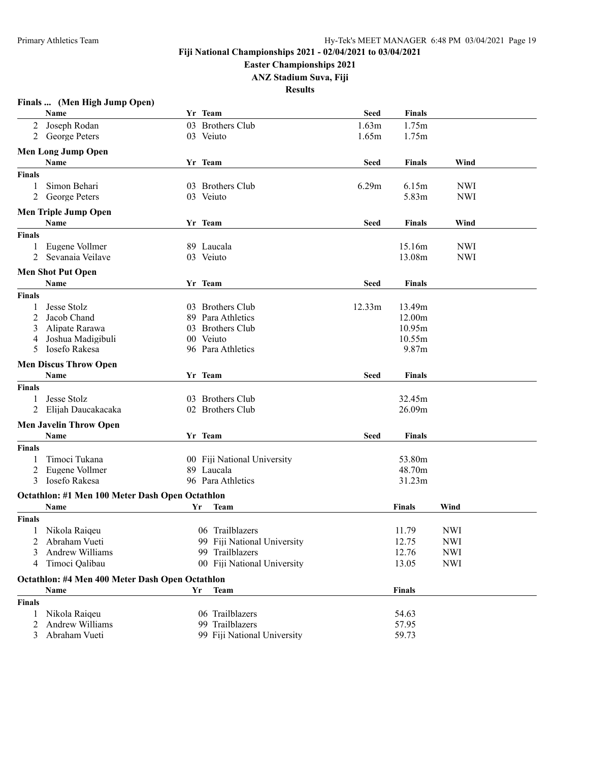**Easter Championships 2021**

**ANZ Stadium Suva, Fiji**

| Finals  (Men High Jump Open) |  |  |  |  |
|------------------------------|--|--|--|--|
|------------------------------|--|--|--|--|

|               | Name                                            |    | Yr Team                     | <b>Seed</b> | <b>Finals</b> |            |  |
|---------------|-------------------------------------------------|----|-----------------------------|-------------|---------------|------------|--|
| 2             | Joseph Rodan                                    |    | 03 Brothers Club            | 1.63m       | 1.75m         |            |  |
| 2             | George Peters                                   |    | 03 Veiuto                   | 1.65m       | 1.75m         |            |  |
|               | <b>Men Long Jump Open</b>                       |    |                             |             |               |            |  |
|               | Name                                            |    | Yr Team                     | <b>Seed</b> | <b>Finals</b> | Wind       |  |
|               |                                                 |    |                             |             |               |            |  |
| <b>Finals</b> |                                                 |    |                             |             |               |            |  |
|               | Simon Behari                                    |    | 03 Brothers Club            | 6.29m       | 6.15m         | <b>NWI</b> |  |
| 2             | George Peters                                   |    | 03 Veiuto                   |             | 5.83m         | <b>NWI</b> |  |
|               | <b>Men Triple Jump Open</b>                     |    |                             |             |               |            |  |
|               | Name                                            |    | Yr Team                     | <b>Seed</b> | Finals        | Wind       |  |
| <b>Finals</b> |                                                 |    |                             |             |               |            |  |
| 1             | Eugene Vollmer                                  |    | 89 Laucala                  |             | 15.16m        | <b>NWI</b> |  |
| 2             | Sevanaia Veilave                                |    | 03 Veiuto                   |             | 13.08m        | <b>NWI</b> |  |
|               | <b>Men Shot Put Open</b>                        |    |                             |             |               |            |  |
|               | Name                                            |    | Yr Team                     | <b>Seed</b> | Finals        |            |  |
|               |                                                 |    |                             |             |               |            |  |
| <b>Finals</b> |                                                 |    |                             |             |               |            |  |
|               | Jesse Stolz                                     |    | 03 Brothers Club            | 12.33m      | 13.49m        |            |  |
| 2             | Jacob Chand                                     |    | 89 Para Athletics           |             | 12.00m        |            |  |
| 3             | Alipate Rarawa                                  |    | 03 Brothers Club            |             | 10.95m        |            |  |
| 4             | Joshua Madigibuli                               |    | 00 Veiuto                   |             | 10.55m        |            |  |
| 5             | Iosefo Rakesa                                   |    | 96 Para Athletics           |             | 9.87m         |            |  |
|               | <b>Men Discus Throw Open</b>                    |    |                             |             |               |            |  |
|               | Name                                            |    | Yr Team                     | <b>Seed</b> | Finals        |            |  |
| <b>Finals</b> |                                                 |    |                             |             |               |            |  |
|               | Jesse Stolz                                     |    | 03 Brothers Club            |             | 32.45m        |            |  |
| 2             | Elijah Daucakacaka                              |    | 02 Brothers Club            |             | 26.09m        |            |  |
|               |                                                 |    |                             |             |               |            |  |
|               | <b>Men Javelin Throw Open</b>                   |    |                             |             |               |            |  |
|               | Name                                            |    | Yr Team                     | <b>Seed</b> | Finals        |            |  |
| <b>Finals</b> |                                                 |    |                             |             |               |            |  |
| 1             | Timoci Tukana                                   |    | 00 Fiji National University |             | 53.80m        |            |  |
| 2             | Eugene Vollmer                                  |    | 89 Laucala                  |             | 48.70m        |            |  |
| 3             | Iosefo Rakesa                                   |    | 96 Para Athletics           |             | 31.23m        |            |  |
|               | Octathlon: #1 Men 100 Meter Dash Open Octathlon |    |                             |             |               |            |  |
|               | Name                                            | Yr | <b>Team</b>                 |             | <b>Finals</b> | Wind       |  |
| <b>Finals</b> |                                                 |    |                             |             |               |            |  |
| 1             | Nikola Raiqeu                                   |    | 06 Trailblazers             |             | 11.79         | <b>NWI</b> |  |
|               | 2 Abraham Vueti                                 |    | 99 Fiji National University |             | 12.75         | <b>NWI</b> |  |
| 3             | Andrew Williams                                 |    | 99 Trailblazers             |             | 12.76         | <b>NWI</b> |  |
|               | 4 Timoci Qalibau                                |    | 00 Fiji National University |             | 13.05         | <b>NWI</b> |  |
|               |                                                 |    |                             |             |               |            |  |
|               | Octathlon: #4 Men 400 Meter Dash Open Octathlon |    |                             |             |               |            |  |
|               | Name                                            | Yr | <b>Team</b>                 |             | <b>Finals</b> |            |  |
| <b>Finals</b> |                                                 |    |                             |             |               |            |  |
| 1             | Nikola Raiqeu                                   |    | 06 Trailblazers             |             | 54.63         |            |  |
| 2             | Andrew Williams                                 |    | 99 Trailblazers             |             | 57.95         |            |  |
| 3             | Abraham Vueti                                   |    | 99 Fiji National University |             | 59.73         |            |  |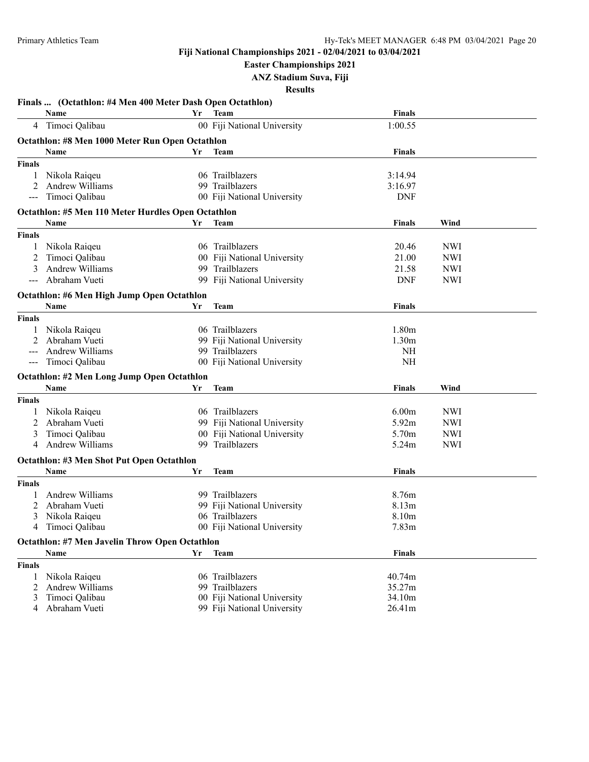**Easter Championships 2021**

**ANZ Stadium Suva, Fiji**

|                   | Finals  (Octathlon: #4 Men 400 Meter Dash Open Octathlon) |     |                             |                   |            |  |
|-------------------|-----------------------------------------------------------|-----|-----------------------------|-------------------|------------|--|
|                   | Name                                                      | Yr  | <b>Team</b>                 | <b>Finals</b>     |            |  |
|                   | 4 Timoci Qalibau                                          |     | 00 Fiji National University | 1:00.55           |            |  |
|                   | Octathlon: #8 Men 1000 Meter Run Open Octathlon           |     |                             |                   |            |  |
|                   | Name                                                      | Yr  | Team                        | <b>Finals</b>     |            |  |
| <b>Finals</b>     |                                                           |     |                             |                   |            |  |
| 1                 | Nikola Raiqeu                                             |     | 06 Trailblazers             | 3:14.94           |            |  |
|                   | Andrew Williams                                           |     | 99 Trailblazers             | 3:16.97           |            |  |
|                   | Timoci Qalibau                                            |     | 00 Fiji National University | <b>DNF</b>        |            |  |
|                   | Octathlon: #5 Men 110 Meter Hurdles Open Octathlon        |     |                             |                   |            |  |
|                   | Name                                                      | Yr  | <b>Team</b>                 | <b>Finals</b>     | Wind       |  |
| <b>Finals</b>     |                                                           |     |                             |                   |            |  |
| 1                 | Nikola Raiqeu                                             |     | 06 Trailblazers             | 20.46             | <b>NWI</b> |  |
| 2                 | Timoci Qalibau                                            |     | 00 Fiji National University | 21.00             | <b>NWI</b> |  |
| 3                 | Andrew Williams                                           |     | 99 Trailblazers             | 21.58             | <b>NWI</b> |  |
|                   | Abraham Vueti                                             |     | 99 Fiji National University | <b>DNF</b>        | <b>NWI</b> |  |
|                   | Octathlon: #6 Men High Jump Open Octathlon                |     |                             |                   |            |  |
|                   | Name                                                      | Yr  | <b>Team</b>                 | <b>Finals</b>     |            |  |
| <b>Finals</b>     |                                                           |     |                             |                   |            |  |
|                   | Nikola Raiqeu                                             |     | 06 Trailblazers             | 1.80 <sub>m</sub> |            |  |
|                   | Abraham Vueti                                             |     | 99 Fiji National University | 1.30 <sub>m</sub> |            |  |
|                   | Andrew Williams                                           |     | 99 Trailblazers             | NH                |            |  |
| $\qquad \qquad -$ | Timoci Qalibau                                            |     | 00 Fiji National University | <b>NH</b>         |            |  |
|                   | Octathlon: #2 Men Long Jump Open Octathlon                |     |                             |                   |            |  |
|                   | Name                                                      | Yr  | <b>Team</b>                 | <b>Finals</b>     | Wind       |  |
| <b>Finals</b>     |                                                           |     |                             |                   |            |  |
|                   | Nikola Raiqeu                                             |     | 06 Trailblazers             | 6.00 <sub>m</sub> | <b>NWI</b> |  |
| 2                 | Abraham Vueti                                             |     | 99 Fiji National University | 5.92m             | <b>NWI</b> |  |
| 3                 | Timoci Qalibau                                            |     | 00 Fiji National University | 5.70m             | <b>NWI</b> |  |
| 4                 | Andrew Williams                                           | 99. | Trailblazers                | 5.24m             | <b>NWI</b> |  |
|                   | <b>Octathlon: #3 Men Shot Put Open Octathlon</b>          |     |                             |                   |            |  |
|                   | Name                                                      | Yr  | <b>Team</b>                 | <b>Finals</b>     |            |  |
| <b>Finals</b>     |                                                           |     |                             |                   |            |  |
|                   | <b>Andrew Williams</b>                                    |     | 99 Trailblazers             | 8.76m             |            |  |
| 2                 | Abraham Vueti                                             |     | 99 Fiji National University | 8.13 <sub>m</sub> |            |  |
| 3                 | Nikola Raiqeu                                             |     | 06 Trailblazers             | 8.10m             |            |  |
| 4                 | Timoci Qalibau                                            |     | 00 Fiji National University | 7.83 <sub>m</sub> |            |  |
|                   |                                                           |     |                             |                   |            |  |
|                   | <b>Octathlon: #7 Men Javelin Throw Open Octathlon</b>     |     |                             |                   |            |  |
|                   | Name                                                      | Yr  | <b>Team</b>                 | <b>Finals</b>     |            |  |
| <b>Finals</b>     |                                                           |     |                             |                   |            |  |
| 1                 | Nikola Raigeu                                             |     | 06 Trailblazers             | 40.74m            |            |  |
| 2                 | Andrew Williams                                           |     | 99 Trailblazers             | 35.27m            |            |  |
| 3                 | Timoci Qalibau                                            |     | 00 Fiji National University | 34.10m            |            |  |
| 4                 | Abraham Vueti                                             |     | 99 Fiji National University | 26.41m            |            |  |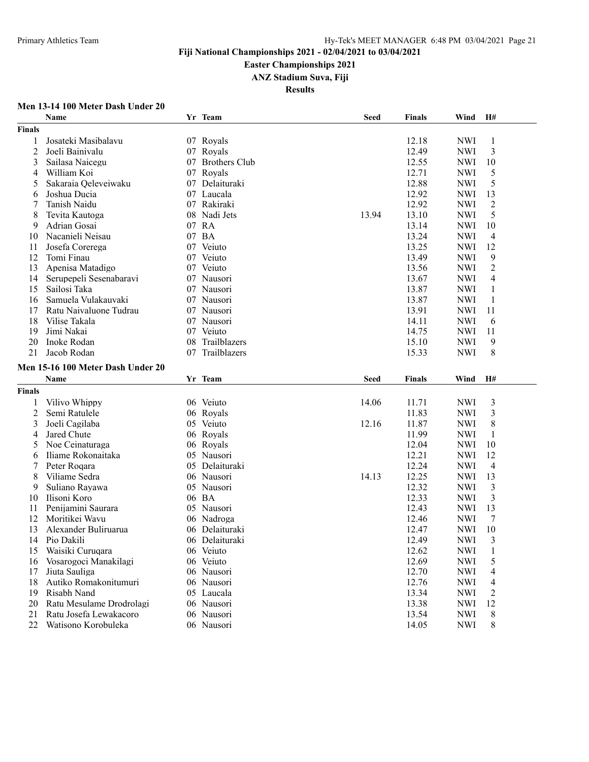**Easter Championships 2021**

**ANZ Stadium Suva, Fiji**

**Results**

#### **Men 13-14 100 Meter Dash Under 20**

|                | Name                                          |    | Yr Team                  | <b>Seed</b> | <b>Finals</b>  | Wind                     | H#             |
|----------------|-----------------------------------------------|----|--------------------------|-------------|----------------|--------------------------|----------------|
| <b>Finals</b>  |                                               |    |                          |             |                |                          |                |
| 1              | Josateki Masibalavu                           |    | 07 Royals                |             | 12.18          | <b>NWI</b>               | 1              |
| $\overline{2}$ | Joeli Bainivalu                               |    | 07 Royals                |             | 12.49          | <b>NWI</b>               | 3              |
| 3              | Sailasa Naicegu                               |    | 07 Brothers Club         |             | 12.55          | <b>NWI</b>               | 10             |
| 4              | William Koi                                   |    | 07 Royals                |             | 12.71          | <b>NWI</b>               | 5              |
| 5              | Sakaraia Qeleveiwaku                          | 07 | Delaituraki              |             | 12.88          | <b>NWI</b>               | 5              |
| 6              | Joshua Ducia                                  |    | 07 Laucala               |             | 12.92          | <b>NWI</b>               | 13             |
| 7              | Tanish Naidu                                  | 07 | Rakiraki                 |             | 12.92          | <b>NWI</b>               | 2              |
| 8              | Tevita Kautoga                                |    | 08 Nadi Jets             | 13.94       | 13.10          | <b>NWI</b>               | 5              |
| 9              | Adrian Gosai                                  |    | 07 RA                    |             | 13.14          | <b>NWI</b>               | 10             |
| 10             | Nacanieli Neisau                              |    | 07 BA                    |             | 13.24          | <b>NWI</b>               | 4              |
| 11             | Josefa Corerega                               |    | 07 Veiuto                |             | 13.25          | <b>NWI</b>               | 12             |
| 12             | Tomi Finau                                    |    | 07 Veiuto                |             | 13.49          | <b>NWI</b>               | 9              |
| 13             | Apenisa Matadigo                              |    | 07 Veiuto                |             | 13.56          | <b>NWI</b>               | $\overline{2}$ |
| 14             | Serupepeli Sesenabaravi                       |    | 07 Nausori               |             | 13.67          | <b>NWI</b>               | 4              |
| 15             | Sailosi Taka                                  |    | 07 Nausori               |             | 13.87          | <b>NWI</b>               | 1              |
| 16             | Samuela Vulakauvaki                           |    | 07 Nausori               |             | 13.87          | <b>NWI</b>               | 1              |
|                |                                               |    |                          |             |                | <b>NWI</b>               | 11             |
| 17             | Ratu Naivaluone Tudrau                        |    | 07 Nausori               |             | 13.91          |                          |                |
| 18             | Vilise Takala                                 |    | 07 Nausori               |             | 14.11          | <b>NWI</b>               | 6              |
| 19             | Jimi Nakai                                    |    | 07 Veiuto                |             | 14.75          | <b>NWI</b>               | 11             |
| 20             | Inoke Rodan                                   | 08 | Trailblazers             |             | 15.10          | <b>NWI</b>               | 9              |
| 21             | Jacob Rodan                                   | 07 | Trailblazers             |             | 15.33          | <b>NWI</b>               | $\,8\,$        |
|                | Men 15-16 100 Meter Dash Under 20             |    |                          |             |                |                          |                |
|                | <b>Name</b>                                   |    | Yr Team                  | <b>Seed</b> | <b>Finals</b>  | Wind                     | H#             |
| Finals         |                                               |    |                          |             |                |                          |                |
| 1              | Vilivo Whippy                                 |    | 06 Veiuto                | 14.06       | 11.71          | <b>NWI</b>               | 3              |
| $\overline{c}$ | Semi Ratulele                                 |    | 06 Royals                |             | 11.83          | <b>NWI</b>               | $\mathfrak{Z}$ |
| 3              | Joeli Cagilaba                                |    | 05 Veiuto                | 12.16       | 11.87          | <b>NWI</b>               | 8              |
| 4              | Jared Chute                                   |    | 06 Royals                |             | 11.99          | <b>NWI</b>               | $\mathbf{1}$   |
| 5              | Noe Ceinaturaga                               |    | 06 Royals                |             | 12.04          | <b>NWI</b>               | 10             |
| 6              | Iliame Rokonaitaka                            | 05 | Nausori                  |             | 12.21          | <b>NWI</b>               | 12             |
| 7              | Peter Roqara                                  |    | 05 Delaituraki           |             | 12.24          | <b>NWI</b>               | $\overline{4}$ |
| 8              | Viliame Sedra                                 |    | 06 Nausori               | 14.13       | 12.25          | <b>NWI</b>               | 13             |
| 9              | Suliano Rayawa                                |    | 05 Nausori               |             | 12.32          | <b>NWI</b>               | 3              |
| 10             | Ilisoni Koro                                  |    | 06 BA                    |             | 12.33          | <b>NWI</b>               | 3              |
| 11             | Penijamini Saurara                            |    | 05 Nausori               |             | 12.43          | <b>NWI</b>               | 13             |
| 12             | Moritikei Wavu                                |    | 06 Nadroga               |             | 12.46          | <b>NWI</b>               | 7              |
| 13             | Alexander Buliruarua                          | 06 | Delaituraki              |             | 12.47          | <b>NWI</b>               | 10             |
| 14             | Pio Dakili                                    |    | 06 Delaituraki           |             | 12.49          | <b>NWI</b>               | 3              |
| 15             | Waisiki Curuqara                              |    | 06 Veiuto                |             | 12.62          | <b>NWI</b>               | 1              |
| 16             |                                               |    | 06 Veiuto                |             | 12.69          | <b>NWI</b>               | 5              |
| 17             |                                               |    |                          |             |                |                          |                |
|                | Vosarogoci Manakilagi                         |    |                          |             |                |                          |                |
|                | Jiuta Sauliga                                 |    | 06 Nausori               |             | 12.70          | <b>NWI</b>               | 4              |
| 18             | Autiko Romakonitumuri                         |    | 06 Nausori               |             | 12.76          | <b>NWI</b>               | 4              |
| 19             | Risabh Nand                                   |    | 05 Laucala               |             | 13.34          | <b>NWI</b>               | $\overline{c}$ |
| 20             | Ratu Mesulame Drodrolagi                      |    | 06 Nausori               |             | 13.38          | <b>NWI</b>               | 12             |
| 21<br>22       | Ratu Josefa Lewakacoro<br>Watisono Korobuleka |    | 06 Nausori<br>06 Nausori |             | 13.54<br>14.05 | <b>NWI</b><br><b>NWI</b> | 8<br>8         |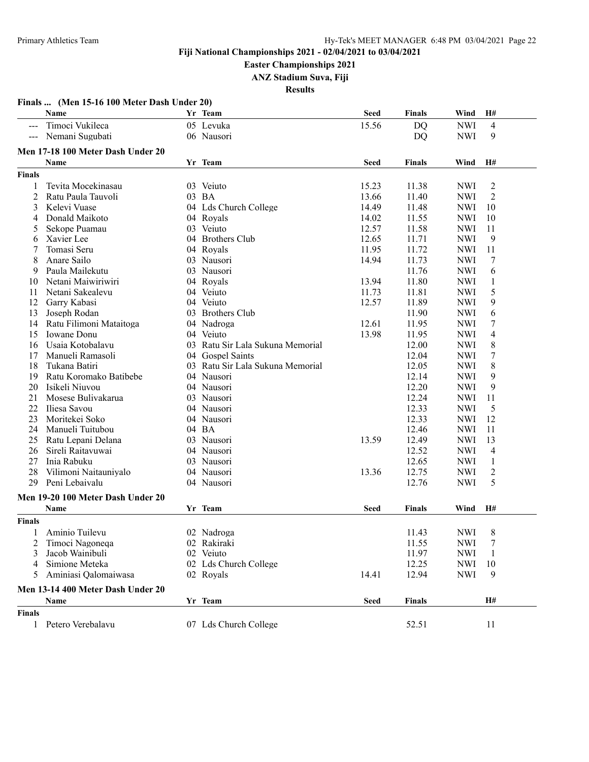**Easter Championships 2021**

**ANZ Stadium Suva, Fiji**

|                     | Finals  (Men 15-16 100 Meter Dash Under 20) |                                  |             |               |            |                  |
|---------------------|---------------------------------------------|----------------------------------|-------------|---------------|------------|------------------|
|                     | Name                                        | Yr Team                          | <b>Seed</b> | Finals        | Wind       | H#               |
| $\qquad \qquad - -$ | Timoci Vukileca                             | 05 Levuka                        | 15.56       | DQ            | <b>NWI</b> | 4                |
| $---$               | Nemani Sugubati                             | 06 Nausori                       |             | <b>DQ</b>     | <b>NWI</b> | 9                |
|                     | Men 17-18 100 Meter Dash Under 20           |                                  |             |               |            |                  |
|                     | Name                                        | Yr Team                          | <b>Seed</b> | Finals        | Wind       | H#               |
| <b>Finals</b>       |                                             |                                  |             |               |            |                  |
| 1                   | Tevita Mocekinasau                          | 03 Veiuto                        | 15.23       | 11.38         | <b>NWI</b> |                  |
| $\overline{2}$      | Ratu Paula Tauvoli                          | 03 BA                            | 13.66       | 11.40         | <b>NWI</b> | 2<br>2           |
| 3                   | Kelevi Vuase                                | 04 Lds Church College            | 14.49       | 11.48         | <b>NWI</b> | 10               |
| 4                   | Donald Maikoto                              |                                  | 14.02       | 11.55         | <b>NWI</b> | 10               |
|                     | Sekope Puamau                               | 04 Royals<br>03 Veiuto           | 12.57       |               | <b>NWI</b> | 11               |
| 5                   |                                             | 04 Brothers Club                 | 12.65       | 11.58         | <b>NWI</b> | 9                |
| 6                   | Xavier Lee                                  |                                  | 11.95       | 11.71         |            | 11               |
| 7                   | Tomasi Seru                                 | 04 Royals                        |             | 11.72         | <b>NWI</b> |                  |
| 8                   | Anare Sailo                                 | 03 Nausori                       | 14.94       | 11.73         | <b>NWI</b> | 7                |
| 9                   | Paula Mailekutu                             | 03 Nausori                       |             | 11.76         | <b>NWI</b> | 6                |
| 10                  | Netani Maiwiriwiri                          | 04 Royals                        | 13.94       | 11.80         | <b>NWI</b> | 1                |
| 11                  | Netani Sakealevu                            | 04 Veiuto                        | 11.73       | 11.81         | <b>NWI</b> | 5                |
| 12                  | Garry Kabasi                                | 04 Veiuto                        | 12.57       | 11.89         | <b>NWI</b> | 9                |
| 13                  | Joseph Rodan                                | 03 Brothers Club                 |             | 11.90         | <b>NWI</b> | 6                |
| 14                  | Ratu Filimoni Mataitoga                     | 04 Nadroga                       | 12.61       | 11.95         | <b>NWI</b> | $\boldsymbol{7}$ |
| 15                  | <b>Iowane</b> Donu                          | 04 Veiuto                        | 13.98       | 11.95         | <b>NWI</b> | 4                |
| 16                  | Usaia Kotobalavu                            | 03 Ratu Sir Lala Sukuna Memorial |             | 12.00         | <b>NWI</b> | 8                |
| 17                  | Manueli Ramasoli                            | 04 Gospel Saints                 |             | 12.04         | <b>NWI</b> | 7                |
| 18                  | Tukana Batiri                               | 03 Ratu Sir Lala Sukuna Memorial |             | 12.05         | <b>NWI</b> | 8                |
| 19                  | Ratu Koromako Batibebe                      | 04 Nausori                       |             | 12.14         | <b>NWI</b> | 9                |
| 20                  | Isikeli Niuvou                              | 04 Nausori                       |             | 12.20         | <b>NWI</b> | 9                |
| 21                  | Mosese Bulivakarua                          | 03 Nausori                       |             | 12.24         | <b>NWI</b> | 11               |
| 22                  | Iliesa Savou                                | 04 Nausori                       |             | 12.33         | <b>NWI</b> | 5                |
| 23                  | Moritekei Soko                              | 04 Nausori                       |             | 12.33         | <b>NWI</b> | 12               |
| 24                  | Manueli Tuitubou                            | 04 BA                            |             | 12.46         | <b>NWI</b> | 11               |
| 25                  | Ratu Lepani Delana                          | 03 Nausori                       | 13.59       | 12.49         | <b>NWI</b> | 13               |
| 26                  | Sireli Raitavuwai                           | 04 Nausori                       |             | 12.52         | <b>NWI</b> | 4                |
| 27                  | Inia Rabuku                                 | 03 Nausori                       |             | 12.65         | <b>NWI</b> | 1                |
| 28                  | Vilimoni Naitauniyalo                       | 04 Nausori                       | 13.36       | 12.75         | <b>NWI</b> | $\overline{c}$   |
| 29                  | Peni Lebaivalu                              | 04 Nausori                       |             | 12.76         | <b>NWI</b> | 5                |
|                     | Men 19-20 100 Meter Dash Under 20           |                                  |             |               |            |                  |
|                     | Name                                        | Yr Team                          | <b>Seed</b> | Finals        | Wind       | H#               |
| <b>Finals</b>       |                                             |                                  |             |               |            |                  |
| 1                   | Aminio Tuilevu                              | 02 Nadroga                       |             | 11.43         | <b>NWI</b> | 8                |
| 2                   | Timoci Nagoneqa                             | 02 Rakiraki                      |             | 11.55         | <b>NWI</b> | 7                |
| 3                   | Jacob Wainibuli                             | 02 Veiuto                        |             | 11.97         | <b>NWI</b> | 1                |
| 4                   | Simione Meteka                              | 02 Lds Church College            |             | 12.25         | <b>NWI</b> | 10               |
| 5                   | Aminiasi Qalomaiwasa                        | 02 Royals                        | 14.41       | 12.94         | <b>NWI</b> | 9                |
|                     | Men 13-14 400 Meter Dash Under 20           |                                  |             |               |            |                  |
|                     | Name                                        | Yr Team                          | <b>Seed</b> | <b>Finals</b> |            | H#               |
| <b>Finals</b>       |                                             |                                  |             |               |            |                  |
|                     | 1 Petero Verebalavu                         | 07 Lds Church College            |             | 52.51         |            | 11               |
|                     |                                             |                                  |             |               |            |                  |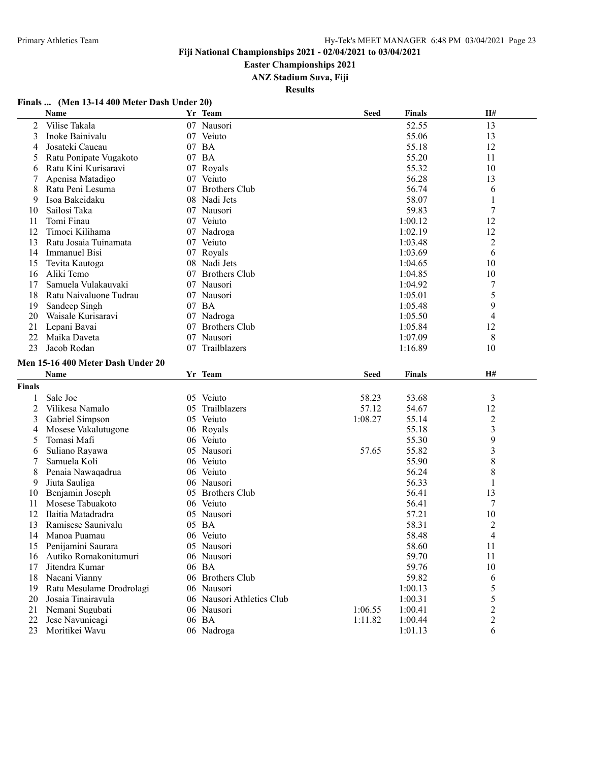**Easter Championships 2021**

**ANZ Stadium Suva, Fiji**

**Results**

#### **Finals ... (Men 13-14 400 Meter Dash Under 20)**

|                | Name                              |    | Yr Team                   | <b>Seed</b> | <b>Finals</b>      | H#                                        |
|----------------|-----------------------------------|----|---------------------------|-------------|--------------------|-------------------------------------------|
| 2              | Vilise Takala                     |    | 07 Nausori                |             | 52.55              | 13                                        |
| 3              | Inoke Bainivalu                   |    | 07 Veiuto                 |             | 55.06              | 13                                        |
| 4              | Josateki Caucau                   |    | 07 BA                     |             | 55.18              | 12                                        |
| 5              | Ratu Ponipate Vugakoto            |    | 07 BA                     |             | 55.20              | 11                                        |
| 6              | Ratu Kini Kurisaravi              |    | 07 Royals                 |             | 55.32              | 10                                        |
| 7              | Apenisa Matadigo                  |    | 07 Veiuto                 |             | 56.28              | 13                                        |
| 8              | Ratu Peni Lesuma                  |    | 07 Brothers Club          |             | 56.74              | 6                                         |
| 9              | Isoa Bakeidaku                    |    | 08 Nadi Jets              |             | 58.07              | 1                                         |
| 10             | Sailosi Taka                      |    | 07 Nausori                |             | 59.83              | $\sqrt{ }$                                |
| 11             | Tomi Finau                        |    | 07 Veiuto                 |             | 1:00.12            | 12                                        |
| 12             | Timoci Kilihama                   |    | 07 Nadroga                |             | 1:02.19            | 12                                        |
| 13             | Ratu Josaia Tuinamata             |    | 07 Veiuto                 |             | 1:03.48            | $\overline{c}$                            |
| 14             | <b>Immanuel Bisi</b>              |    | 07 Royals                 |             | 1:03.69            | 6                                         |
| 15             | Tevita Kautoga                    |    | 08 Nadi Jets              |             | 1:04.65            | 10                                        |
| 16             | Aliki Temo                        | 07 | <b>Brothers Club</b>      |             | 1:04.85            | 10                                        |
| 17             | Samuela Vulakauvaki               |    | 07 Nausori                |             | 1:04.92            | 7                                         |
| 18             | Ratu Naivaluone Tudrau            |    | 07 Nausori                |             | 1:05.01            | 5                                         |
| 19             | Sandeep Singh                     |    | 07 BA                     |             | 1:05.48            | 9                                         |
| 20             | Waisale Kurisaravi                |    | 07 Nadroga                |             | 1:05.50            | 4                                         |
| 21             | Lepani Bavai                      | 07 | <b>Brothers Club</b>      |             | 1:05.84            | 12                                        |
| 22             | Maika Daveta                      | 07 | Nausori                   |             | 1:07.09            | 8                                         |
| 23             | Jacob Rodan                       | 07 | Trailblazers              |             | 1:16.89            | 10                                        |
|                | Men 15-16 400 Meter Dash Under 20 |    |                           |             |                    |                                           |
|                | Name                              |    | Yr Team                   | <b>Seed</b> | Finals             | H#                                        |
| <b>Finals</b>  |                                   |    |                           |             |                    |                                           |
|                |                                   |    |                           |             |                    |                                           |
| 1              | Sale Joe                          |    | 05 Veiuto                 | 58.23       | 53.68              | $\mathfrak{Z}$                            |
| $\overline{c}$ | Vilikesa Namalo                   | 05 | Trailblazers              | 57.12       | 54.67              | 12                                        |
| 3              | Gabriel Simpson                   |    | 05 Veiuto                 | 1:08.27     | 55.14              | $\overline{c}$                            |
| 4              | Mosese Vakalutugone               |    | 06 Royals                 |             | 55.18              | 3                                         |
| 5              | Tomasi Mafi                       |    | 06 Veiuto<br>05 Nausori   |             | 55.30<br>55.82     | 9<br>3                                    |
| 6              | Suliano Rayawa<br>Samuela Koli    |    | 06 Veiuto                 | 57.65       | 55.90              |                                           |
| 7              |                                   |    | 06 Veiuto                 |             |                    | 8                                         |
| 8<br>9         | Penaia Nawaqadrua                 |    | 06 Nausori                |             | 56.24<br>56.33     | 8<br>1                                    |
|                | Jiuta Sauliga<br>Benjamin Joseph  |    | <b>Brothers Club</b>      |             | 56.41              | 13                                        |
| 10<br>11       | Mosese Tabuakoto                  | 05 | 06 Veiuto                 |             | 56.41              | 7                                         |
| 12             | Ilaitia Matadradra                |    | 05 Nausori                |             | 57.21              | 10                                        |
| 13             | Ramisese Saunivalu                | 05 | <b>BA</b>                 |             | 58.31              | $\overline{c}$                            |
| 14             | Manoa Puamau                      |    | 06 Veiuto                 |             | 58.48              | 4                                         |
|                | Penijamini Saurara                |    | 05 Nausori                |             | 58.60              | 11                                        |
| 15             | Autiko Romakonitumuri             |    | 06 Nausori                |             | 59.70              |                                           |
| 16<br>17       | Jitendra Kumar                    |    | 06 BA                     |             | 59.76              | 11<br>10                                  |
| 18             | Nacani Vianny                     |    | 06 Brothers Club          |             | 59.82              |                                           |
|                | Ratu Mesulame Drodrolagi          |    | 06 Nausori                |             |                    | 6                                         |
| 19<br>20       | Josaia Tinairavula                |    | 06 Nausori Athletics Club |             | 1:00.13<br>1:00.31 | 5<br>5                                    |
| 21             | Nemani Sugubati                   |    | 06 Nausori                | 1:06.55     | 1:00.41            |                                           |
| 22             | Jese Navunicagi                   |    | 06 BA                     | 1:11.82     | 1:00.44            | $\overline{\mathbf{c}}$<br>$\overline{c}$ |
| 23             | Moritikei Wavu                    |    | 06 Nadroga                |             | 1:01.13            | 6                                         |
|                |                                   |    |                           |             |                    |                                           |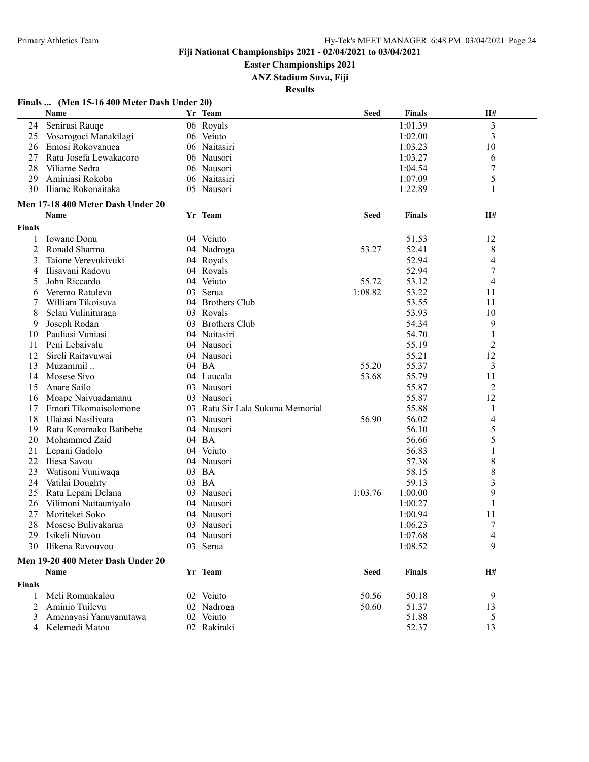#### **Easter Championships 2021**

**ANZ Stadium Suva, Fiji**

| Finals  (Men 15-16 400 Meter Dash Under 20) |
|---------------------------------------------|
|---------------------------------------------|

|               | Name                                      | Yr Team                          | <b>Seed</b> | <b>Finals</b> | H#                       |
|---------------|-------------------------------------------|----------------------------------|-------------|---------------|--------------------------|
| 24            | Senirusi Rauqe                            | 06 Royals                        |             | 1:01.39       | $\overline{\mathbf{3}}$  |
| 25            | Vosarogoci Manakilagi                     | 06 Veiuto                        |             | 1:02.00       | 3                        |
| 26            | Emosi Rokoyanuca                          | 06 Naitasiri                     |             | 1:03.23       | 10                       |
| 27            | Ratu Josefa Lewakacoro                    | 06 Nausori                       |             | 1:03.27       | 6                        |
| 28            | Viliame Sedra                             | 06 Nausori                       |             | 1:04.54       | 7                        |
| 29            | Aminiasi Rokoba                           | 06 Naitasiri                     |             | 1:07.09       | 5                        |
| 30            | Iliame Rokonaitaka                        | 05 Nausori                       |             | 1:22.89       | 1                        |
|               | Men 17-18 400 Meter Dash Under 20         |                                  |             |               |                          |
|               | Name                                      | Yr Team                          | Seed        | <b>Finals</b> | H#                       |
| <b>Finals</b> |                                           |                                  |             |               |                          |
| 1             | Iowane Donu                               | 04 Veiuto                        |             | 51.53         | 12                       |
| 2             | Ronald Sharma                             | 04 Nadroga                       | 53.27       | 52.41         | 8                        |
| 3             | Taione Verevukivuki                       | 04 Royals                        |             | 52.94         | 4                        |
| 4             | Ilisavani Radovu                          | 04 Royals                        |             | 52.94         | 7                        |
| 5             | John Riccardo                             | 04 Veiuto                        | 55.72       | 53.12         | 4                        |
| 6             | Veremo Ratulevu                           | 03 Serua                         | 1:08.82     | 53.22         | 11                       |
| 7             | William Tikoisuva                         | 04 Brothers Club                 |             | 53.55         | 11                       |
| 8             | Selau Vulinituraga                        | 03 Royals                        |             | 53.93         | 10                       |
| 9             | Joseph Rodan                              | 03 Brothers Club                 |             | 54.34         | 9                        |
| 10            | Pauliasi Vuniasi                          | 04 Naitasiri                     |             | 54.70         | 1                        |
| 11            | Peni Lebaivalu                            | 04 Nausori                       |             | 55.19         | 2                        |
| 12            | Sireli Raitavuwai                         | 04 Nausori                       |             | 55.21         | 12                       |
| 13            | Muzammil                                  | 04 BA                            | 55.20       | 55.37         | 3                        |
| 14            | Mosese Sivo                               | 04 Laucala                       | 53.68       | 55.79         | 11                       |
| 15            | Anare Sailo                               | 03 Nausori                       |             | 55.87         | 2                        |
| 16            | Moape Naivuadamanu                        | 03 Nausori                       |             | 55.87         | 12                       |
| 17            | Emori Tikomaisolomone                     | 03 Ratu Sir Lala Sukuna Memorial |             | 55.88         | 1                        |
| 18            | Ulaiasi Nasilivata                        | 03 Nausori                       | 56.90       | 56.02         | $\overline{\mathcal{A}}$ |
| 19            | Ratu Koromako Batibebe                    | 04 Nausori                       |             | 56.10         | 5                        |
| 20            | Mohammed Zaid                             | 04 BA                            |             | 56.66         | 5                        |
| 21            | Lepani Gadolo                             | 04 Veiuto                        |             | 56.83         | 1                        |
| 22            | Iliesa Savou                              | 04 Nausori                       |             | 57.38         | 8                        |
| 23            | Watisoni Vuniwaqa                         | 03 BA                            |             | 58.15         | 8                        |
| 24            | Vatilai Doughty                           | 03 BA                            |             | 59.13         | 3                        |
| 25            | Ratu Lepani Delana                        | 03 Nausori                       | 1:03.76     | 1:00.00       | 9                        |
| 26            | Vilimoni Naitauniyalo                     | 04 Nausori                       |             | 1:00.27       | 1                        |
| 27            | Moritekei Soko                            | 04 Nausori                       |             | 1:00.94       | 11                       |
| 28            | Mosese Bulivakarua                        | 03 Nausori                       |             | 1:06.23       | 7                        |
| 29            | Isikeli Niuvou                            | 04 Nausori                       |             | 1:07.68       | 4                        |
|               | 30 Ilikena Ravouvou                       | 03 Serua                         |             | 1:08.52       | 9                        |
|               |                                           |                                  |             |               |                          |
|               | Men 19-20 400 Meter Dash Under 20<br>Name | Yr Team                          | <b>Seed</b> | <b>Finals</b> | H#                       |
|               |                                           |                                  |             |               |                          |
| <b>Finals</b> | Meli Romuakalou                           |                                  |             |               |                          |
| 1             |                                           | 02 Veiuto                        | 50.56       | 50.18         | 9                        |
| 2             | Aminio Tuilevu                            | 02 Nadroga                       | 50.60       | 51.37         | 13                       |
| 3             | Amenayasi Yanuyanutawa                    | 02 Veiuto                        |             | 51.88         | 5                        |
| 4             | Kelemedi Matou                            | 02 Rakiraki                      |             | 52.37         | 13                       |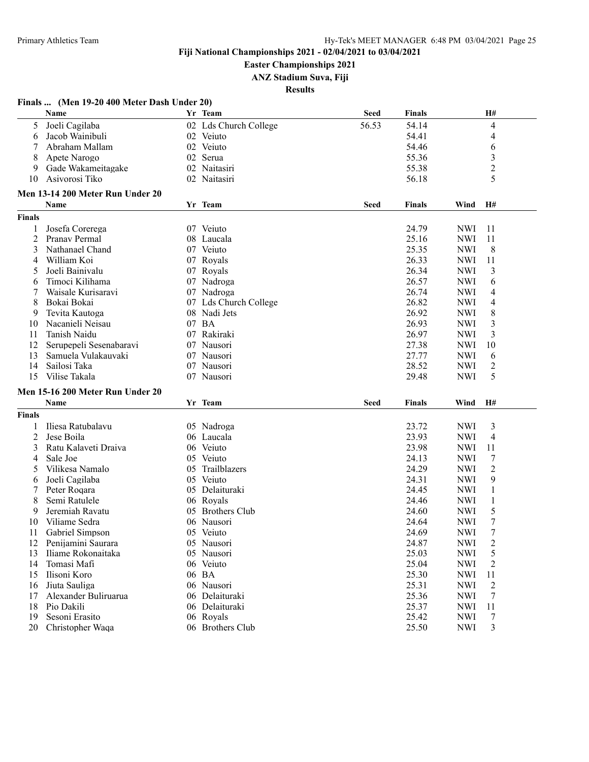**Easter Championships 2021**

**ANZ Stadium Suva, Fiji**

| Finals  (Men 19-20 400 Meter Dash Under 20) |  |  |  |  |  |  |  |
|---------------------------------------------|--|--|--|--|--|--|--|
|---------------------------------------------|--|--|--|--|--|--|--|

|                | Name                               |    | Yr Team               | <b>Seed</b> | <b>Finals</b> |            | H#               |
|----------------|------------------------------------|----|-----------------------|-------------|---------------|------------|------------------|
| 5              | Joeli Cagilaba                     |    | 02 Lds Church College | 56.53       | 54.14         |            | 4                |
| 6              | Jacob Wainibuli                    |    | 02 Veiuto             |             | 54.41         |            | 4                |
|                | Abraham Mallam                     |    | 02 Veiuto             |             | 54.46         |            | 6                |
| 8              | Apete Narogo                       |    | 02 Serua              |             | 55.36         |            | 3                |
| 9              | Gade Wakameitagake                 |    | 02 Naitasiri          |             | 55.38         |            | $\overline{c}$   |
| 10             | Asivorosi Tiko                     |    | 02 Naitasiri          |             | 56.18         |            | 5                |
|                | Men 13-14 200 Meter Run Under 20   |    |                       |             |               |            |                  |
|                | Name                               |    | Yr Team               | <b>Seed</b> | <b>Finals</b> | Wind       | H#               |
| <b>Finals</b>  |                                    |    |                       |             |               |            |                  |
| 1              | Josefa Corerega                    |    | 07 Veiuto             |             | 24.79         | <b>NWI</b> | 11               |
| $\overline{c}$ | Pranav Permal                      |    | 08 Laucala            |             | 25.16         | <b>NWI</b> | 11               |
| 3              | Nathanael Chand                    |    | 07 Veiuto             |             | 25.35         | <b>NWI</b> | 8                |
| 4              | William Koi                        |    | 07 Royals             |             | 26.33         | <b>NWI</b> | 11               |
| 5              | Joeli Bainivalu                    |    | 07 Royals             |             | 26.34         | <b>NWI</b> | 3                |
| 6              | Timoci Kilihama                    |    | 07 Nadroga            |             | 26.57         | <b>NWI</b> | 6                |
| 7              | Waisale Kurisaravi                 |    | 07 Nadroga            |             | 26.74         | <b>NWI</b> | 4                |
| 8              | Bokai Bokai                        |    | 07 Lds Church College |             | 26.82         | <b>NWI</b> | 4                |
| 9              | Tevita Kautoga                     |    | 08 Nadi Jets          |             | 26.92         | <b>NWI</b> | 8                |
| 10             | Nacanieli Neisau                   |    | 07 BA                 |             | 26.93         | <b>NWI</b> | 3                |
| 11             | Tanish Naidu                       |    | 07 Rakiraki           |             | 26.97         | <b>NWI</b> | 3                |
| 12             | Serupepeli Sesenabaravi            |    | 07 Nausori            |             | 27.38         | <b>NWI</b> | 10               |
| 13             | Samuela Vulakauvaki                |    | 07 Nausori            |             | 27.77         | <b>NWI</b> | 6                |
| 14             | Sailosi Taka                       |    | 07 Nausori            |             | 28.52         | <b>NWI</b> | $\overline{c}$   |
| 15             | Vilise Takala                      |    | 07 Nausori            |             | 29.48         | <b>NWI</b> | 5                |
|                |                                    |    |                       |             |               |            |                  |
|                | Men 15-16 200 Meter Run Under 20   |    |                       |             |               |            |                  |
|                | Name                               |    | Yr Team               | <b>Seed</b> | Finals        | Wind       | H#               |
| Finals         |                                    |    |                       |             |               |            |                  |
|                | Iliesa Ratubalavu                  |    | 05 Nadroga            |             | 23.72         | <b>NWI</b> | 3                |
| 2              | Jese Boila                         |    | 06 Laucala            |             | 23.93         | <b>NWI</b> | 4                |
| 3              | Ratu Kalaveti Draiva               |    | 06 Veiuto             |             | 23.98         | <b>NWI</b> | 11               |
| 4              | Sale Joe                           |    | 05 Veiuto             |             | 24.13         | <b>NWI</b> | $\tau$           |
| 5              | Vilikesa Namalo                    | 05 | Trailblazers          |             | 24.29         | <b>NWI</b> | $\sqrt{2}$       |
| 6              | Joeli Cagilaba                     |    | 05 Veiuto             |             | 24.31         | <b>NWI</b> | 9                |
| 7              | Peter Roqara                       |    | 05 Delaituraki        |             | 24.45         | <b>NWI</b> | 1                |
| 8              | Semi Ratulele                      |    | 06 Royals             |             | 24.46         | <b>NWI</b> | 1                |
| 9              | Jeremiah Ravatu                    |    | 05 Brothers Club      |             | 24.60         | <b>NWI</b> | 5                |
| 10             | Viliame Sedra                      |    | 06 Nausori            |             | 24.64         | <b>NWI</b> | $\boldsymbol{7}$ |
| 11             | Gabriel Simpson                    |    | 05 Veiuto             |             | 24.69         | <b>NWI</b> | $\overline{7}$   |
| 12             | Penijamini Saurara                 |    | 05 Nausori            |             | 24.87         | <b>NWI</b> | $\overline{2}$   |
| 13             | Iliame Rokonaitaka                 |    | 05 Nausori            |             | 25.03         | <b>NWI</b> | 5                |
| 14             | Tomasi Mafi                        |    | 06 Veiuto             |             | 25.04         | <b>NWI</b> | 2                |
| 15             | Ilisoni Koro                       |    | 06 BA                 |             | 25.30         | <b>NWI</b> | 11               |
| 16             | Jiuta Sauliga                      |    | 06 Nausori            |             | 25.31         | <b>NWI</b> | $\overline{2}$   |
| 17             | Alexander Buliruarua               |    | 06 Delaituraki        |             | 25.36         | <b>NWI</b> | 7                |
| 18             | Pio Dakili                         |    | 06 Delaituraki        |             | 25.37         | <b>NWI</b> | 11               |
| 19             | Sesoni Erasito<br>Christopher Waqa |    | 06 Royals             |             | 25.42         | <b>NWI</b> | 7                |
| 20             |                                    |    | 06 Brothers Club      |             | 25.50         | <b>NWI</b> | 3                |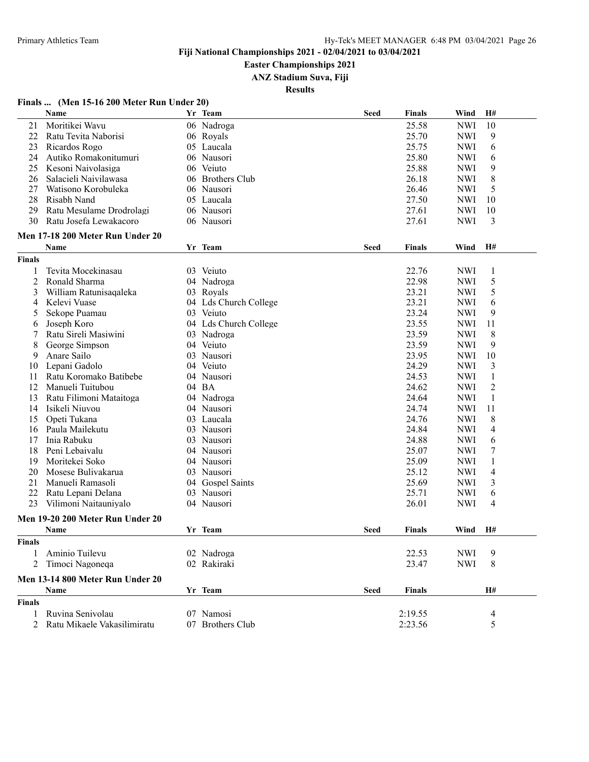**Easter Championships 2021**

**ANZ Stadium Suva, Fiji**

**Results**

#### **Finals ... (Men 15-16 200 Meter Run Under 20)**

|                | Name                                 |    | Yr Team               | <b>Seed</b> | <b>Finals</b> | Wind       | H#           |
|----------------|--------------------------------------|----|-----------------------|-------------|---------------|------------|--------------|
| 21             | Moritikei Wavu                       |    | 06 Nadroga            |             | 25.58         | <b>NWI</b> | 10           |
| 22             | Ratu Tevita Naborisi                 |    | 06 Royals             |             | 25.70         | <b>NWI</b> | 9            |
| 23             | Ricardos Rogo                        |    | 05 Laucala            |             | 25.75         | <b>NWI</b> | 6            |
| 24             | Autiko Romakonitumuri                |    | 06 Nausori            |             | 25.80         | <b>NWI</b> | 6            |
| 25             | Kesoni Naivolasiga                   |    | 06 Veiuto             |             | 25.88         | <b>NWI</b> | 9            |
| 26             | Salacieli Naivilawasa                |    | 06 Brothers Club      |             | 26.18         | <b>NWI</b> | 8            |
| 27             | Watisono Korobuleka                  |    | 06 Nausori            |             | 26.46         | <b>NWI</b> | 5            |
| 28             | Risabh Nand                          |    | 05 Laucala            |             | 27.50         | <b>NWI</b> | 10           |
| 29             | Ratu Mesulame Drodrolagi             |    | 06 Nausori            |             | 27.61         | <b>NWI</b> | 10           |
| 30             | Ratu Josefa Lewakacoro               |    | 06 Nausori            |             | 27.61         | <b>NWI</b> | 3            |
|                |                                      |    |                       |             |               |            |              |
|                | Men 17-18 200 Meter Run Under 20     |    |                       |             |               |            |              |
|                | Name                                 |    | Yr Team               | <b>Seed</b> | <b>Finals</b> | Wind       | H#           |
| <b>Finals</b>  |                                      |    |                       |             |               |            |              |
| 1              | Tevita Mocekinasau                   |    | 03 Veiuto             |             | 22.76         | <b>NWI</b> | 1            |
| $\overline{2}$ | Ronald Sharma                        |    | 04 Nadroga            |             | 22.98         | <b>NWI</b> | 5            |
| 3              | William Ratunisaqaleka               |    | 03 Royals             |             | 23.21         | <b>NWI</b> | 5            |
| 4              | Kelevi Vuase                         |    | 04 Lds Church College |             | 23.21         | <b>NWI</b> | 6            |
| 5              | Sekope Puamau                        |    | 03 Veiuto             |             | 23.24         | <b>NWI</b> | 9            |
| 6              | Joseph Koro                          |    | 04 Lds Church College |             | 23.55         | <b>NWI</b> | 11           |
|                | Ratu Sireli Masiwini                 |    | 03 Nadroga            |             | 23.59         | <b>NWI</b> | 8            |
| 8              | George Simpson                       |    | 04 Veiuto             |             | 23.59         | <b>NWI</b> | 9            |
| 9              | Anare Sailo                          |    | 03 Nausori            |             | 23.95         | <b>NWI</b> | 10           |
| 10             | Lepani Gadolo                        |    | 04 Veiuto             |             | 24.29         | <b>NWI</b> | 3            |
| 11             | Ratu Koromako Batibebe               |    | 04 Nausori            |             | 24.53         | <b>NWI</b> | $\mathbf{1}$ |
| 12             | Manueli Tuitubou                     |    | 04 BA                 |             | 24.62         | <b>NWI</b> | 2            |
| 13             | Ratu Filimoni Mataitoga              |    | 04 Nadroga            |             | 24.64         | <b>NWI</b> | 1            |
| 14             | Isikeli Niuvou                       |    | 04 Nausori            |             | 24.74         | <b>NWI</b> | 11           |
| 15             | Opeti Tukana                         |    | 03 Laucala            |             | 24.76         | <b>NWI</b> | 8            |
| 16             | Paula Mailekutu                      |    | 03 Nausori            |             | 24.84         | <b>NWI</b> | 4            |
| 17             | Inia Rabuku                          |    | 03 Nausori            |             | 24.88         | <b>NWI</b> | 6            |
| 18             | Peni Lebaivalu                       |    | 04 Nausori            |             | 25.07         | <b>NWI</b> | $\tau$       |
| 19             |                                      |    |                       |             | 25.09         |            |              |
| 20             | Moritekei Soko<br>Mosese Bulivakarua |    | 04 Nausori            |             | 25.12         | <b>NWI</b> | $\mathbf{1}$ |
|                |                                      |    | 03 Nausori            |             |               | <b>NWI</b> | 4            |
| 21             | Manueli Ramasoli                     |    | 04 Gospel Saints      |             | 25.69         | <b>NWI</b> | 3            |
| 22             | Ratu Lepani Delana                   | 03 | Nausori               |             | 25.71         | <b>NWI</b> | 6            |
| 23             | Vilimoni Naitauniyalo                |    | 04 Nausori            |             | 26.01         | <b>NWI</b> | 4            |
|                | Men 19-20 200 Meter Run Under 20     |    |                       |             |               |            |              |
|                | <b>Name</b>                          |    | Yr Team               | Seed        | <b>Finals</b> | Wind       | H#           |
| <b>Finals</b>  |                                      |    |                       |             |               |            |              |
| 1              | Aminio Tuilevu                       |    | 02 Nadroga            |             | 22.53         | <b>NWI</b> | 9            |
| 2              | Timoci Nagoneqa                      |    | 02 Rakiraki           |             | 23.47         | <b>NWI</b> | 8            |
|                | Men 13-14 800 Meter Run Under 20     |    |                       |             |               |            |              |
|                | Name                                 |    | Yr Team               | <b>Seed</b> | <b>Finals</b> |            | H#           |
| <b>Finals</b>  |                                      |    |                       |             |               |            |              |
| 1              | Ruvina Senivolau                     |    | 07 Namosi             |             | 2:19.55       |            | 4            |
| 2              | Ratu Mikaele Vakasilimiratu          |    | 07 Brothers Club      |             | 2:23.56       |            | 5            |
|                |                                      |    |                       |             |               |            |              |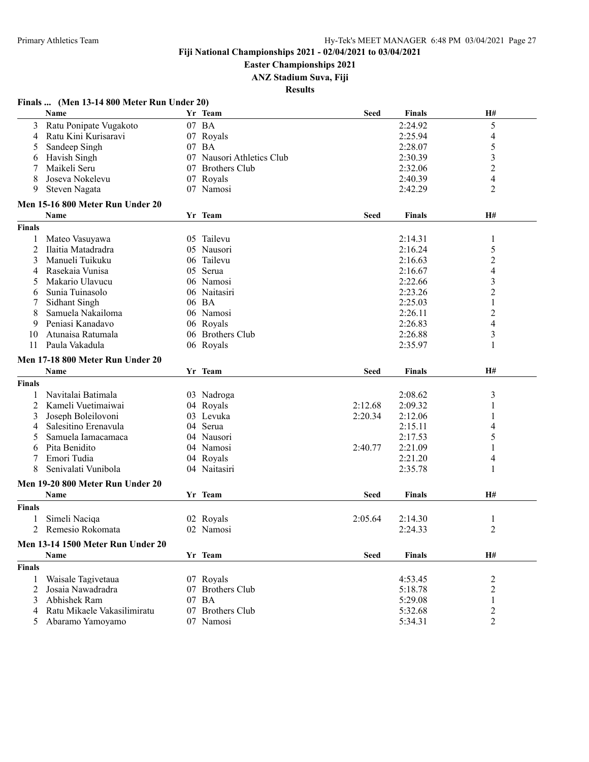**Easter Championships 2021**

**ANZ Stadium Suva, Fiji**

**Results**

#### **Finals ... (Men 13-14 800 Meter Run Under 20)**

|               | Name                                 | Yr Team                   | <b>Seed</b> | <b>Finals</b>      | H#             |
|---------------|--------------------------------------|---------------------------|-------------|--------------------|----------------|
| 3             | Ratu Ponipate Vugakoto               | 07 BA                     |             | 2:24.92            | 5              |
| 4             | Ratu Kini Kurisaravi                 | 07 Royals                 |             | 2:25.94            | 4              |
| 5             | Sandeep Singh                        | 07 BA                     |             | 2:28.07            | 5              |
| 6             | Havish Singh                         | 07 Nausori Athletics Club |             | 2:30.39            | 3              |
|               | Maikeli Seru                         | 07 Brothers Club          |             | 2:32.06            | 2              |
| 8             | Joseva Nokelevu                      | 07 Royals                 |             | 2:40.39            | 4              |
| 9             | Steven Nagata                        | 07 Namosi                 |             | 2:42.29            | 2              |
|               | Men 15-16 800 Meter Run Under 20     |                           |             |                    |                |
|               | Name                                 | Yr Team                   | <b>Seed</b> | Finals             | H#             |
| <b>Finals</b> |                                      |                           |             |                    |                |
|               |                                      | 05 Tailevu                |             |                    |                |
| 1<br>2        | Mateo Vasuyawa<br>Ilaitia Matadradra | 05 Nausori                |             | 2:14.31<br>2:16.24 | 1              |
| 3             | Manueli Tuikuku                      | 06 Tailevu                |             |                    | 5              |
|               |                                      |                           |             | 2:16.63            | 2              |
| 4             | Rasekaia Vunisa                      | 05 Serua                  |             | 2:16.67            | 4              |
| 5             | Makario Ulavucu                      | 06 Namosi                 |             | 2:22.66            | 3              |
| 6             | Sunia Tuinasolo                      | 06 Naitasiri              |             | 2:23.26            | $\overline{c}$ |
|               | Sidhant Singh                        | 06 BA                     |             | 2:25.03            | 1              |
| 8             | Samuela Nakailoma                    | 06 Namosi                 |             | 2:26.11            | $\overline{c}$ |
| 9             | Peniasi Kanadavo                     | 06 Royals                 |             | 2:26.83            | 4              |
| 10            | Atunaisa Ratumala                    | 06 Brothers Club          |             | 2:26.88            | 3              |
| 11            | Paula Vakadula                       | 06 Royals                 |             | 2:35.97            | 1              |
|               | Men 17-18 800 Meter Run Under 20     |                           |             |                    |                |
|               | Name                                 | Yr Team                   | <b>Seed</b> | <b>Finals</b>      | <b>H#</b>      |
| <b>Finals</b> |                                      |                           |             |                    |                |
| -1            | Navitalai Batimala                   | 03 Nadroga                |             | 2:08.62            | 3              |
| 2             | Kameli Vuetimaiwai                   | 04 Royals                 | 2:12.68     | 2:09.32            | 1              |
| 3             | Joseph Boleilovoni                   | 03 Levuka                 | 2:20.34     | 2:12.06            |                |
| 4             | Salesitino Erenavula                 | 04 Serua                  |             | 2:15.11            | 4              |
| 5             | Samuela Iamacamaca                   | 04 Nausori                |             | 2:17.53            | 5              |
| 6             | Pita Benidito                        | 04 Namosi                 | 2:40.77     | 2:21.09            |                |
| 7             | Emori Tudia                          | 04 Royals                 |             | 2:21.20            | 4              |
| 8             | Senivalati Vunibola                  | 04 Naitasiri              |             | 2:35.78            | 1              |
|               |                                      |                           |             |                    |                |
|               | Men 19-20 800 Meter Run Under 20     |                           |             |                    |                |
|               | <b>Name</b>                          | Yr Team                   | <b>Seed</b> | <b>Finals</b>      | <b>H#</b>      |
| <b>Finals</b> |                                      |                           |             |                    |                |
|               | Simeli Naciqa                        | 02 Royals                 | 2:05.64     | 2:14.30            | 1              |
| 2             | Remesio Rokomata                     | 02 Namosi                 |             | 2:24.33            | 2              |
|               | Men 13-14 1500 Meter Run Under 20    |                           |             |                    |                |
|               | Name                                 | Yr Team                   | <b>Seed</b> | <b>Finals</b>      | H#             |
| <b>Finals</b> |                                      |                           |             |                    |                |
| 1             | Waisale Tagivetaua                   | 07 Royals                 |             | 4:53.45            | 2              |
| 2             | Josaia Nawadradra                    | 07 Brothers Club          |             | 5:18.78            | 2              |
| 3             | Abhishek Ram                         | 07 BA                     |             | 5:29.08            | 1              |
| 4             | Ratu Mikaele Vakasilimiratu          | 07 Brothers Club          |             | 5:32.68            | 2              |
| 5             | Abaramo Yamoyamo                     | 07 Namosi                 |             | 5:34.31            | 2              |
|               |                                      |                           |             |                    |                |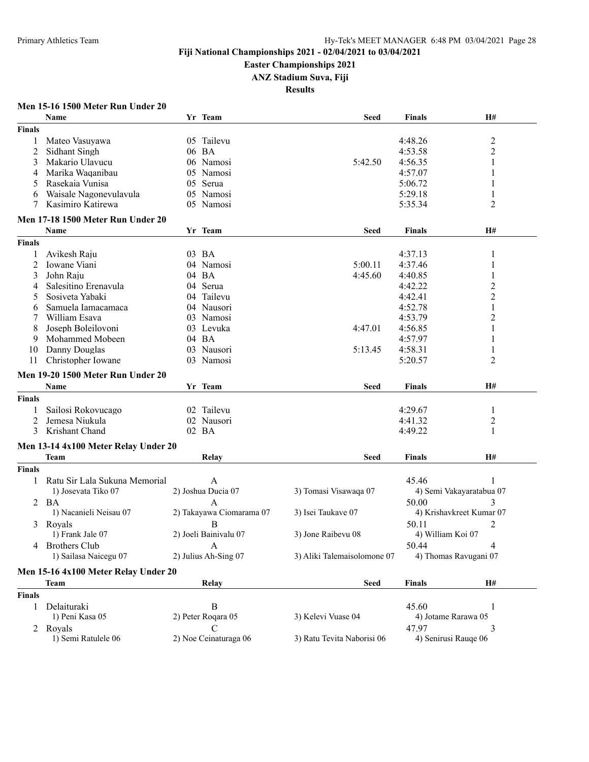#### **Easter Championships 2021**

**ANZ Stadium Suva, Fiji**

**Results**

## **Men 15-16 1500 Meter Run Under 20**

|               | Name                                 | Yr Team                       | <b>Seed</b>                 | <b>Finals</b>     | H#                       |
|---------------|--------------------------------------|-------------------------------|-----------------------------|-------------------|--------------------------|
| <b>Finals</b> |                                      |                               |                             |                   |                          |
| 1             | Mateo Vasuyawa                       | 05 Tailevu                    |                             | 4:48.26           | $\overline{c}$           |
| 2             | Sidhant Singh                        | 06 BA                         |                             | 4:53.58           | $\overline{2}$           |
| 3             | Makario Ulavucu                      | 06 Namosi                     | 5:42.50                     | 4:56.35           | 1                        |
| 4             | Marika Waqanibau                     | 05 Namosi                     |                             | 4:57.07           | 1                        |
| 5             | Rasekaia Vunisa                      | 05 Serua                      |                             | 5:06.72           | 1                        |
| 6             | Waisale Nagonevulavula               | 05 Namosi                     |                             | 5:29.18           | 1                        |
| 7             | Kasimiro Katirewa                    | 05 Namosi                     |                             | 5:35.34           | 2                        |
|               |                                      |                               |                             |                   |                          |
|               | Men 17-18 1500 Meter Run Under 20    |                               |                             |                   |                          |
|               | Name                                 | Yr Team                       | <b>Seed</b>                 | <b>Finals</b>     | H#                       |
| <b>Finals</b> |                                      |                               |                             |                   |                          |
|               | Avikesh Raju                         | 03 BA                         |                             | 4:37.13           | 1                        |
| 2             | Iowane Viani                         | 04 Namosi                     | 5:00.11                     | 4:37.46           | 1                        |
| 3             | John Raju                            | 04 BA                         | 4:45.60                     | 4:40.85           | $\mathbf{1}$             |
| 4             | Salesitino Erenavula                 | 04 Serua                      |                             | 4:42.22           | $\overline{c}$           |
| 5             | Sosiveta Yabaki                      | 04 Tailevu                    |                             | 4:42.41           | 2                        |
| 6             | Samuela Iamacamaca                   | 04 Nausori                    |                             | 4:52.78           | 1                        |
|               | William Esava                        | 03 Namosi                     |                             | 4:53.79           | $\overline{c}$           |
|               | Joseph Boleilovoni                   | 03 Levuka                     | 4:47.01                     | 4:56.85           | 1                        |
| 9             | Mohammed Mobeen                      | 04 BA                         |                             | 4:57.97           | 1                        |
| 10            | Danny Douglas                        | 03 Nausori                    | 5:13.45                     | 4:58.31           | $\mathbf{1}$             |
| 11            | Christopher Iowane                   | 03 Namosi                     |                             | 5:20.57           | 2                        |
|               |                                      |                               |                             |                   |                          |
|               | Men 19-20 1500 Meter Run Under 20    |                               |                             |                   |                          |
|               | Name                                 | Yr Team                       | <b>Seed</b>                 | <b>Finals</b>     | H#                       |
| <b>Finals</b> |                                      |                               |                             |                   |                          |
|               | Sailosi Rokovucago                   | 02 Tailevu                    |                             | 4:29.67           | 1                        |
| 2             | Jemesa Niukula                       | 02 Nausori                    |                             | 4:41.32           | $\overline{c}$           |
| 3             | Krishant Chand                       | 02 BA                         |                             | 4:49.22           | $\mathbf{1}$             |
|               | Men 13-14 4x100 Meter Relay Under 20 |                               |                             |                   |                          |
|               | <b>Team</b>                          | Relay                         | Seed                        | Finals            | H#                       |
| <b>Finals</b> |                                      |                               |                             |                   |                          |
|               | Ratu Sir Lala Sukuna Memorial        | A                             |                             | 45.46             | 1                        |
|               | 1) Josevata Tiko 07                  | 2) Joshua Ducia 07            | 3) Tomasi Visawaqa 07       |                   | 4) Semi Vakayaratabua 07 |
|               |                                      |                               |                             |                   |                          |
| 2             | BA                                   | A<br>2) Takayawa Ciomarama 07 |                             | 50.00             | 3                        |
|               | 1) Nacanieli Neisau 07               |                               | 3) Isei Taukave 07          |                   | 4) Krishavkreet Kumar 07 |
| 3             | Royals                               | B                             |                             | 50.11             | 2                        |
|               | 1) Frank Jale 07                     | 2) Joeli Bainivalu 07         | 3) Jone Raibevu 08          | 4) William Koi 07 |                          |
|               | 4 Brothers Club                      | $\overline{A}$                |                             | 50.44             | $\Lambda$                |
|               | 1) Sailasa Naicegu 07                | 2) Julius Ah-Sing 07          | 3) Aliki Talemaisolomone 07 |                   | 4) Thomas Ravugani 07    |
|               | Men 15-16 4x100 Meter Relay Under 20 |                               |                             |                   |                          |
|               | Team                                 | <b>Relay</b>                  | <b>Seed</b>                 | <b>Finals</b>     | H#                       |
| <b>Finals</b> |                                      |                               |                             |                   |                          |
| 1             | Delaituraki                          | $\, {\bf B}$                  |                             | 45.60             | 1                        |
|               | 1) Peni Kasa 05                      | 2) Peter Roqara 05            | 3) Kelevi Vuase 04          |                   | 4) Jotame Rarawa 05      |
|               | 2 Royals                             | $\mathsf{C}$                  |                             | 47.97             | 3                        |
|               | 1) Semi Ratulele 06                  | 2) Noe Ceinaturaga 06         | 3) Ratu Tevita Naborisi 06  |                   | 4) Senirusi Rauqe 06     |
|               |                                      |                               |                             |                   |                          |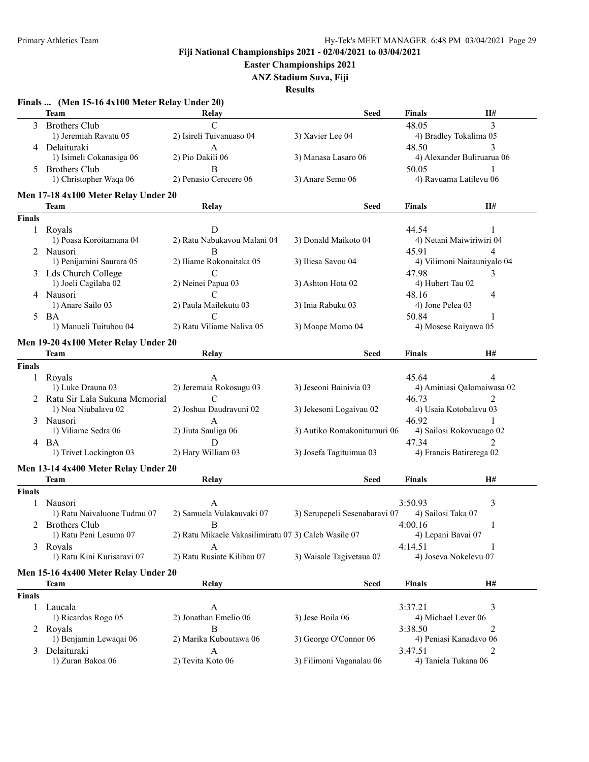**Easter Championships 2021**

**ANZ Stadium Suva, Fiji**

|               | Finals  (Men 15-16 4x100 Meter Relay Under 20) |                                                      |                               |                       |                             |
|---------------|------------------------------------------------|------------------------------------------------------|-------------------------------|-----------------------|-----------------------------|
|               | Team                                           | Relay                                                | <b>Seed</b>                   | Finals                | Н#                          |
|               | 3 Brothers Club                                | $\mathsf{C}$                                         |                               | 48.05                 | 3                           |
|               | 1) Jeremiah Ravatu 05                          | 2) Isireli Tuivanuaso 04                             | 3) Xavier Lee 04              |                       | 4) Bradley Tokalima 05      |
|               | 4 Delaituraki                                  | A                                                    |                               | 48.50                 | 3                           |
|               | 1) Isimeli Cokanasiga 06                       | 2) Pio Dakili 06                                     | 3) Manasa Lasaro 06           |                       | 4) Alexander Buliruarua 06  |
|               | 5 Brothers Club                                | B                                                    |                               | 50.05                 |                             |
|               | 1) Christopher Waqa 06                         | 2) Penasio Cerecere 06                               | 3) Anare Semo 06              |                       | 4) Ravuama Latilevu 06      |
|               | Men 17-18 4x100 Meter Relay Under 20           |                                                      |                               |                       |                             |
|               | Team                                           | Relay                                                | <b>Seed</b>                   | Finals                | H#                          |
| <b>Finals</b> |                                                |                                                      |                               |                       |                             |
| 1             | Royals                                         | D                                                    |                               | 44.54                 | 1                           |
|               | 1) Poasa Koroitamana 04                        | 2) Ratu Nabukavou Malani 04                          | 3) Donald Maikoto 04          |                       | 4) Netani Maiwiriwiri 04    |
|               | 2 Nausori                                      | B                                                    |                               | 45.91                 | 4                           |
|               | 1) Penijamini Saurara 05                       | 2) Iliame Rokonaitaka 05                             | 3) Iliesa Savou 04            |                       | 4) Vilimoni Naitauniyalo 04 |
|               | 3 Lds Church College                           | C                                                    |                               | 47.98                 | 3                           |
|               | 1) Joeli Cagilaba 02                           | 2) Neinei Papua 03                                   | 3) Ashton Hota 02             | 4) Hubert Tau 02      |                             |
|               | 4 Nausori                                      | C                                                    |                               | 48.16                 | 4                           |
|               | 1) Anare Sailo 03                              | 2) Paula Mailekutu 03                                | 3) Inia Rabuku 03             | 4) Jone Pelea 03      |                             |
| 5.            | BA                                             | C                                                    |                               | 50.84                 | 1                           |
|               | 1) Manueli Tuitubou 04                         | 2) Ratu Viliame Naliva 05                            | 3) Moape Momo 04              |                       | 4) Mosese Raiyawa 05        |
|               |                                                |                                                      |                               |                       |                             |
|               | Men 19-20 4x100 Meter Relay Under 20           |                                                      |                               |                       |                             |
|               | Team                                           | Relay                                                | <b>Seed</b>                   | Finals                | H#                          |
| <b>Finals</b> |                                                |                                                      |                               |                       |                             |
| 1             | Royals                                         | A                                                    |                               | 45.64                 | 4                           |
|               | 1) Luke Drauna 03                              | 2) Jeremaia Rokosugu 03                              | 3) Jeseoni Bainivia 03        |                       | 4) Aminiasi Qalomaiwasa 02  |
|               | 2 Ratu Sir Lala Sukuna Memorial                | $\mathcal{C}$                                        |                               | 46.73                 | $\mathfrak{D}$              |
|               | 1) Noa Niubalavu 02                            | 2) Joshua Daudravuni 02                              | 3) Jekesoni Logaivau 02       |                       | 4) Usaia Kotobalavu 03      |
|               | 3 Nausori                                      | A                                                    |                               | 46.92                 | 1                           |
|               | 1) Viliame Sedra 06                            | 2) Jiuta Sauliga 06                                  | 3) Autiko Romakonitumuri 06   |                       | 4) Sailosi Rokovucago 02    |
|               | 4 BA                                           | D                                                    |                               | 47.34                 | $\mathfrak{D}$              |
|               | 1) Trivet Lockington 03                        | 2) Hary William 03                                   | 3) Josefa Tagituimua 03       |                       | 4) Francis Batirerega 02    |
|               |                                                |                                                      |                               |                       |                             |
|               | Men 13-14 4x400 Meter Relay Under 20           |                                                      |                               |                       |                             |
|               | Team                                           | <b>Relay</b>                                         | <b>Seed</b>                   | <b>Finals</b>         | H#                          |
| <b>Finals</b> |                                                |                                                      |                               |                       |                             |
|               | 1 Nausori                                      | A                                                    |                               | 3:50.93               | 3                           |
|               | 1) Ratu Naivaluone Tudrau 07                   | 2) Samuela Vulakauvaki 07                            | 3) Serupepeli Sesenabaravi 07 | 4) Sailosi Taka 07    |                             |
|               | 2 Brothers Club                                | $\overline{R}$                                       |                               | 4:00.16               |                             |
|               | 1) Ratu Peni Lesuma 07                         | 2) Ratu Mikaele Vakasilimiratu 07 3) Caleb Wasile 07 |                               | 4) Lepani Bavai 07    |                             |
| 3             | Royals                                         | A                                                    |                               | 4:14.51               | 1                           |
|               | 1) Ratu Kini Kurisaravi 07                     | 2) Ratu Rusiate Kilibau 07                           | 3) Waisale Tagivetaua 07      | 4) Joseva Nokelevu 07 |                             |
|               | Men 15-16 4x400 Meter Relay Under 20           |                                                      |                               |                       |                             |
|               | Team                                           | Relay                                                | <b>Seed</b>                   | <b>Finals</b>         | H#                          |
| <b>Finals</b> |                                                |                                                      |                               |                       |                             |
|               |                                                |                                                      |                               |                       |                             |
| 1             | Laucala                                        | A                                                    |                               | 3:37.21               | 3                           |
|               | 1) Ricardos Rogo 05                            | 2) Jonathan Emelio 06                                | 3) Jese Boila 06              | 4) Michael Lever 06   |                             |
|               | 2 Royals                                       | B                                                    |                               | 3:38.50               | 2                           |
|               | 1) Benjamin Lewaqai 06                         | 2) Marika Kuboutawa 06                               | 3) George O'Connor 06         |                       | 4) Peniasi Kanadavo 06      |
| 3             | Delaituraki                                    | A                                                    |                               | 3:47.51               | 2                           |
|               | 1) Zuran Bakoa 06                              | 2) Tevita Koto 06                                    | 3) Filimoni Vaganalau 06      | 4) Taniela Tukana 06  |                             |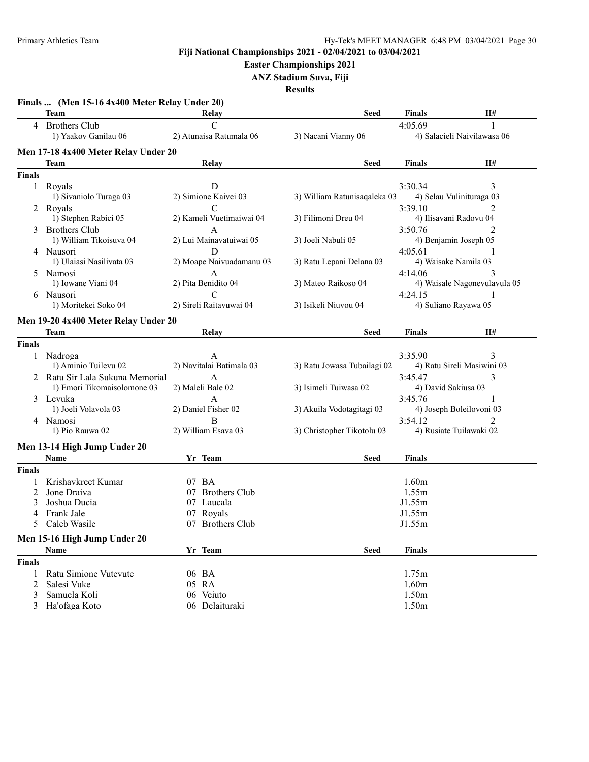**Easter Championships 2021**

**ANZ Stadium Suva, Fiji**

|               | Team                                 | Relay                    | Seed                         | <b>Finals</b>        | Н#                           |
|---------------|--------------------------------------|--------------------------|------------------------------|----------------------|------------------------------|
|               | 4 Brothers Club                      | $\overline{C}$           |                              | 4:05.69              | 1                            |
|               | 1) Yaakov Ganilau 06                 | 2) Atunaisa Ratumala 06  | 3) Nacani Vianny 06          |                      | 4) Salacieli Naivilawasa 06  |
|               | Men 17-18 4x400 Meter Relay Under 20 |                          |                              |                      |                              |
|               | Team                                 | Relay                    | Seed                         | <b>Finals</b>        | H#                           |
| <b>Finals</b> |                                      |                          |                              |                      |                              |
|               | 1 Royals                             | D                        |                              | 3:30.34              | 3                            |
|               | 1) Sivaniolo Turaga 03               | 2) Simione Kaivei 03     | 3) William Ratunisaqaleka 03 |                      | 4) Selau Vulinituraga 03     |
|               | 2 Royals                             | $\mathcal{C}$            |                              | 3:39.10              |                              |
|               | 1) Stephen Rabici 05                 | 2) Kameli Vuetimaiwai 04 | 3) Filimoni Dreu 04          |                      | 4) Ilisavani Radovu 04       |
|               | 3 Brothers Club                      | A                        |                              | 3:50.76              | 2                            |
|               | 1) William Tikoisuva 04              | 2) Lui Mainavatuiwai 05  | 3) Joeli Nabuli 05           |                      | 4) Benjamin Joseph 05        |
|               | 4 Nausori                            | D                        |                              | 4:05.61              |                              |
|               | 1) Ulaiasi Nasilivata 03             | 2) Moape Naivuadamanu 03 | 3) Ratu Lepani Delana 03     | 4) Waisake Namila 03 |                              |
|               | 5 Namosi                             | А                        |                              | 4:14.06              | 3                            |
|               | 1) Iowane Viani 04                   | 2) Pita Benidito 04      | 3) Mateo Raikoso 04          |                      | 4) Waisale Nagonevulavula 05 |
|               | 6 Nausori                            | $\mathbf C$              |                              | 4:24.15              |                              |
|               | 1) Moritekei Soko 04                 | 2) Sireli Raitavuwai 04  | 3) Isikeli Niuvou 04         | 4) Suliano Rayawa 05 |                              |
|               | Men 19-20 4x400 Meter Relay Under 20 |                          |                              |                      |                              |
|               | Team                                 | Relay                    | Seed                         | <b>Finals</b>        | H#                           |
| <b>Finals</b> |                                      |                          |                              |                      |                              |
| 1             | Nadroga                              | A                        |                              | 3:35.90              | 3                            |
|               | 1) Aminio Tuilevu 02                 | 2) Navitalai Batimala 03 | 3) Ratu Jowasa Tubailagi 02  |                      | 4) Ratu Sireli Masiwini 03   |
|               | 2 Ratu Sir Lala Sukuna Memorial      | А                        |                              | 3:45.47              | 3                            |
|               | 1) Emori Tikomaisolomone 03          | 2) Maleli Bale 02        | 3) Isimeli Tuiwasa 02        | 4) David Sakiusa 03  |                              |
|               | 3 Levuka                             | A                        |                              | 3:45.76              |                              |
|               | 1) Joeli Volavola 03                 | 2) Daniel Fisher 02      | 3) Akuila Vodotagitagi 03    |                      | 4) Joseph Boleilovoni 03     |
|               | 4 Namosi                             | B                        |                              | 3:54.12              | 2                            |
|               | 1) Pio Rauwa 02                      | 2) William Esava 03      | 3) Christopher Tikotolu 03   |                      | 4) Rusiate Tuilawaki 02      |
|               | Men 13-14 High Jump Under 20         |                          |                              |                      |                              |
|               | <b>Name</b>                          | Yr Team                  | Seed                         | <b>Finals</b>        |                              |
| <b>Finals</b> |                                      |                          |                              |                      |                              |
|               | Krishavkreet Kumar                   | 07 BA                    |                              | 1.60m                |                              |
| 2             | Jone Draiva                          | 07 Brothers Club         |                              | 1.55m                |                              |
| 3             | Joshua Ducia                         | 07 Laucala               |                              | J1.55m               |                              |
| 4             | Frank Jale                           | 07 Royals                |                              | J1.55m               |                              |
| 5             | Caleb Wasile                         | 07 Brothers Club         |                              | J1.55m               |                              |
|               | Men 15-16 High Jump Under 20         |                          |                              |                      |                              |
|               | Name                                 | Yr Team                  | <b>Seed</b>                  | <b>Finals</b>        |                              |
| <b>Finals</b> |                                      |                          |                              |                      |                              |
| 1             | Ratu Simione Vutevute                | 06 BA                    |                              | 1.75m                |                              |
| 2             | Salesi Vuke                          | 05 RA                    |                              | 1.60m                |                              |
| 3             | Samuela Koli                         | 06 Veiuto                |                              | 1.50m                |                              |
|               |                                      |                          |                              |                      |                              |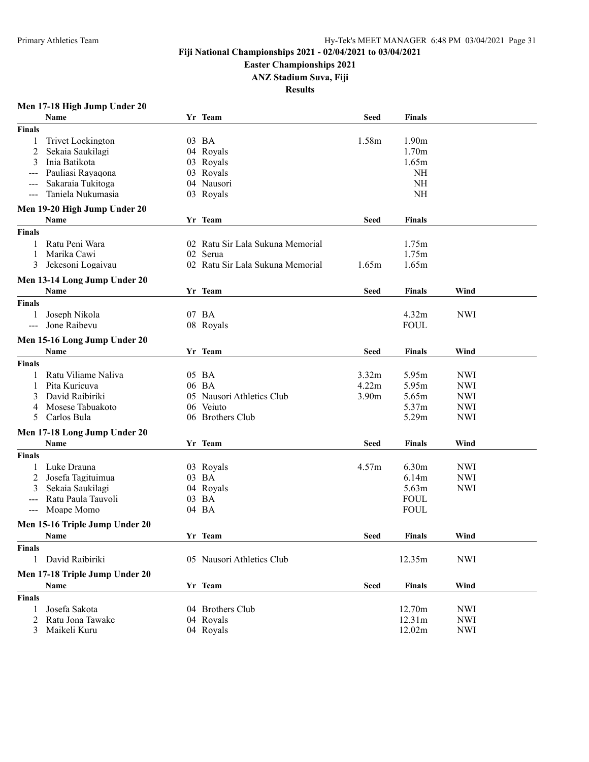**Easter Championships 2021**

**ANZ Stadium Suva, Fiji**

**Results**

# **Men 17-18 High Jump Under 20**

|                     | Name                           | Yr Team                          | <b>Seed</b>       | Finals            |            |  |
|---------------------|--------------------------------|----------------------------------|-------------------|-------------------|------------|--|
| <b>Finals</b>       |                                |                                  |                   |                   |            |  |
| 1                   | <b>Trivet Lockington</b>       | 03 BA                            | 1.58m             | 1.90 <sub>m</sub> |            |  |
| 2                   | Sekaia Saukilagi               | 04 Royals                        |                   | 1.70 <sub>m</sub> |            |  |
| 3                   | Inia Batikota                  | 03 Royals                        |                   | 1.65m             |            |  |
|                     | Pauliasi Rayaqona              | 03 Royals                        |                   | <b>NH</b>         |            |  |
|                     | Sakaraia Tukitoga              | 04 Nausori                       |                   | <b>NH</b>         |            |  |
| $--$                | Taniela Nukumasia              | 03 Royals                        |                   | <b>NH</b>         |            |  |
|                     |                                |                                  |                   |                   |            |  |
|                     | Men 19-20 High Jump Under 20   |                                  |                   |                   |            |  |
|                     | Name                           | Yr Team                          | Seed              | Finals            |            |  |
| <b>Finals</b>       |                                |                                  |                   |                   |            |  |
| 1                   | Ratu Peni Wara                 | 02 Ratu Sir Lala Sukuna Memorial |                   | 1.75m             |            |  |
| 1                   | Marika Cawi                    | 02 Serua                         |                   | 1.75m             |            |  |
| 3                   | Jekesoni Logaivau              | 02 Ratu Sir Lala Sukuna Memorial | 1.65m             | 1.65m             |            |  |
|                     | Men 13-14 Long Jump Under 20   |                                  |                   |                   |            |  |
|                     | Name                           | Yr Team                          | <b>Seed</b>       | <b>Finals</b>     | Wind       |  |
|                     |                                |                                  |                   |                   |            |  |
| <b>Finals</b>       |                                |                                  |                   |                   |            |  |
| 1                   | Joseph Nikola                  | 07 BA                            |                   | 4.32m             | <b>NWI</b> |  |
| $---$               | Jone Raibevu                   | 08 Royals                        |                   | <b>FOUL</b>       |            |  |
|                     | Men 15-16 Long Jump Under 20   |                                  |                   |                   |            |  |
|                     | <b>Name</b>                    | Yr Team                          | Seed              | Finals            | Wind       |  |
| <b>Finals</b>       |                                |                                  |                   |                   |            |  |
|                     | Ratu Viliame Naliva            | 05 BA                            | 3.32m             | 5.95m             | <b>NWI</b> |  |
|                     | Pita Kuricuva                  | 06 BA                            | 4.22m             | 5.95m             | <b>NWI</b> |  |
| 3                   | David Raibiriki                | 05 Nausori Athletics Club        | 3.90 <sub>m</sub> | 5.65m             | <b>NWI</b> |  |
| 4                   | Mosese Tabuakoto               | 06 Veiuto                        |                   | 5.37m             | <b>NWI</b> |  |
| 5.                  | Carlos Bula                    | 06 Brothers Club                 |                   | 5.29m             |            |  |
|                     |                                |                                  |                   |                   | <b>NWI</b> |  |
|                     | Men 17-18 Long Jump Under 20   |                                  |                   |                   |            |  |
|                     | <b>Name</b>                    | Yr Team                          | Seed              | Finals            | Wind       |  |
| Finals              |                                |                                  |                   |                   |            |  |
|                     | Luke Drauna                    | 03 Royals                        | 4.57m             | 6.30m             | <b>NWI</b> |  |
| 2                   | Josefa Tagituimua              | 03 BA                            |                   | 6.14m             | <b>NWI</b> |  |
| 3                   | Sekaia Saukilagi               | 04 Royals                        |                   | 5.63m             | <b>NWI</b> |  |
| $\frac{1}{2}$       | Ratu Paula Tauvoli             | 03 BA                            |                   | <b>FOUL</b>       |            |  |
| $\qquad \qquad - -$ | Moape Momo                     | 04 BA                            |                   | <b>FOUL</b>       |            |  |
|                     |                                |                                  |                   |                   |            |  |
|                     | Men 15-16 Triple Jump Under 20 |                                  |                   |                   |            |  |
|                     | Name                           | Yr Team                          | Seed              | <b>Finals</b>     | Wind       |  |
| <b>Finals</b>       |                                |                                  |                   |                   |            |  |
| 1                   | David Raibiriki                | 05 Nausori Athletics Club        |                   | 12.35m            | <b>NWI</b> |  |
|                     | Men 17-18 Triple Jump Under 20 |                                  |                   |                   |            |  |
|                     | Name                           | Yr Team                          | <b>Seed</b>       | <b>Finals</b>     | Wind       |  |
| <b>Finals</b>       |                                |                                  |                   |                   |            |  |
|                     |                                |                                  |                   |                   |            |  |
| 1                   | Josefa Sakota                  | 04 Brothers Club                 |                   | 12.70m            | <b>NWI</b> |  |
| 2                   | Ratu Jona Tawake               | 04 Royals                        |                   | 12.31m            | <b>NWI</b> |  |
| 3                   | Maikeli Kuru                   | 04 Royals                        |                   | 12.02m            | <b>NWI</b> |  |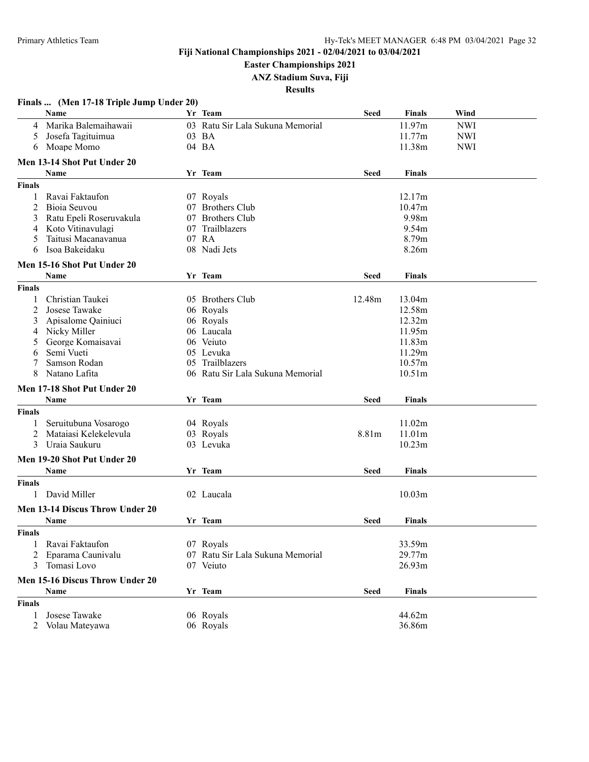**Easter Championships 2021**

**ANZ Stadium Suva, Fiji**

|                | Finals  (Men 17-18 Triple Jump Under 20) |    |                                  |             |                    |            |
|----------------|------------------------------------------|----|----------------------------------|-------------|--------------------|------------|
|                | Name                                     |    | Yr Team                          | <b>Seed</b> | <b>Finals</b>      | Wind       |
| 4              | Marika Balemaihawaii                     |    | 03 Ratu Sir Lala Sukuna Memorial |             | 11.97m             | <b>NWI</b> |
| 5              | Josefa Tagituimua                        |    | 03 BA                            |             | 11.77m             | <b>NWI</b> |
| 6              | Moape Momo                               |    | 04 BA                            |             | 11.38m             | <b>NWI</b> |
|                | Men 13-14 Shot Put Under 20              |    |                                  |             |                    |            |
|                | <b>Name</b>                              |    | Yr Team                          | <b>Seed</b> | <b>Finals</b>      |            |
|                |                                          |    |                                  |             |                    |            |
| <b>Finals</b>  |                                          |    |                                  |             |                    |            |
| 1              | Ravai Faktaufon                          |    | 07 Royals                        |             | 12.17m             |            |
| 2              | Bioia Seuvou                             |    | 07 Brothers Club                 |             | 10.47m             |            |
| 3              | Ratu Epeli Roseruvakula                  | 07 | <b>Brothers Club</b>             |             | 9.98m              |            |
| 4              | Koto Vitinavulagi                        | 07 | Trailblazers                     |             | 9.54m              |            |
| 5              | Taitusi Macanavanua                      |    | 07 RA                            |             | 8.79m              |            |
| 6              | Isoa Bakeidaku                           |    | 08 Nadi Jets                     |             | 8.26m              |            |
|                | Men 15-16 Shot Put Under 20              |    |                                  |             |                    |            |
|                | Name                                     |    | Yr Team                          | <b>Seed</b> | <b>Finals</b>      |            |
| <b>Finals</b>  |                                          |    |                                  |             |                    |            |
| 1              | Christian Taukei                         |    | 05 Brothers Club                 | 12.48m      | 13.04m             |            |
| $\overline{2}$ | Josese Tawake                            |    | 06 Royals                        |             | 12.58m             |            |
| 3              | Apisalome Qainiuci                       |    | 06 Royals                        |             | 12.32m             |            |
| 4              | Nicky Miller                             |    | 06 Laucala                       |             | 11.95m             |            |
| 5              | George Komaisavai                        |    | 06 Veiuto                        |             | 11.83m             |            |
| 6              | Semi Vueti                               |    | 05 Levuka                        |             | 11.29m             |            |
| 7              | Samson Rodan                             | 05 | Trailblazers                     |             | 10.57m             |            |
| 8              | Natano Lafita                            |    | 06 Ratu Sir Lala Sukuna Memorial |             | 10.51 <sub>m</sub> |            |
|                | Men 17-18 Shot Put Under 20              |    |                                  |             |                    |            |
|                | Name                                     |    | Yr Team                          | <b>Seed</b> | <b>Finals</b>      |            |
| <b>Finals</b>  |                                          |    |                                  |             |                    |            |
|                |                                          |    |                                  |             | 11.02m             |            |
| 1              | Seruitubuna Vosarogo                     |    | 04 Royals                        |             |                    |            |
| 2              | Mataiasi Kelekelevula<br>Uraia Saukuru   |    | 03 Royals                        | 8.81m       | 11.01m             |            |
| 3              |                                          |    | 03 Levuka                        |             | 10.23m             |            |
|                | Men 19-20 Shot Put Under 20              |    |                                  |             |                    |            |
|                | Name                                     |    | Yr Team                          | <b>Seed</b> | <b>Finals</b>      |            |
| <b>Finals</b>  |                                          |    |                                  |             |                    |            |
| 1              | David Miller                             |    | 02 Laucala                       |             | 10.03 <sub>m</sub> |            |
|                | Men 13-14 Discus Throw Under 20          |    |                                  |             |                    |            |
|                | Name                                     |    | Yr Team                          | <b>Seed</b> | <b>Finals</b>      |            |
| <b>Finals</b>  |                                          |    |                                  |             |                    |            |
|                |                                          |    | 07 Royals                        |             |                    |            |
| 1<br>2         | Ravai Faktaufon<br>Eparama Caunivalu     |    | 07 Ratu Sir Lala Sukuna Memorial |             | 33.59m<br>29.77m   |            |
|                |                                          |    |                                  |             |                    |            |
| 3              | Tomasi Lovo                              |    | 07 Veiuto                        |             | 26.93m             |            |
|                | Men 15-16 Discus Throw Under 20          |    |                                  |             |                    |            |
|                | Name                                     |    | Yr Team                          | <b>Seed</b> | <b>Finals</b>      |            |
| <b>Finals</b>  |                                          |    |                                  |             |                    |            |
| 1              | Josese Tawake                            |    | 06 Royals                        |             | 44.62m             |            |
| 2              | Volau Mateyawa                           |    | 06 Royals                        |             | 36.86m             |            |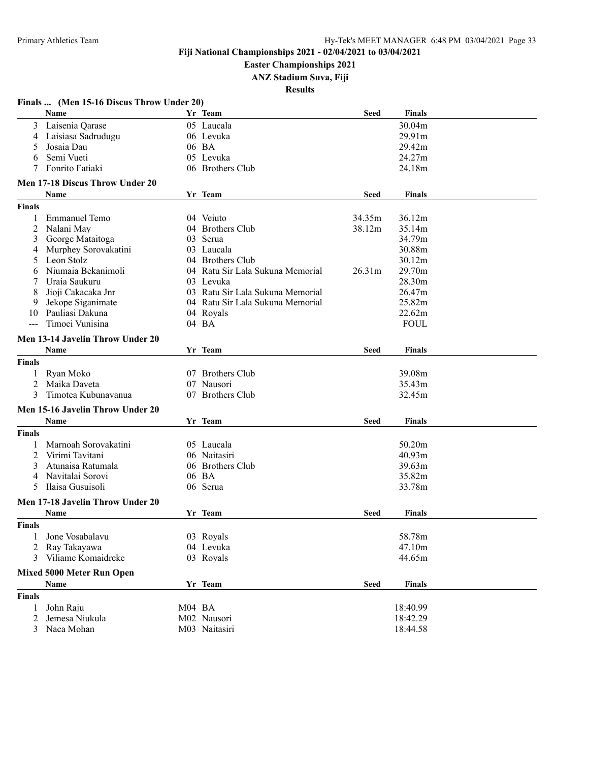**Easter Championships 2021**

**ANZ Stadium Suva, Fiji**

|               | Finals  (Men 15-16 Discus Throw Under 20) |        |                                  |             |               |  |
|---------------|-------------------------------------------|--------|----------------------------------|-------------|---------------|--|
|               | Name                                      |        | Yr Team                          | <b>Seed</b> | Finals        |  |
|               | 3 Laisenia Qarase                         |        | 05 Laucala                       |             | 30.04m        |  |
|               | 4 Laisiasa Sadrudugu                      |        | 06 Levuka                        |             | 29.91m        |  |
| 5             | Josaia Dau                                |        | 06 BA                            |             | 29.42m        |  |
| 6             | Semi Vueti                                |        | 05 Levuka                        |             | 24.27m        |  |
| 7             | Fonrito Fatiaki                           |        | 06 Brothers Club                 |             | 24.18m        |  |
|               | Men 17-18 Discus Throw Under 20           |        |                                  |             |               |  |
|               | Name                                      |        | Yr Team                          | <b>Seed</b> | <b>Finals</b> |  |
| <b>Finals</b> |                                           |        |                                  |             |               |  |
|               |                                           |        |                                  |             |               |  |
| 1             | <b>Emmanuel Temo</b>                      |        | 04 Veiuto                        | 34.35m      | 36.12m        |  |
| 2             | Nalani May                                |        | 04 Brothers Club                 | 38.12m      | 35.14m        |  |
| 3             | George Mataitoga                          |        | 03 Serua                         |             | 34.79m        |  |
| 4             | Murphey Sorovakatini                      |        | 03 Laucala                       |             | 30.88m        |  |
| 5             | Leon Stolz                                |        | 04 Brothers Club                 |             | 30.12m        |  |
| 6             | Niumaia Bekanimoli                        |        | 04 Ratu Sir Lala Sukuna Memorial | 26.31m      | 29.70m        |  |
| 7             | Uraia Saukuru                             |        | 03 Levuka                        |             | 28.30m        |  |
| 8             | Jioji Cakacaka Jnr                        |        | 03 Ratu Sir Lala Sukuna Memorial |             | 26.47m        |  |
| 9             | Jekope Siganimate                         |        | 04 Ratu Sir Lala Sukuna Memorial |             | 25.82m        |  |
| 10            | Pauliasi Dakuna                           |        | 04 Rovals                        |             | 22.62m        |  |
|               | Timoci Vunisina                           |        | 04 BA                            |             | <b>FOUL</b>   |  |
|               | Men 13-14 Javelin Throw Under 20          |        |                                  |             |               |  |
|               | Name                                      |        | Yr Team                          | <b>Seed</b> | <b>Finals</b> |  |
|               |                                           |        |                                  |             |               |  |
| <b>Finals</b> |                                           |        |                                  |             |               |  |
| 1             | Ryan Moko                                 |        | 07 Brothers Club                 |             | 39.08m        |  |
| 2             | Maika Daveta                              |        | 07 Nausori                       |             | 35.43m        |  |
| 3             | Timotea Kubunavanua                       |        | 07 Brothers Club                 |             | 32.45m        |  |
|               | Men 15-16 Javelin Throw Under 20          |        |                                  |             |               |  |
|               | Name                                      |        | Yr Team                          | <b>Seed</b> | Finals        |  |
| <b>Finals</b> |                                           |        |                                  |             |               |  |
| 1             | Marnoah Sorovakatini                      |        | 05 Laucala                       |             | 50.20m        |  |
| 2             | Virimi Tavitani                           |        | 06 Naitasiri                     |             | 40.93m        |  |
| 3             | Atunaisa Ratumala                         | 06     | <b>Brothers Club</b>             |             | 39.63m        |  |
| 4             | Navitalai Sorovi                          |        | 06 BA                            |             | 35.82m        |  |
| 5             | Ilaisa Gusuisoli                          |        | 06 Serua                         |             | 33.78m        |  |
|               |                                           |        |                                  |             |               |  |
|               | Men 17-18 Javelin Throw Under 20          |        |                                  |             |               |  |
|               | Name                                      |        | Yr Team                          | <b>Seed</b> | Finals        |  |
| <b>Finals</b> |                                           |        |                                  |             |               |  |
| 1             | Jone Vosabalavu                           |        | 03 Royals                        |             | 58.78m        |  |
| 2             | Ray Takayawa                              |        | 04 Levuka                        |             | 47.10m        |  |
| 3             | Viliame Komaidreke                        |        | 03 Royals                        |             | 44.65m        |  |
|               |                                           |        |                                  |             |               |  |
|               | <b>Mixed 5000 Meter Run Open</b>          |        |                                  |             |               |  |
|               | Name                                      |        | Yr Team                          | <b>Seed</b> | <b>Finals</b> |  |
| <b>Finals</b> |                                           |        |                                  |             |               |  |
| 1             | John Raju                                 | M04 BA |                                  |             | 18:40.99      |  |
| 2             | Jemesa Niukula                            |        | M02 Nausori                      |             | 18:42.29      |  |
| 3             | Naca Mohan                                |        | M03 Naitasiri                    |             | 18:44.58      |  |